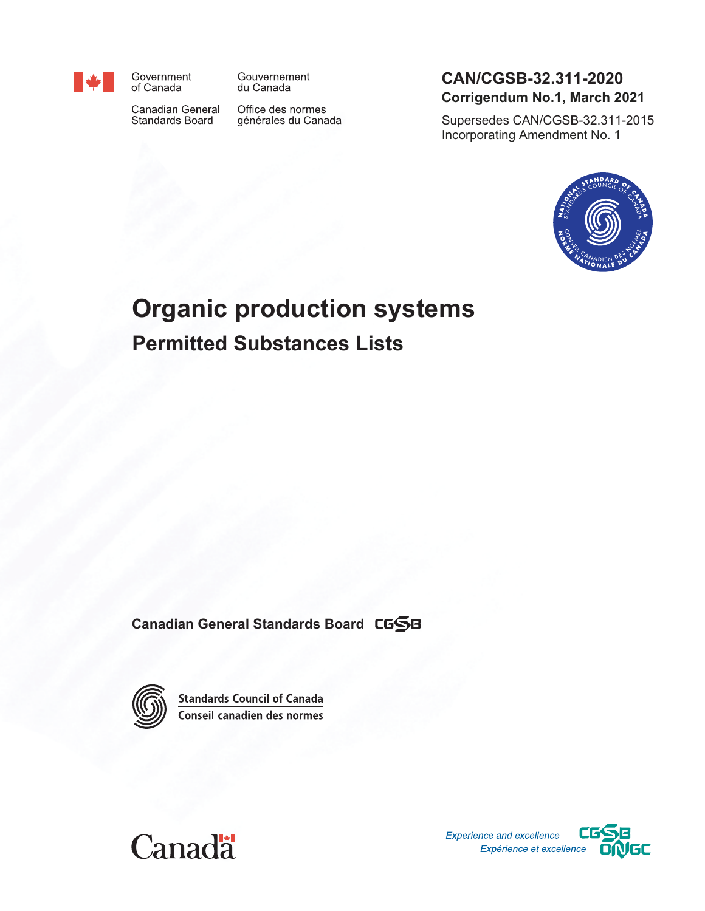

Government of Canada

Canadian General Standards Board

du Canada

Gouvernement

Office des normes générales du Canada

# <span id="page-0-2"></span>**CAN/CGSB-32.311-2020 Corrigendum No.1, March 2021**

<span id="page-0-3"></span>Supersedes CAN/CGSB-32.311-2015 Incorporating Amendment No. 1



# <span id="page-0-1"></span><span id="page-0-0"></span>**Organic production systems Permitted Substances Lists**

**Canadian General Standards Board**



**Standards Council of Canada** Conseil canadien des normes



Experience and excellence Expérience et excellence

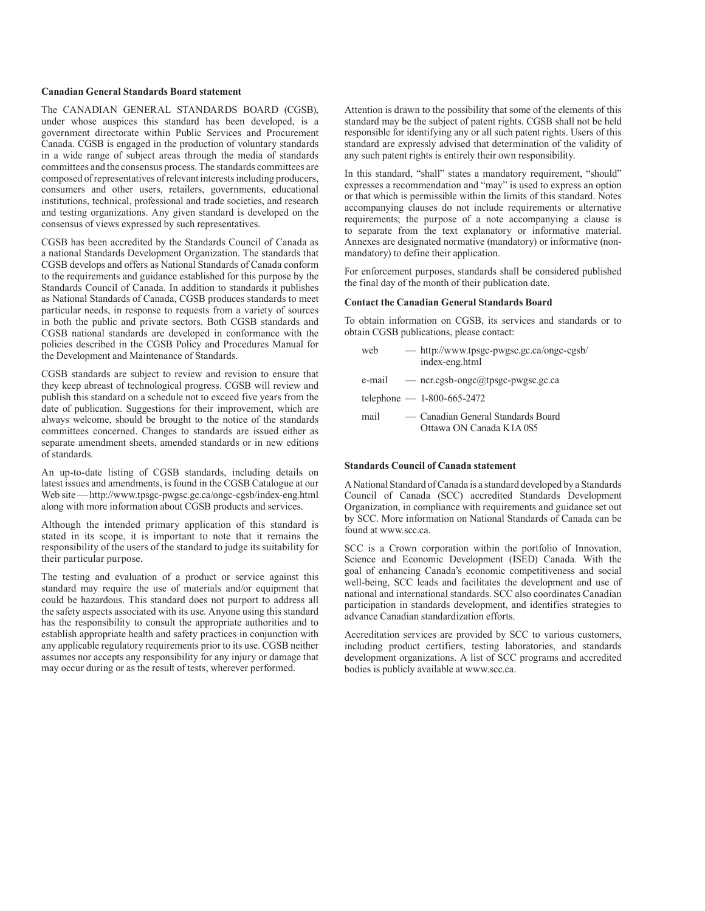#### **Canadian General Standards Board statement**

The CANADIAN GENERAL STANDARDS BOARD (CGSB), under whose auspices this standard has been developed, is a government directorate within Public Services and Procurement Canada. CGSB is engaged in the production of voluntary standards in a wide range of subject areas through the media of standards committees and the consensus process. The standards committees are composed of representatives of relevant interests including producers, consumers and other users, retailers, governments, educational institutions, technical, professional and trade societies, and research and testing organizations. Any given standard is developed on the consensus of views expressed by such representatives.

CGSB has been accredited by the Standards Council of Canada as a national Standards Development Organization. The standards that CGSB develops and offers as National Standards of Canada conform to the requirements and guidance established for this purpose by the Standards Council of Canada. In addition to standards it publishes as National Standards of Canada, CGSB produces standards to meet particular needs, in response to requests from a variety of sources in both the public and private sectors. Both CGSB standards and CGSB national standards are developed in conformance with the policies described in the CGSB Policy and Procedures Manual for the Development and Maintenance of Standards.

CGSB standards are subject to review and revision to ensure that they keep abreast of technological progress. CGSB will review and publish this standard on a schedule not to exceed five years from the date of publication. Suggestions for their improvement, which are always welcome, should be brought to the notice of the standards committees concerned. Changes to standards are issued either as separate amendment sheets, amended standards or in new editions of standards.

An up-to-date listing of CGSB standards, including details on latest issues and amendments, is found in the CGSB Catalogue at our Web site — http://www.tpsgc-pwgsc.gc.ca/ongc-cgsb/index-eng.html along with more information about CGSB products and services.

Although the intended primary application of this standard is stated in its scope, it is important to note that it remains the responsibility of the users of the standard to judge its suitability for their particular purpose.

The testing and evaluation of a product or service against this standard may require the use of materials and/or equipment that could be hazardous. This standard does not purport to address all the safety aspects associated with its use. Anyone using this standard has the responsibility to consult the appropriate authorities and to establish appropriate health and safety practices in conjunction with any applicable regulatory requirements prior to its use. CGSB neither assumes nor accepts any responsibility for any injury or damage that may occur during or as the result of tests, wherever performed.

Attention is drawn to the possibility that some of the elements of this standard may be the subject of patent rights. CGSB shall not be held responsible for identifying any or all such patent rights. Users of this standard are expressly advised that determination of the validity of any such patent rights is entirely their own responsibility.

In this standard, "shall" states a mandatory requirement, "should" expresses a recommendation and "may" is used to express an option or that which is permissible within the limits of this standard. Notes accompanying clauses do not include requirements or alternative requirements; the purpose of a note accompanying a clause is to separate from the text explanatory or informative material. Annexes are designated normative (mandatory) or informative (nonmandatory) to define their application.

For enforcement purposes, standards shall be considered published the final day of the month of their publication date.

#### **Contact the Canadian General Standards Board**

To obtain information on CGSB, its services and standards or to obtain CGSB publications, please contact:

| web  | — http://www.tpsgc-pwgsc.gc.ca/ongc-cgsb/<br>index-eng.html    |
|------|----------------------------------------------------------------|
|      | e-mail $-$ ncr.cgsb-ongc@tpsgc-pwgsc.gc.ca                     |
|      | telephone $- 1-800-665-2472$                                   |
| mail | — Canadian General Standards Board<br>Ottawa ON Canada K1A 0S5 |

#### **Standards Council of Canada statement**

A National Standard of Canada is a standard developed by a Standards Council of Canada (SCC) accredited Standards Development Organization, in compliance with requirements and guidance set out by SCC. More information on National Standards of Canada can be found at www.scc.ca.

SCC is a Crown corporation within the portfolio of Innovation, Science and Economic Development (ISED) Canada. With the goal of enhancing Canada's economic competitiveness and social well-being, SCC leads and facilitates the development and use of national and international standards. SCC also coordinates Canadian participation in standards development, and identifies strategies to advance Canadian standardization efforts.

Accreditation services are provided by SCC to various customers, including product certifiers, testing laboratories, and standards development organizations. A list of SCC programs and accredited bodies is publicly available at www.scc.ca.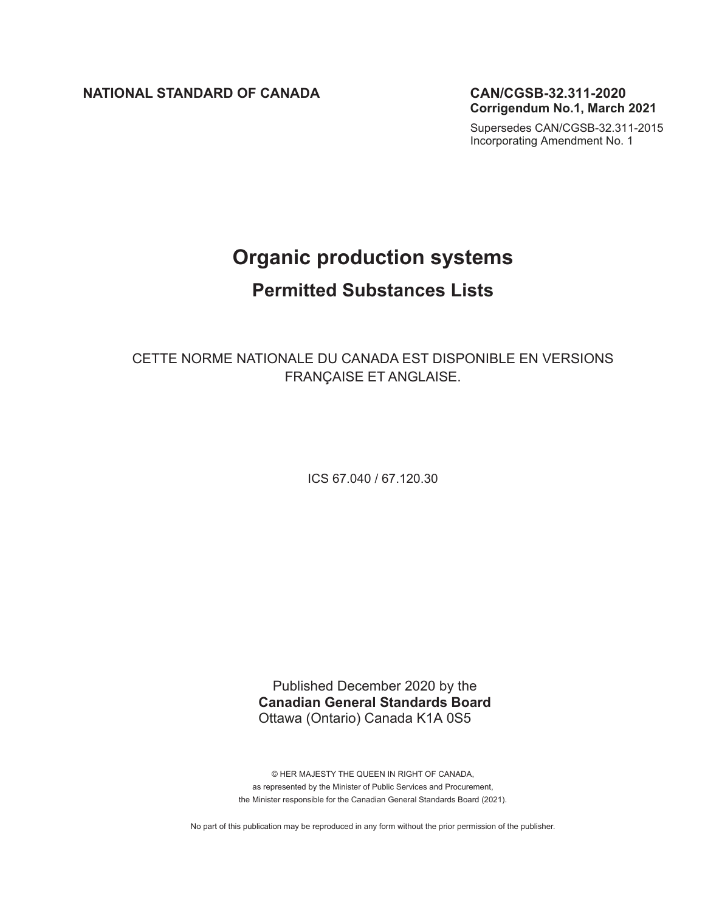**NATIONAL STANDARD OF CANADA [CAN/CGSB-32.311-2020](#page-0-2)**

**Corrigendum No.1, March 2021**

[Supersedes CAN/CGSB-32.311-2015](#page-0-3) Incorporating Amendment No. 1

# **[Organic production systems](#page-0-0) [Permitted Substances List](#page-0-1)s**

CETTE NORME NATIONALE DU CANADA EST DISPONIBLE EN VERSIONS FRANÇAISE ET ANGLAISE.

ICS 67.040 / 67.120.30

Published December 2020 by the **Canadian General Standards Board** Ottawa (Ontario) Canada K1A 0S5

© HER MAJESTY THE QUEEN IN RIGHT OF CANADA, as represented by the Minister of Public Services and Procurement, the Minister responsible for the Canadian General Standards Board (2021).

No part of this publication may be reproduced in any form without the prior permission of the publisher.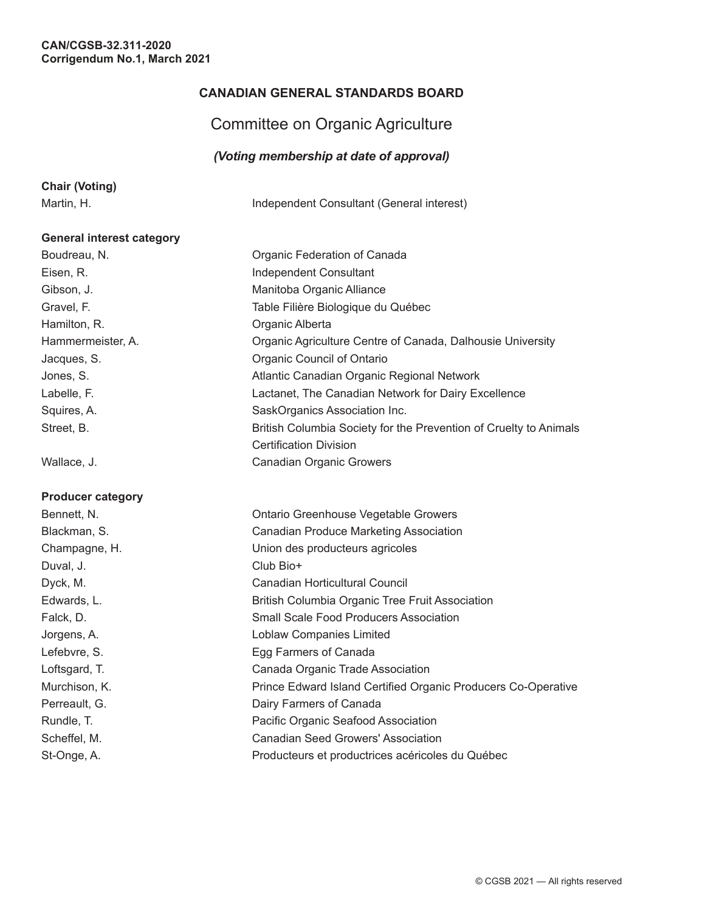# **CANADIAN GENERAL STANDARDS BOARD**

# Committee on Organic Agriculture

#### *(Voting membership at date of approval)*

|  |  |  | <b>Chair (Voting)</b> |  |
|--|--|--|-----------------------|--|
|  |  |  |                       |  |

Martin, H. **Independent Consultant (General interest)** 

#### **General interest category**

Boudreau, N. Soudreau, N. Soudreau, N. Soudreau, N. Soudreau, N. Soudreau, N. Soudreau, N. Soudreau, N. Soudreau, N. Soudreau, N. Soudreau, N. Soudreau, N. Soudreau, N. Soudreau, N. Soudreau, N. Soudreau, N. Soudreau, N. S Eisen, R. **Independent Consultant** Gibson, J. Manitoba Organic Alliance Gravel, F. Table Filière Biologique du Québec Hamilton, R. **Camilton, R. A. A. Camilton**, R. **Camilton**, R. **Campaigneer** Hammermeister, A. **Canada, Dalhousie University** Organic Agriculture Centre of Canada, Dalhousie University Jacques, S. **Calculate Council of Ontario** Organic Council of Ontario Jones, S. Atlantic Canadian Organic Regional Network Labelle, F. Lactanet, The Canadian Network for Dairy Excellence Squires, A. SaskOrganics Association Inc. Street, B. British Columbia Society for the Prevention of Cruelty to Animals

Wallace, J. Canadian Organic Growers

#### **Producer category**

Bennett, N. Ontario Greenhouse Vegetable Growers Blackman, S. Canadian Produce Marketing Association Champagne, H. Union des producteurs agricoles Duval, J. Club Bio+ Dyck, M. Canadian Horticultural Council Edwards, L. British Columbia Organic Tree Fruit Association Falck, D. Small Scale Food Producers Association Jorgens, A. Loblaw Companies Limited Lefebvre, S. **Egg Farmers of Canada** Loftsgard, T. Canada Organic Trade Association Murchison, K. *Prince Edward Island Certified Organic Producers Co-Operative* Perreault, G. **Dairy Farmers of Canada** Rundle, T. **Network Pacific Organic Seafood Association** Scheffel, M. Canadian Seed Growers' Association St-Onge, A. Producteurs et productrices acéricoles du Québec

Certification Division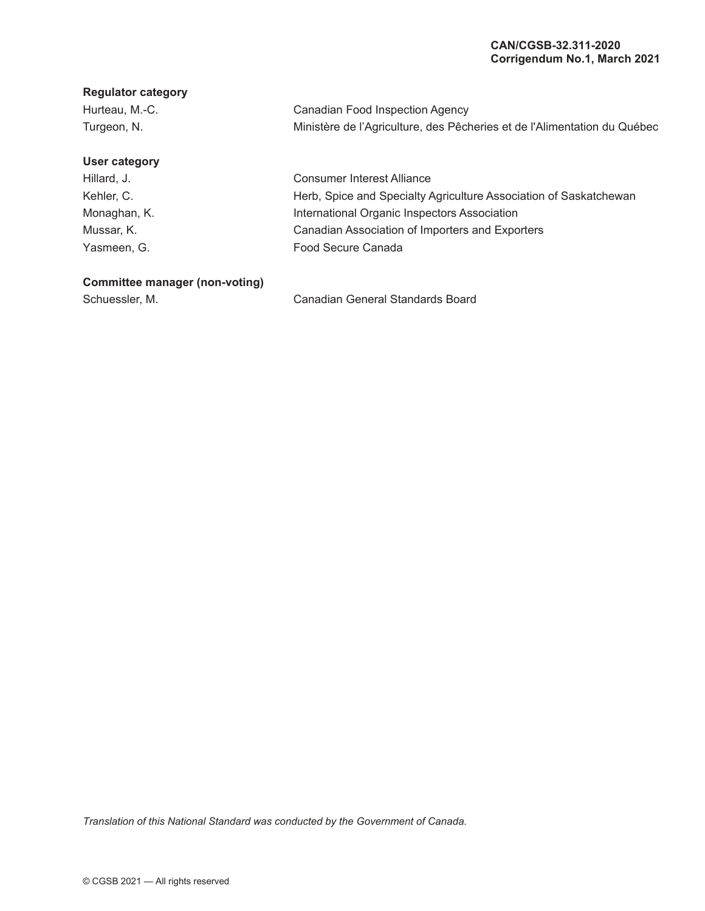#### **Regulator category**

| Hurteau, M.-C. | Canadian Food Inspection Agency                                          |
|----------------|--------------------------------------------------------------------------|
| Turgeon, N.    | Ministère de l'Agriculture, des Pêcheries et de l'Alimentation du Québec |

#### **User category**

Hillard, J. Kehler, C. Monaghan, K. Mussar, K. Yasmeen, G.

Consumer Interest Alliance Herb, Spice and Specialty Agriculture Association of Saskatchewan International Organic Inspectors Association Canadian Association of Importers and Exporters Food Secure Canada

#### **Committee manager (non-voting)**

Schuessler, M. Canadian General Standards Board

*Translation of this National Standard was conducted by the Government of Canada.*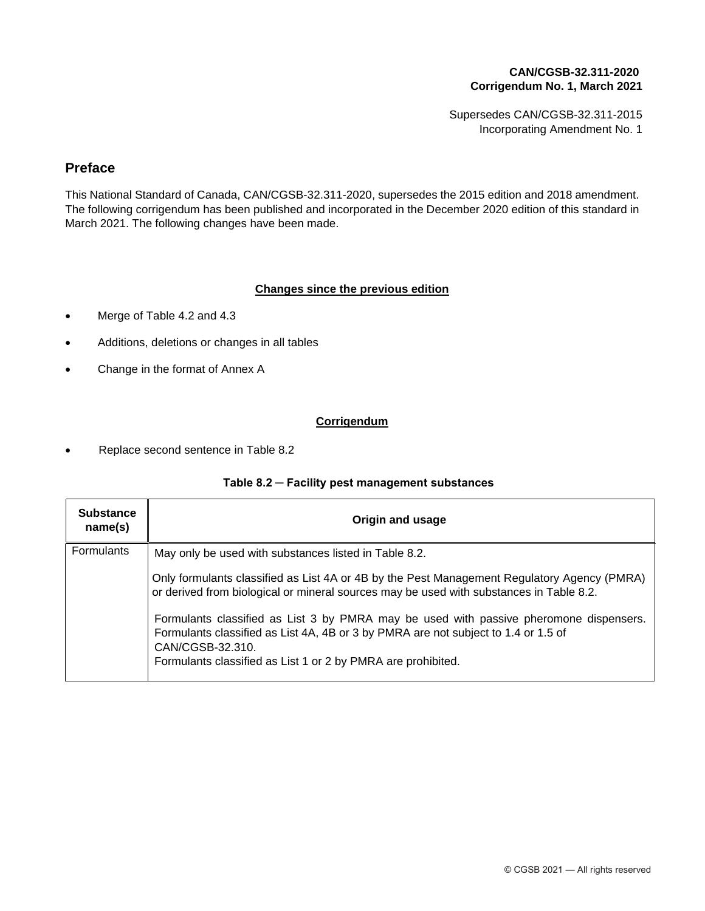Supersedes CAN/CGSB-32.311-2015 Incorporating Amendment No. 1

# **Preface**

This National Standard of Canada, CAN/CGSB-32.311-2020, supersedes the 2015 edition and 2018 amendment. The following corrigendum has been published and incorporated in the December 2020 edition of this standard in March 2021. The following changes have been made.

#### **Changes since the previous edition**

- Merge of Table 4.2 and 4.3
- Additions, deletions or changes in all tables
- Change in the format of Annex A

#### **Corrigendum**

Replace second sentence in Table 8.2  $\bullet$ 

#### **Table 8.2 ─ Facility pest management substances**

| <b>Substance</b><br>name(s) | Origin and usage                                                                                                                                                                                                                                                 |
|-----------------------------|------------------------------------------------------------------------------------------------------------------------------------------------------------------------------------------------------------------------------------------------------------------|
| <b>Formulants</b>           | May only be used with substances listed in Table 8.2.                                                                                                                                                                                                            |
|                             | Only formulants classified as List 4A or 4B by the Pest Management Regulatory Agency (PMRA)<br>or derived from biological or mineral sources may be used with substances in Table 8.2.                                                                           |
|                             | Formulants classified as List 3 by PMRA may be used with passive pheromone dispensers.<br>Formulants classified as List 4A, 4B or 3 by PMRA are not subject to 1.4 or 1.5 of<br>CAN/CGSB-32.310.<br>Formulants classified as List 1 or 2 by PMRA are prohibited. |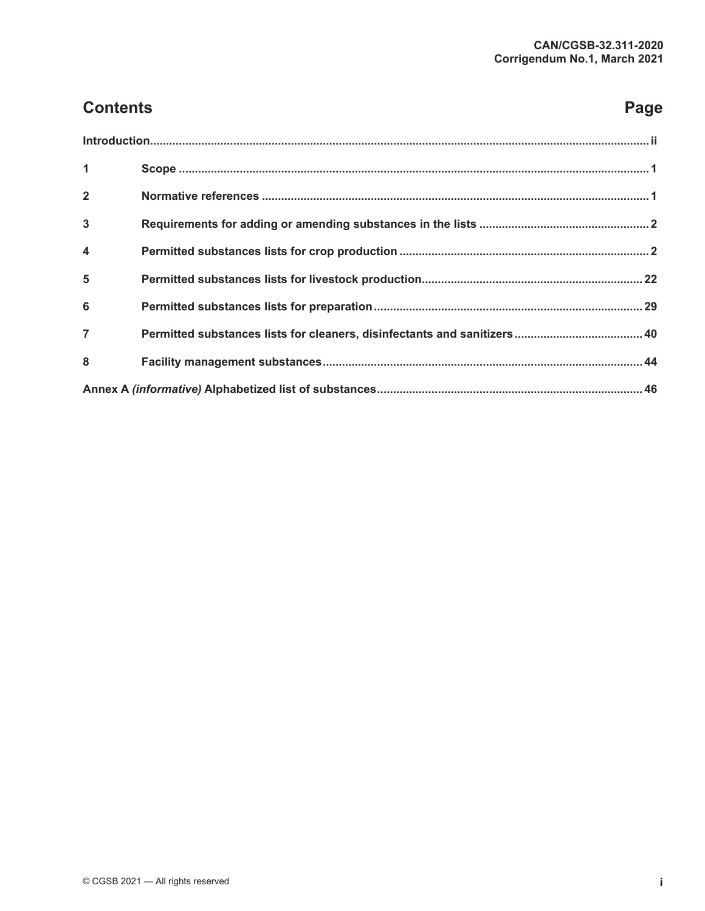# **Contents Page**

| $\overline{1}$          |  |
|-------------------------|--|
| $\overline{2}$          |  |
| $\mathbf{3}$            |  |
| $\overline{\mathbf{4}}$ |  |
| 5                       |  |
| 6                       |  |
| $\overline{7}$          |  |
| 8                       |  |
|                         |  |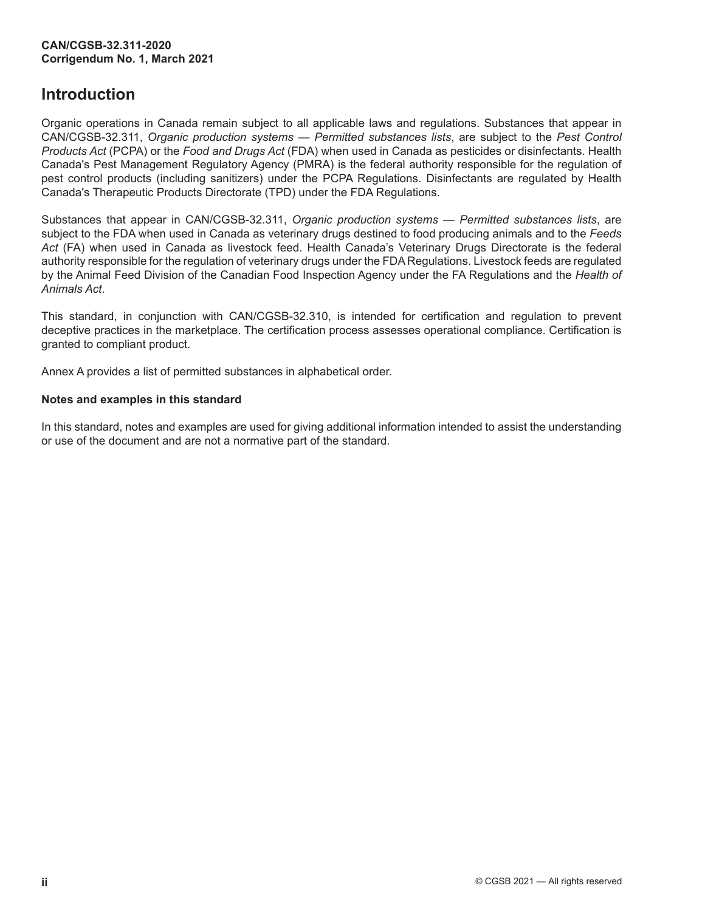# <span id="page-7-0"></span>**Introduction**

Organic operations in Canada remain subject to all applicable laws and regulations. Substances that appear in CAN/CGSB-32.311, *Organic production systems — Permitted substances lists*, are subject to the *Pest Control Products Act* (PCPA) or the *Food and Drugs Act* (FDA) when used in Canada as pesticides or disinfectants. Health Canada's Pest Management Regulatory Agency (PMRA) is the federal authority responsible for the regulation of pest control products (including sanitizers) under the PCPA Regulations. Disinfectants are regulated by Health Canada's Therapeutic Products Directorate (TPD) under the FDA Regulations.

Substances that appear in CAN/CGSB-32.311, *Organic production systems — Permitted substances lists*, are subject to the FDA when used in Canada as veterinary drugs destined to food producing animals and to the *Feeds Act* (FA) when used in Canada as livestock feed. Health Canada's Veterinary Drugs Directorate is the federal authority responsible for the regulation of veterinary drugs under the FDA Regulations. Livestock feeds are regulated by the Animal Feed Division of the Canadian Food Inspection Agency under the FA Regulations and the *Health of Animals Act*.

This standard, in conjunction with CAN/CGSB-32.310, is intended for certification and regulation to prevent deceptive practices in the marketplace. The certification process assesses operational compliance. Certification is granted to compliant product.

Annex A provides a list of permitted substances in alphabetical order.

#### **Notes and examples in this standard**

In this standard, notes and examples are used for giving additional information intended to assist the understanding or use of the document and are not a normative part of the standard.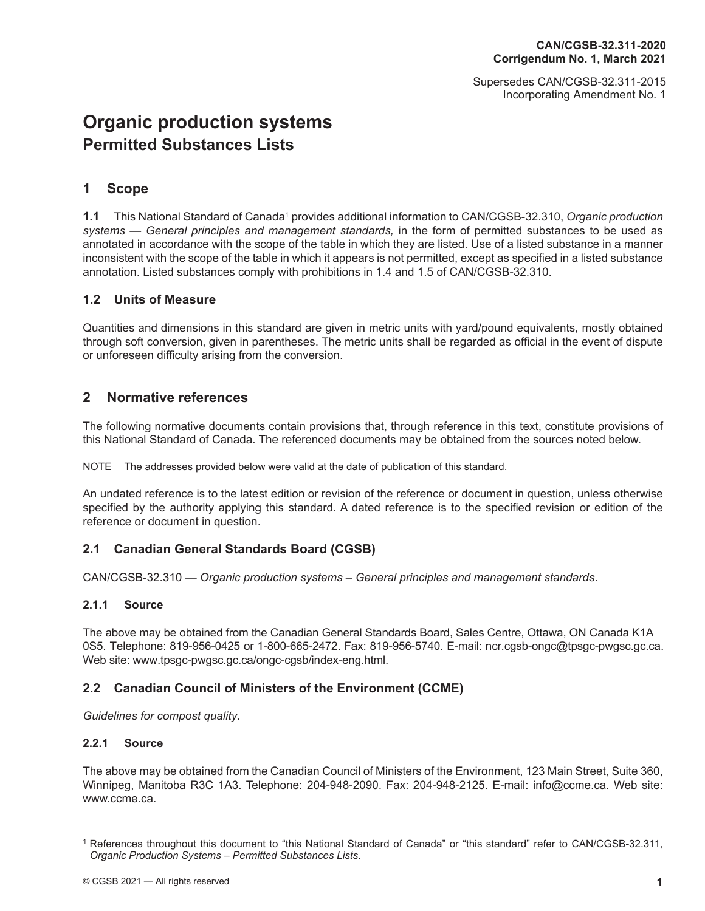Supersedes CAN/CGSB-32.311-2015 Incorporating Amendment No. 1

# <span id="page-8-0"></span>**[Organic production systems](#page-0-0) [Permitted Substances List](#page-0-1)s**

# **1 Scope**

**1.1** This National Standard of Canada<sup>1</sup> provides additional information to CAN/CGSB-32.310, Organic production systems — General principles and management standards, in the form of permitted substances to be used as annotated in accordance with the scope of the table in which they are listed. Use of a listed substance in a manner inconsistent with the scope of the table in which it appears is not permitted, except as specified in a listed substance annotation. Listed substances comply with prohibitions in 1.4 and 1.5 of CAN/CGSB-32.310.

## **1.2 Units of Measure**

Quantities and dimensions in this standard are given in metric units with yard/pound equivalents, mostly obtained through soft conversion, given in parentheses. The metric units shall be regarded as official in the event of dispute or unforeseen difficulty arising from the conversion.

# **2 Normative references**

The following normative documents contain provisions that, through reference in this text, constitute provisions of this National Standard of Canada. The referenced documents may be obtained from the sources noted below.

NOTE The addresses provided below were valid at the date of publication of this standard.

An undated reference is to the latest edition or revision of the reference or document in question, unless otherwise specified by the authority applying this standard. A dated reference is to the specified revision or edition of the reference or document in question.

## **2.1 Canadian General Standards Board (CGSB)**

CAN/CGSB-32.310 — *Organic production systems – General principles and management standards*.

#### **2.1.1 Source**

The above may be obtained from the Canadian General Standards Board, Sales Centre, Ottawa, ON Canada K1A 0S5. Telephone: 819-956-0425 or 1-800-665-2472. Fax: 819-956-5740. E-mail: ncr.cgsb-ongc@tpsgc-pwgsc.gc.ca. Web site: [www.tpsgc-pwgsc.gc.ca/ongc-cgsb/index-eng.html](http://www.tpsgc-pwgsc.gc.ca/ongc-cgsb/index-eng.html).

#### **2.2 Canadian Council of Ministers of the Environment (CCME)**

*Guidelines for compost quality*.

#### **2.2.1 Source**

The above may be obtained from the Canadian Council of Ministers of the Environment, 123 Main Street, Suite 360, Winnipeg, Manitoba R3C 1A3. Telephone: 204-948-2090. Fax: 204-948-2125. E-mail: info@ccme.ca. Web site: www.ccme.ca.

<sup>1</sup> References throughout this document to "this National Standard of Canada" or "this standard" refer to CAN/CGSB-32.311, *Organic Production Systems – Permitted Substances Lists*.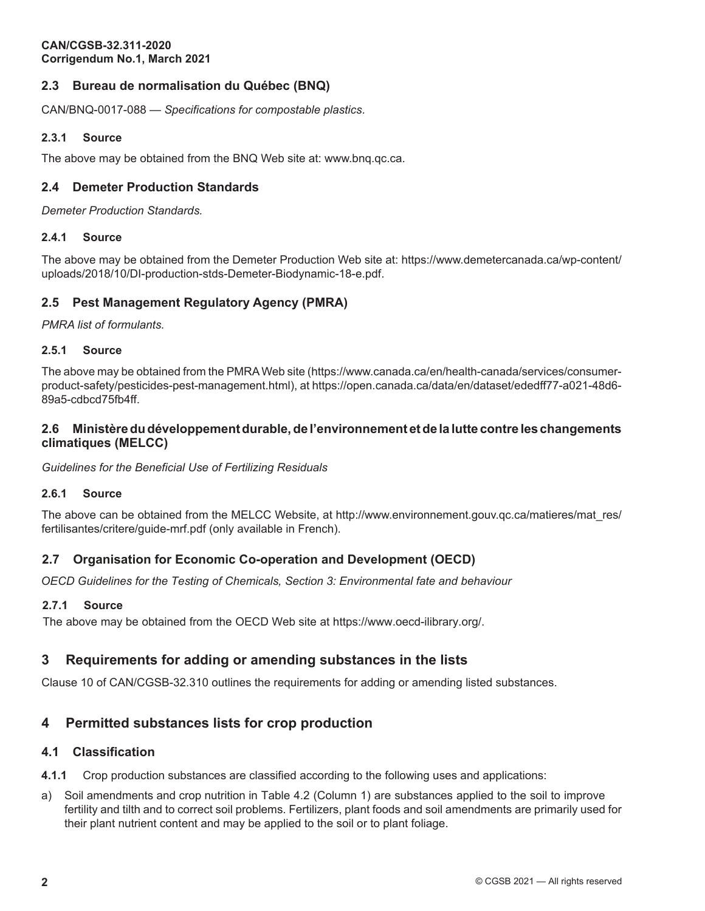## <span id="page-9-0"></span>**2.3 Bureau de normalisation du Québec (BNQ)**

CAN/BNQ-0017-088 — *Specifications for compostable plastics*.

#### **2.3.1 Source**

The above may be obtained from the BNQ Web site at: www.bnq.qc.ca.

#### **2.4 Demeter Production Standards**

*Demeter Production Standards.*

#### **2.4.1 Source**

The above may be obtained from the Demeter Production Web site at: https://www.demetercanada.ca/wp-content/ uploads/2018/10/DI-production-stds-Demeter-Biodynamic-18-e.pdf.

#### **2.5 [Pest Management Regulatory Agency \(PMRA\)](https://www.demetercanada.ca/wp-content/uploads/2018/10/DI-production-stds-Demeter-Biodynamic-18-e.pdf)**

*PMRA list of formulants.*

#### **2.5.1 Source**

The above may be obtained from the PMRAWeb site (https://www.canada.ca/en/health-canada/services/consumerproduct-safety/pesticides-pest-management.html), at https://open.canada.ca/data/en/dataset/ededff77-a021-48d6- 89a5-cdbcd75fb4ff.

#### **2.6 [Ministèredudéveloppementdurable,](https://www.canada.ca/en/health-canada/services/consumer-product-safety/pesticides-pest-management.html)de [l'environnement](https://open.canada.ca/data/en/dataset/ededff77-a021-48d6-89a5-cdbcd75fb4ff) etde la lutte contre les changements [climatiques \(ME](https://open.canada.ca/data/en/dataset/ededff77-a021-48d6-89a5-cdbcd75fb4ff)LCC)**

*Guidelines for the Beneficial Use of Fertilizing Residuals*

#### **2.6.1 Source**

The above can be obtained from the MELCC Website, at http://www.environnement.gouv.qc.ca/matieres/mat\_res/ fertilisantes/critere/guide-mrf.pdf (only available in French).

## **2.7 Organisation for Economic Co-operation and [Development](http://www.environnement.gouv.qc.ca/matieres/mat_res/fertilisantes/critere/guide-mrf.pdf) (OECD)**

*OECD G[uidelines for the](http://www.environnement.gouv.qc.ca/matieres/mat_res/fertilisantes/critere/guide-mrf.pdf) Testing of Chemicals, Section 3: Environmental fate and behaviour*

#### **2.7.1 Source**

The above may be obtained from the OECD Web site at https://www.oecd-ilibrary.org/.

# **3 Requirements for adding or amending substances in the lists**

Clause 10 of CAN/CGSB-32.310 outlines the requirements for adding or amending listed substances.

# **4 Permitted substances lists for crop production**

#### **4.1 Classification**

**4.1.1** Crop production substances are classified according to the following uses and applications:

a) Soil amendments and crop nutrition in Table 4.2 (Column 1) are substances applied to the soil to improve fertility and tilth and to correct soil problems. Fertilizers, plant foods and soil amendments are primarily used for their plant nutrient content and may be applied to the soil or to plant foliage.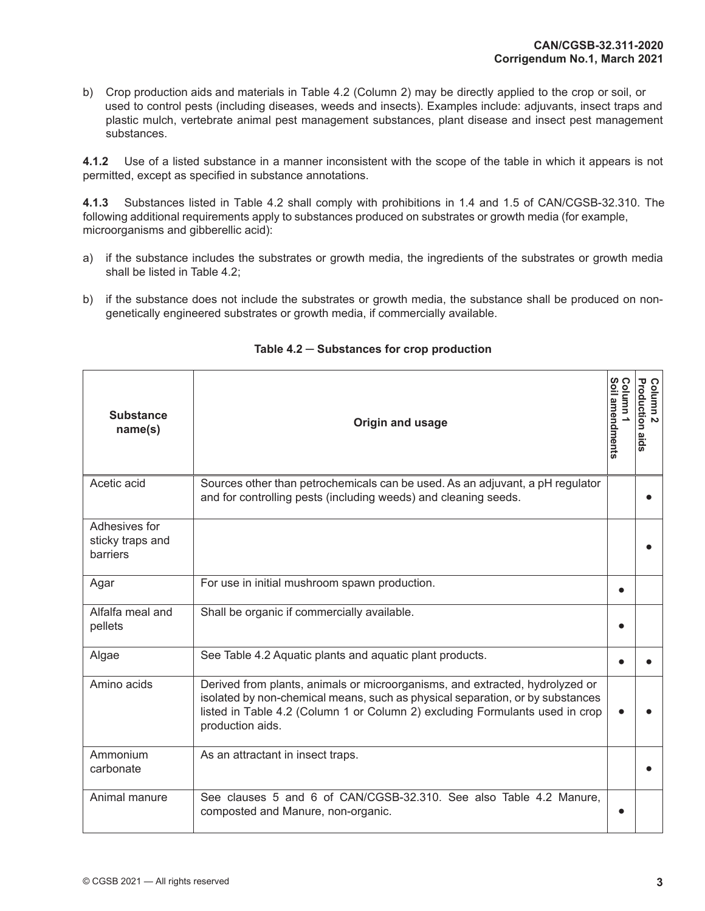b) Crop production aids and materials in Table 4.2 (Column 2) may be directly applied to the crop or soil, or used to control pests (including diseases, weeds and insects). Examples include: adjuvants, insect traps and plastic mulch, vertebrate animal pest management substances, plant disease and insect pest management substances.

**4.1.2** Use of a listed substance in a manner inconsistent with the scope of the table in which it appears is not permitted, except as specified in substance annotations.

**4.1.3** Substances listed in Table 4.2 shall comply with prohibitions in 1.4 and 1.5 of CAN/CGSB-32.310. The following additional requirements apply to substances produced on substrates or growth media (for example, microorganisms and gibberellic acid):

- a) if the substance includes the substrates or growth media, the ingredients of the substrates or growth media shall be listed in Table 4.2;
- b) if the substance does not include the substrates or growth media, the substance shall be produced on nongenetically engineered substrates or growth media, if commercially available.

| <b>Substance</b><br>name(s)                   | Origin and usage                                                                                                                                                                                                                                                  | Soil amendments<br>Column | <b>Production aids</b><br>Column<br>$\mathbf{v}$ |
|-----------------------------------------------|-------------------------------------------------------------------------------------------------------------------------------------------------------------------------------------------------------------------------------------------------------------------|---------------------------|--------------------------------------------------|
| Acetic acid                                   | Sources other than petrochemicals can be used. As an adjuvant, a pH regulator<br>and for controlling pests (including weeds) and cleaning seeds.                                                                                                                  |                           |                                                  |
| Adhesives for<br>sticky traps and<br>barriers |                                                                                                                                                                                                                                                                   |                           |                                                  |
| Agar                                          | For use in initial mushroom spawn production.                                                                                                                                                                                                                     |                           |                                                  |
| Alfalfa meal and<br>pellets                   | Shall be organic if commercially available.                                                                                                                                                                                                                       |                           |                                                  |
| Algae                                         | See Table 4.2 Aquatic plants and aquatic plant products.                                                                                                                                                                                                          |                           |                                                  |
| Amino acids                                   | Derived from plants, animals or microorganisms, and extracted, hydrolyzed or<br>isolated by non-chemical means, such as physical separation, or by substances<br>listed in Table 4.2 (Column 1 or Column 2) excluding Formulants used in crop<br>production aids. |                           |                                                  |
| Ammonium<br>carbonate                         | As an attractant in insect traps.                                                                                                                                                                                                                                 |                           |                                                  |
| Animal manure                                 | See clauses 5 and 6 of CAN/CGSB-32.310. See also Table 4.2 Manure.<br>composted and Manure, non-organic.                                                                                                                                                          |                           |                                                  |

**Table 4.2 ─ Substances for crop production**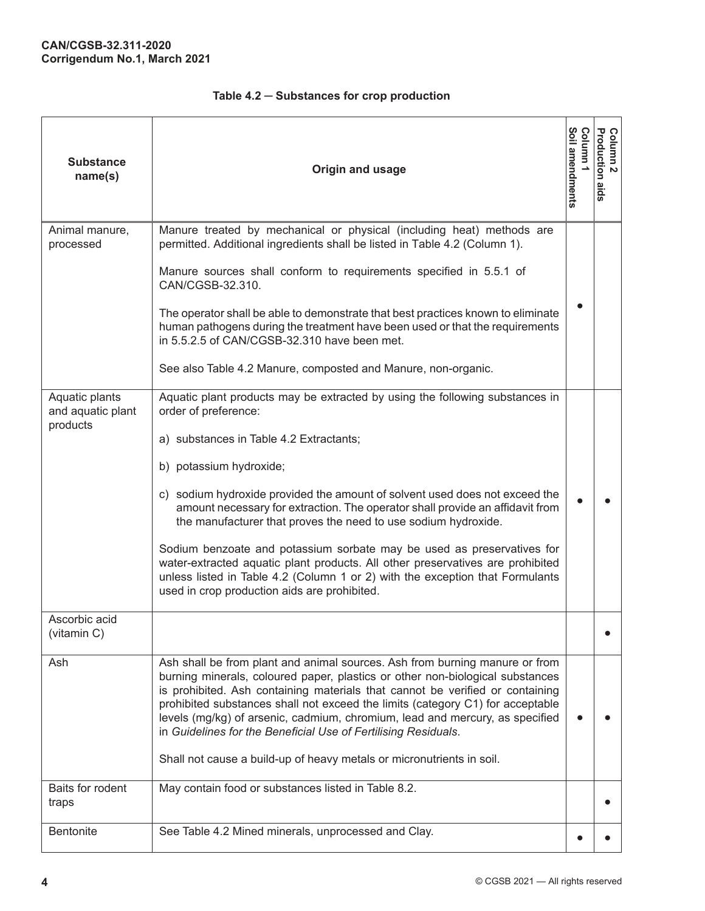| <b>Substance</b><br>name(s)                     | Origin and usage                                                                                                                                                                                                                                                                                                                                                                                                                                                                                                                                                                                                                                                                                          | Soil amendments<br>O<br>umulo: | Column 2<br>Production aids |
|-------------------------------------------------|-----------------------------------------------------------------------------------------------------------------------------------------------------------------------------------------------------------------------------------------------------------------------------------------------------------------------------------------------------------------------------------------------------------------------------------------------------------------------------------------------------------------------------------------------------------------------------------------------------------------------------------------------------------------------------------------------------------|--------------------------------|-----------------------------|
| Animal manure,<br>processed                     | Manure treated by mechanical or physical (including heat) methods are<br>permitted. Additional ingredients shall be listed in Table 4.2 (Column 1).<br>Manure sources shall conform to requirements specified in 5.5.1 of<br>CAN/CGSB-32.310.<br>The operator shall be able to demonstrate that best practices known to eliminate<br>human pathogens during the treatment have been used or that the requirements<br>in 5.5.2.5 of CAN/CGSB-32.310 have been met.<br>See also Table 4.2 Manure, composted and Manure, non-organic.                                                                                                                                                                        |                                |                             |
| Aquatic plants<br>and aquatic plant<br>products | Aquatic plant products may be extracted by using the following substances in<br>order of preference:<br>a) substances in Table 4.2 Extractants;<br>b) potassium hydroxide;<br>c) sodium hydroxide provided the amount of solvent used does not exceed the<br>amount necessary for extraction. The operator shall provide an affidavit from<br>the manufacturer that proves the need to use sodium hydroxide.<br>Sodium benzoate and potassium sorbate may be used as preservatives for<br>water-extracted aquatic plant products. All other preservatives are prohibited<br>unless listed in Table 4.2 (Column 1 or 2) with the exception that Formulants<br>used in crop production aids are prohibited. |                                |                             |
| Ascorbic acid<br>(vitamin C)                    |                                                                                                                                                                                                                                                                                                                                                                                                                                                                                                                                                                                                                                                                                                           |                                |                             |
| Ash                                             | Ash shall be from plant and animal sources. Ash from burning manure or from<br>burning minerals, coloured paper, plastics or other non-biological substances<br>is prohibited. Ash containing materials that cannot be verified or containing<br>prohibited substances shall not exceed the limits (category C1) for acceptable<br>levels (mg/kg) of arsenic, cadmium, chromium, lead and mercury, as specified<br>in Guidelines for the Beneficial Use of Fertilising Residuals.<br>Shall not cause a build-up of heavy metals or micronutrients in soil.                                                                                                                                                |                                |                             |
| Baits for rodent<br>traps                       | May contain food or substances listed in Table 8.2.                                                                                                                                                                                                                                                                                                                                                                                                                                                                                                                                                                                                                                                       |                                |                             |
| <b>Bentonite</b>                                | See Table 4.2 Mined minerals, unprocessed and Clay.                                                                                                                                                                                                                                                                                                                                                                                                                                                                                                                                                                                                                                                       |                                |                             |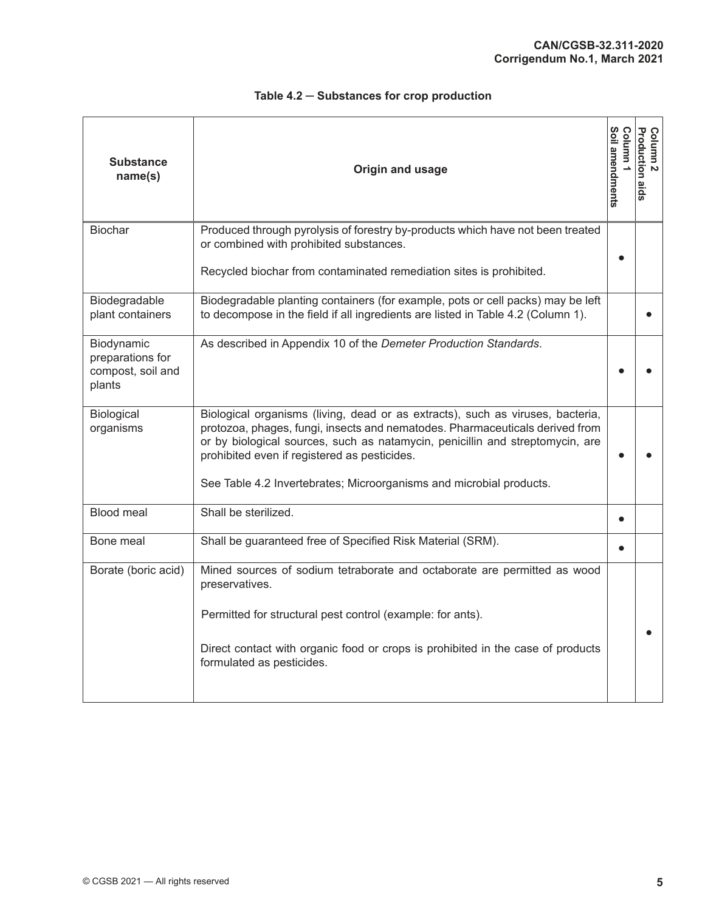| <b>Substance</b><br>name(s)                                   | Origin and usage                                                                                                                                                                                                                                                                                                                                                       | Soil amendments<br>bolumn | <b>Production aids</b><br>Column<br>$\mathbf{v}$ |
|---------------------------------------------------------------|------------------------------------------------------------------------------------------------------------------------------------------------------------------------------------------------------------------------------------------------------------------------------------------------------------------------------------------------------------------------|---------------------------|--------------------------------------------------|
| <b>Biochar</b>                                                | Produced through pyrolysis of forestry by-products which have not been treated<br>or combined with prohibited substances.<br>Recycled biochar from contaminated remediation sites is prohibited.                                                                                                                                                                       |                           |                                                  |
| Biodegradable<br>plant containers                             | Biodegradable planting containers (for example, pots or cell packs) may be left<br>to decompose in the field if all ingredients are listed in Table 4.2 (Column 1).                                                                                                                                                                                                    |                           |                                                  |
| Biodynamic<br>preparations for<br>compost, soil and<br>plants | As described in Appendix 10 of the Demeter Production Standards.                                                                                                                                                                                                                                                                                                       |                           |                                                  |
| Biological<br>organisms                                       | Biological organisms (living, dead or as extracts), such as viruses, bacteria,<br>protozoa, phages, fungi, insects and nematodes. Pharmaceuticals derived from<br>or by biological sources, such as natamycin, penicillin and streptomycin, are<br>prohibited even if registered as pesticides.<br>See Table 4.2 Invertebrates; Microorganisms and microbial products. | e                         |                                                  |
| <b>Blood meal</b>                                             | Shall be sterilized.                                                                                                                                                                                                                                                                                                                                                   | $\bullet$                 |                                                  |
| Bone meal                                                     | Shall be guaranteed free of Specified Risk Material (SRM).                                                                                                                                                                                                                                                                                                             |                           |                                                  |
| Borate (boric acid)                                           | Mined sources of sodium tetraborate and octaborate are permitted as wood<br>preservatives.<br>Permitted for structural pest control (example: for ants).<br>Direct contact with organic food or crops is prohibited in the case of products<br>formulated as pesticides.                                                                                               |                           |                                                  |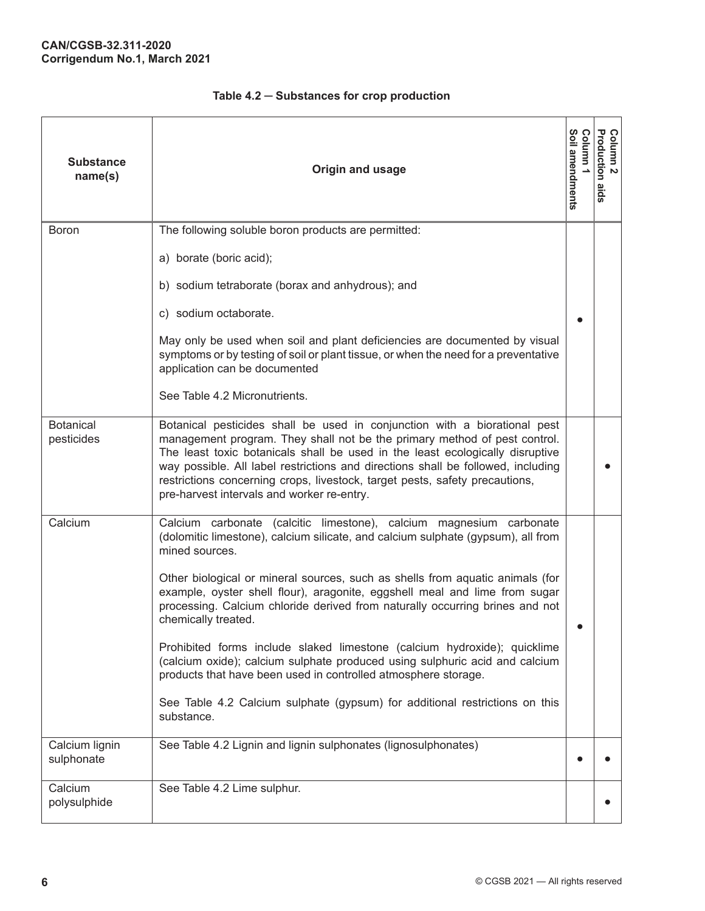| <b>Substance</b><br>name(s)    | Origin and usage                                                                                                                                                                                                                                                                                                                                                                                                                                         | Soil amendments<br>ດ<br>umuno | Column 2<br>Production aids |
|--------------------------------|----------------------------------------------------------------------------------------------------------------------------------------------------------------------------------------------------------------------------------------------------------------------------------------------------------------------------------------------------------------------------------------------------------------------------------------------------------|-------------------------------|-----------------------------|
| <b>Boron</b>                   | The following soluble boron products are permitted:                                                                                                                                                                                                                                                                                                                                                                                                      |                               |                             |
|                                | a) borate (boric acid);                                                                                                                                                                                                                                                                                                                                                                                                                                  |                               |                             |
|                                | b) sodium tetraborate (borax and anhydrous); and                                                                                                                                                                                                                                                                                                                                                                                                         |                               |                             |
|                                | c) sodium octaborate.                                                                                                                                                                                                                                                                                                                                                                                                                                    |                               |                             |
|                                | May only be used when soil and plant deficiencies are documented by visual<br>symptoms or by testing of soil or plant tissue, or when the need for a preventative<br>application can be documented                                                                                                                                                                                                                                                       |                               |                             |
|                                | See Table 4.2 Micronutrients.                                                                                                                                                                                                                                                                                                                                                                                                                            |                               |                             |
| <b>Botanical</b><br>pesticides | Botanical pesticides shall be used in conjunction with a biorational pest<br>management program. They shall not be the primary method of pest control.<br>The least toxic botanicals shall be used in the least ecologically disruptive<br>way possible. All label restrictions and directions shall be followed, including<br>restrictions concerning crops, livestock, target pests, safety precautions,<br>pre-harvest intervals and worker re-entry. |                               |                             |
| Calcium                        | Calcium carbonate (calcitic limestone), calcium magnesium carbonate<br>(dolomitic limestone), calcium silicate, and calcium sulphate (gypsum), all from<br>mined sources.                                                                                                                                                                                                                                                                                |                               |                             |
|                                | Other biological or mineral sources, such as shells from aquatic animals (for<br>example, oyster shell flour), aragonite, eggshell meal and lime from sugar<br>processing. Calcium chloride derived from naturally occurring brines and not<br>chemically treated.                                                                                                                                                                                       |                               |                             |
|                                | Prohibited forms include slaked limestone (calcium hydroxide); quicklime<br>(calcium oxide); calcium sulphate produced using sulphuric acid and calcium<br>products that have been used in controlled atmosphere storage.                                                                                                                                                                                                                                |                               |                             |
|                                | See Table 4.2 Calcium sulphate (gypsum) for additional restrictions on this<br>substance.                                                                                                                                                                                                                                                                                                                                                                |                               |                             |
| Calcium lignin<br>sulphonate   | See Table 4.2 Lignin and lignin sulphonates (lignosulphonates)                                                                                                                                                                                                                                                                                                                                                                                           |                               |                             |
| Calcium<br>polysulphide        | See Table 4.2 Lime sulphur.                                                                                                                                                                                                                                                                                                                                                                                                                              |                               |                             |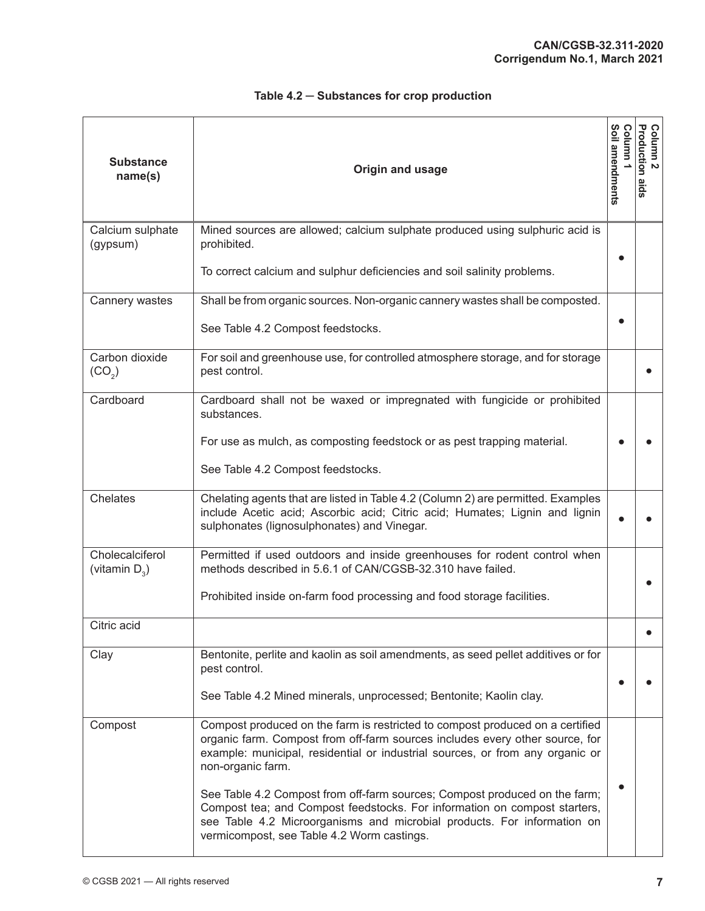| <b>Substance</b><br>name(s)          | Origin and usage                                                                                                                                                                                                                                                                 | Soil amendments<br>Column | <b>Production aids</b><br>Column<br>$\mathbf{v}$ |
|--------------------------------------|----------------------------------------------------------------------------------------------------------------------------------------------------------------------------------------------------------------------------------------------------------------------------------|---------------------------|--------------------------------------------------|
| Calcium sulphate<br>(gypsum)         | Mined sources are allowed; calcium sulphate produced using sulphuric acid is<br>prohibited.                                                                                                                                                                                      |                           |                                                  |
|                                      | To correct calcium and sulphur deficiencies and soil salinity problems.                                                                                                                                                                                                          |                           |                                                  |
| Cannery wastes                       | Shall be from organic sources. Non-organic cannery wastes shall be composted.                                                                                                                                                                                                    |                           |                                                  |
|                                      | See Table 4.2 Compost feedstocks.                                                                                                                                                                                                                                                |                           |                                                  |
| Carbon dioxide<br>(CO <sub>2</sub> ) | For soil and greenhouse use, for controlled atmosphere storage, and for storage<br>pest control.                                                                                                                                                                                 |                           |                                                  |
| Cardboard                            | Cardboard shall not be waxed or impregnated with fungicide or prohibited<br>substances.                                                                                                                                                                                          |                           |                                                  |
|                                      | For use as mulch, as composting feedstock or as pest trapping material.                                                                                                                                                                                                          |                           |                                                  |
|                                      | See Table 4.2 Compost feedstocks.                                                                                                                                                                                                                                                |                           |                                                  |
| Chelates                             | Chelating agents that are listed in Table 4.2 (Column 2) are permitted. Examples<br>include Acetic acid; Ascorbic acid; Citric acid; Humates; Lignin and lignin<br>sulphonates (lignosulphonates) and Vinegar.                                                                   |                           |                                                  |
| Cholecalciferol<br>(vitamin $D_3$ )  | Permitted if used outdoors and inside greenhouses for rodent control when<br>methods described in 5.6.1 of CAN/CGSB-32.310 have failed.                                                                                                                                          |                           |                                                  |
|                                      | Prohibited inside on-farm food processing and food storage facilities.                                                                                                                                                                                                           |                           |                                                  |
| Citric acid                          |                                                                                                                                                                                                                                                                                  |                           |                                                  |
| Clay                                 | Bentonite, perlite and kaolin as soil amendments, as seed pellet additives or for<br>pest control.                                                                                                                                                                               |                           |                                                  |
|                                      | See Table 4.2 Mined minerals, unprocessed; Bentonite; Kaolin clay.                                                                                                                                                                                                               |                           |                                                  |
| Compost                              | Compost produced on the farm is restricted to compost produced on a certified<br>organic farm. Compost from off-farm sources includes every other source, for<br>example: municipal, residential or industrial sources, or from any organic or<br>non-organic farm.              |                           |                                                  |
|                                      | See Table 4.2 Compost from off-farm sources; Compost produced on the farm;<br>Compost tea; and Compost feedstocks. For information on compost starters,<br>see Table 4.2 Microorganisms and microbial products. For information on<br>vermicompost, see Table 4.2 Worm castings. |                           |                                                  |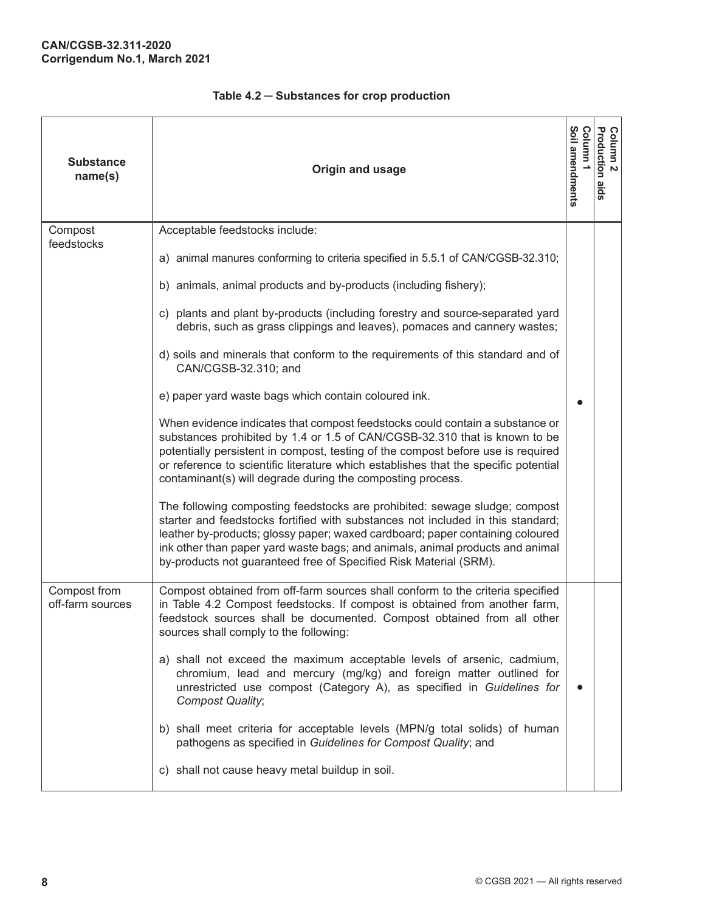| <b>Substance</b><br>name(s)      | Origin and usage                                                                                                                                                                                                                                                                                                                                                                                     | Soil amendments<br>umulo; | Column 2<br>Production a<br>spie |
|----------------------------------|------------------------------------------------------------------------------------------------------------------------------------------------------------------------------------------------------------------------------------------------------------------------------------------------------------------------------------------------------------------------------------------------------|---------------------------|----------------------------------|
| Compost<br>feedstocks            | Acceptable feedstocks include:                                                                                                                                                                                                                                                                                                                                                                       |                           |                                  |
|                                  | a) animal manures conforming to criteria specified in 5.5.1 of CAN/CGSB-32.310;                                                                                                                                                                                                                                                                                                                      |                           |                                  |
|                                  | b) animals, animal products and by-products (including fishery);                                                                                                                                                                                                                                                                                                                                     |                           |                                  |
|                                  | c) plants and plant by-products (including forestry and source-separated yard<br>debris, such as grass clippings and leaves), pomaces and cannery wastes;                                                                                                                                                                                                                                            |                           |                                  |
|                                  | d) soils and minerals that conform to the requirements of this standard and of<br>CAN/CGSB-32.310; and                                                                                                                                                                                                                                                                                               |                           |                                  |
|                                  | e) paper yard waste bags which contain coloured ink.                                                                                                                                                                                                                                                                                                                                                 |                           |                                  |
|                                  | When evidence indicates that compost feedstocks could contain a substance or<br>substances prohibited by 1.4 or 1.5 of CAN/CGSB-32.310 that is known to be<br>potentially persistent in compost, testing of the compost before use is required<br>or reference to scientific literature which establishes that the specific potential<br>contaminant(s) will degrade during the composting process.  |                           |                                  |
|                                  | The following composting feedstocks are prohibited: sewage sludge; compost<br>starter and feedstocks fortified with substances not included in this standard;<br>leather by-products; glossy paper; waxed cardboard; paper containing coloured<br>ink other than paper yard waste bags; and animals, animal products and animal<br>by-products not guaranteed free of Specified Risk Material (SRM). |                           |                                  |
| Compost from<br>off-farm sources | Compost obtained from off-farm sources shall conform to the criteria specified<br>in Table 4.2 Compost feedstocks. If compost is obtained from another farm,<br>feedstock sources shall be documented. Compost obtained from all other<br>sources shall comply to the following:                                                                                                                     |                           |                                  |
|                                  | a) shall not exceed the maximum acceptable levels of arsenic, cadmium,<br>chromium, lead and mercury (mg/kg) and foreign matter outlined for<br>unrestricted use compost (Category A), as specified in Guidelines for<br>Compost Quality;                                                                                                                                                            |                           |                                  |
|                                  | b) shall meet criteria for acceptable levels (MPN/g total solids) of human<br>pathogens as specified in Guidelines for Compost Quality; and                                                                                                                                                                                                                                                          |                           |                                  |
|                                  | c) shall not cause heavy metal buildup in soil.                                                                                                                                                                                                                                                                                                                                                      |                           |                                  |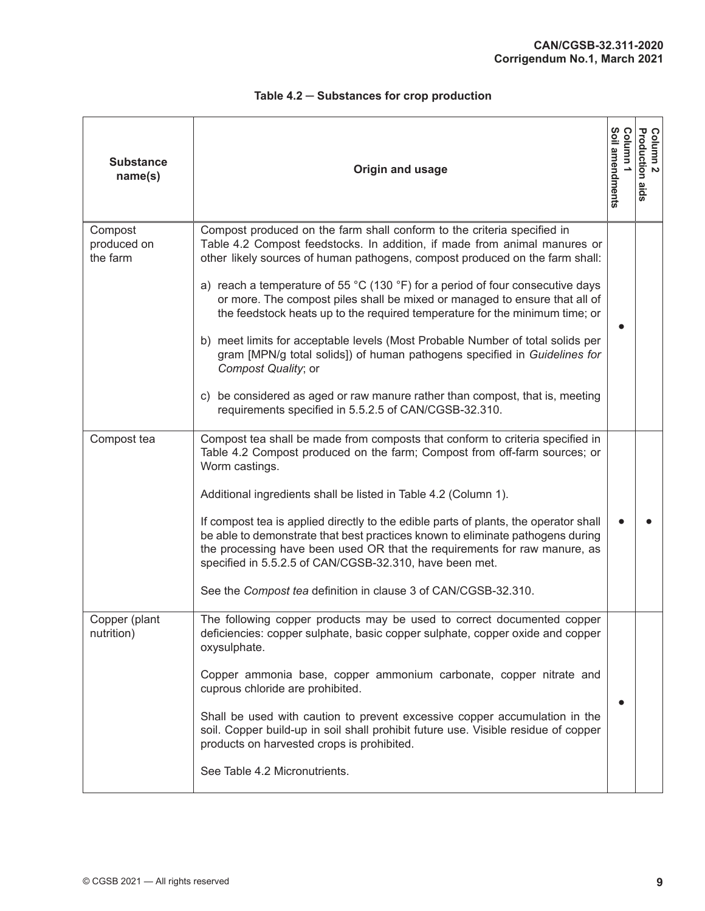| <b>Substance</b><br>name(s)        | Origin and usage                                                                                                                                                                                                                                                                                                       | Column 1<br>Soil amendments | Column 2<br>Production a<br>spie |
|------------------------------------|------------------------------------------------------------------------------------------------------------------------------------------------------------------------------------------------------------------------------------------------------------------------------------------------------------------------|-----------------------------|----------------------------------|
| Compost<br>produced on<br>the farm | Compost produced on the farm shall conform to the criteria specified in<br>Table 4.2 Compost feedstocks. In addition, if made from animal manures or<br>other likely sources of human pathogens, compost produced on the farm shall:<br>a) reach a temperature of 55 °C (130 °F) for a period of four consecutive days |                             |                                  |
|                                    | or more. The compost piles shall be mixed or managed to ensure that all of<br>the feedstock heats up to the required temperature for the minimum time; or                                                                                                                                                              |                             |                                  |
|                                    | b) meet limits for acceptable levels (Most Probable Number of total solids per<br>gram [MPN/g total solids]) of human pathogens specified in Guidelines for<br>Compost Quality; or                                                                                                                                     |                             |                                  |
|                                    | c) be considered as aged or raw manure rather than compost, that is, meeting<br>requirements specified in 5.5.2.5 of CAN/CGSB-32.310.                                                                                                                                                                                  |                             |                                  |
| Compost tea                        | Compost tea shall be made from composts that conform to criteria specified in<br>Table 4.2 Compost produced on the farm; Compost from off-farm sources; or<br>Worm castings.                                                                                                                                           |                             |                                  |
|                                    | Additional ingredients shall be listed in Table 4.2 (Column 1).                                                                                                                                                                                                                                                        |                             |                                  |
|                                    | If compost tea is applied directly to the edible parts of plants, the operator shall<br>be able to demonstrate that best practices known to eliminate pathogens during<br>the processing have been used OR that the requirements for raw manure, as<br>specified in 5.5.2.5 of CAN/CGSB-32.310, have been met.         |                             |                                  |
|                                    | See the Compost tea definition in clause 3 of CAN/CGSB-32.310.                                                                                                                                                                                                                                                         |                             |                                  |
| Copper (plant<br>nutrition)        | The following copper products may be used to correct documented copper<br>deficiencies: copper sulphate, basic copper sulphate, copper oxide and copper<br>oxysulphate.                                                                                                                                                |                             |                                  |
|                                    | Copper ammonia base, copper ammonium carbonate, copper nitrate and<br>cuprous chloride are prohibited.                                                                                                                                                                                                                 |                             |                                  |
|                                    | Shall be used with caution to prevent excessive copper accumulation in the<br>soil. Copper build-up in soil shall prohibit future use. Visible residue of copper<br>products on harvested crops is prohibited.                                                                                                         |                             |                                  |
|                                    | See Table 4.2 Micronutrients.                                                                                                                                                                                                                                                                                          |                             |                                  |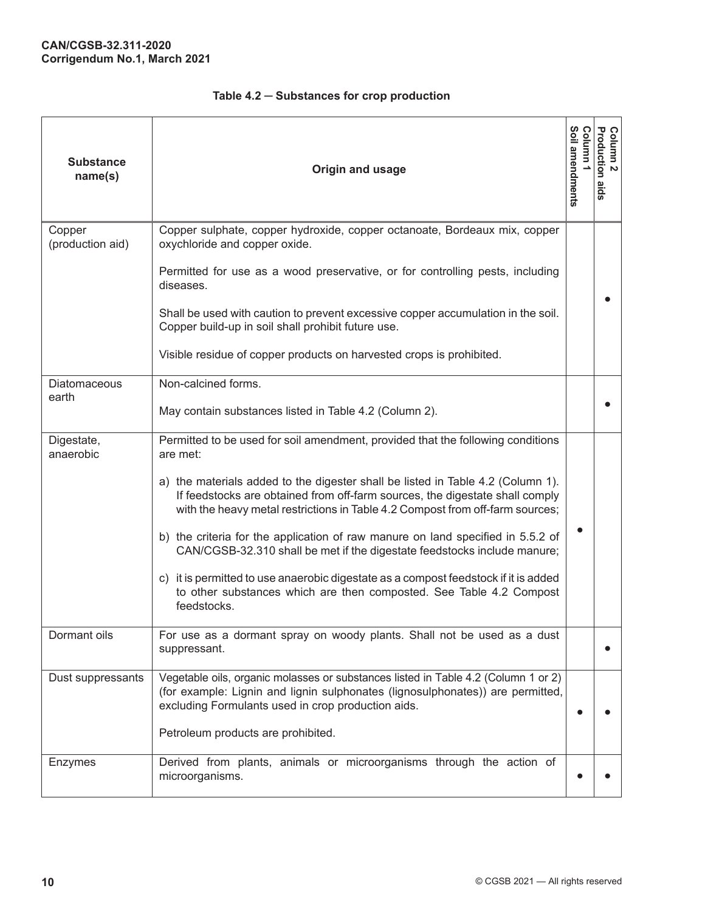| <b>Substance</b><br>name(s) | Origin and usage                                                                                                                                                                                                                                                                                                                                                                                                                                                                                                                                                                                                                                                                            | Soil amendments<br>Column | Column 2<br>Production aids |
|-----------------------------|---------------------------------------------------------------------------------------------------------------------------------------------------------------------------------------------------------------------------------------------------------------------------------------------------------------------------------------------------------------------------------------------------------------------------------------------------------------------------------------------------------------------------------------------------------------------------------------------------------------------------------------------------------------------------------------------|---------------------------|-----------------------------|
| Copper<br>(production aid)  | Copper sulphate, copper hydroxide, copper octanoate, Bordeaux mix, copper<br>oxychloride and copper oxide.<br>Permitted for use as a wood preservative, or for controlling pests, including<br>diseases.<br>Shall be used with caution to prevent excessive copper accumulation in the soil.<br>Copper build-up in soil shall prohibit future use.<br>Visible residue of copper products on harvested crops is prohibited.                                                                                                                                                                                                                                                                  |                           |                             |
| Diatomaceous<br>earth       | Non-calcined forms.<br>May contain substances listed in Table 4.2 (Column 2).                                                                                                                                                                                                                                                                                                                                                                                                                                                                                                                                                                                                               |                           |                             |
| Digestate,<br>anaerobic     | Permitted to be used for soil amendment, provided that the following conditions<br>are met:<br>a) the materials added to the digester shall be listed in Table 4.2 (Column 1).<br>If feedstocks are obtained from off-farm sources, the digestate shall comply<br>with the heavy metal restrictions in Table 4.2 Compost from off-farm sources;<br>b) the criteria for the application of raw manure on land specified in 5.5.2 of<br>CAN/CGSB-32.310 shall be met if the digestate feedstocks include manure;<br>c) it is permitted to use anaerobic digestate as a compost feedstock if it is added<br>to other substances which are then composted. See Table 4.2 Compost<br>feedstocks. |                           |                             |
| Dormant oils                | For use as a dormant spray on woody plants. Shall not be used as a dust<br>suppressant.                                                                                                                                                                                                                                                                                                                                                                                                                                                                                                                                                                                                     |                           |                             |
| Dust suppressants           | Vegetable oils, organic molasses or substances listed in Table 4.2 (Column 1 or 2)<br>(for example: Lignin and lignin sulphonates (lignosulphonates)) are permitted,<br>excluding Formulants used in crop production aids.<br>Petroleum products are prohibited.                                                                                                                                                                                                                                                                                                                                                                                                                            |                           |                             |
| Enzymes                     | Derived from plants, animals or microorganisms through the action of<br>microorganisms.                                                                                                                                                                                                                                                                                                                                                                                                                                                                                                                                                                                                     |                           |                             |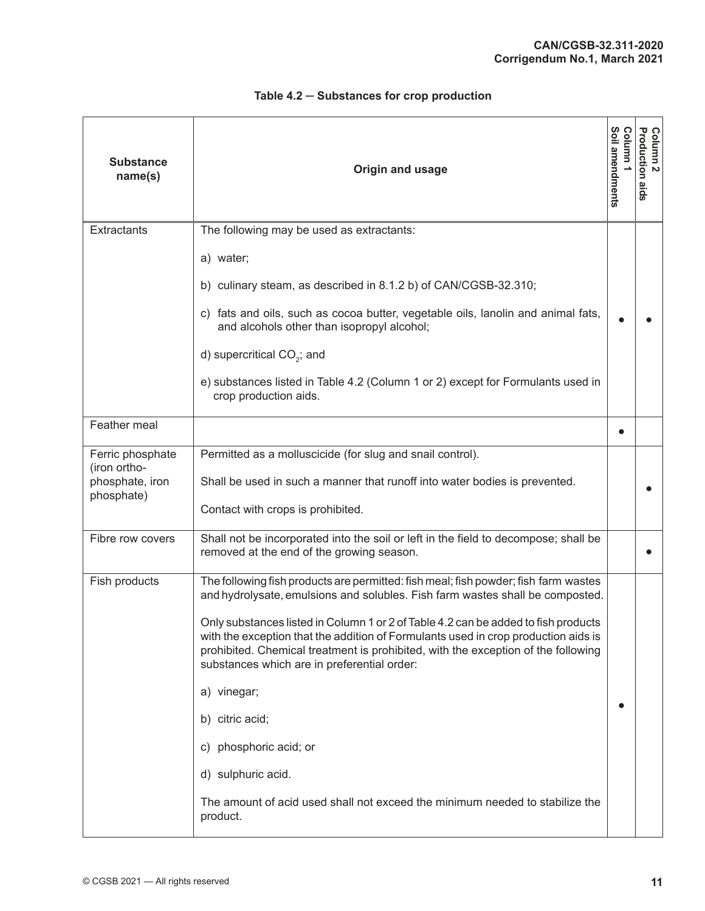| <b>Substance</b><br>name(s)      | Origin and usage                                                                                                                                                                                                                                                                                             | Soil amendments<br>uuuno; | Column 2<br>Production aids |
|----------------------------------|--------------------------------------------------------------------------------------------------------------------------------------------------------------------------------------------------------------------------------------------------------------------------------------------------------------|---------------------------|-----------------------------|
| Extractants                      | The following may be used as extractants:                                                                                                                                                                                                                                                                    |                           |                             |
|                                  | a) water;                                                                                                                                                                                                                                                                                                    |                           |                             |
|                                  | b) culinary steam, as described in 8.1.2 b) of CAN/CGSB-32.310;                                                                                                                                                                                                                                              |                           |                             |
|                                  | c) fats and oils, such as cocoa butter, vegetable oils, lanolin and animal fats,<br>and alcohols other than isopropyl alcohol;                                                                                                                                                                               |                           |                             |
|                                  | d) supercritical CO <sub>2</sub> ; and                                                                                                                                                                                                                                                                       |                           |                             |
|                                  | e) substances listed in Table 4.2 (Column 1 or 2) except for Formulants used in<br>crop production aids.                                                                                                                                                                                                     |                           |                             |
| Feather meal                     |                                                                                                                                                                                                                                                                                                              |                           |                             |
| Ferric phosphate<br>(iron ortho- | Permitted as a molluscicide (for slug and snail control).                                                                                                                                                                                                                                                    |                           |                             |
| phosphate, iron                  | Shall be used in such a manner that runoff into water bodies is prevented.                                                                                                                                                                                                                                   |                           |                             |
| phosphate)                       | Contact with crops is prohibited.                                                                                                                                                                                                                                                                            |                           |                             |
| Fibre row covers                 | Shall not be incorporated into the soil or left in the field to decompose; shall be<br>removed at the end of the growing season.                                                                                                                                                                             |                           |                             |
| Fish products                    | The following fish products are permitted: fish meal; fish powder; fish farm wastes<br>and hydrolysate, emulsions and solubles. Fish farm wastes shall be composted.                                                                                                                                         |                           |                             |
|                                  | Only substances listed in Column 1 or 2 of Table 4.2 can be added to fish products<br>with the exception that the addition of Formulants used in crop production aids is<br>prohibited. Chemical treatment is prohibited, with the exception of the following<br>substances which are in preferential order: |                           |                             |
|                                  | a) vinegar;                                                                                                                                                                                                                                                                                                  |                           |                             |
|                                  | b) citric acid;                                                                                                                                                                                                                                                                                              |                           |                             |
|                                  | c) phosphoric acid; or                                                                                                                                                                                                                                                                                       |                           |                             |
|                                  | d) sulphuric acid.                                                                                                                                                                                                                                                                                           |                           |                             |
|                                  | The amount of acid used shall not exceed the minimum needed to stabilize the<br>product.                                                                                                                                                                                                                     |                           |                             |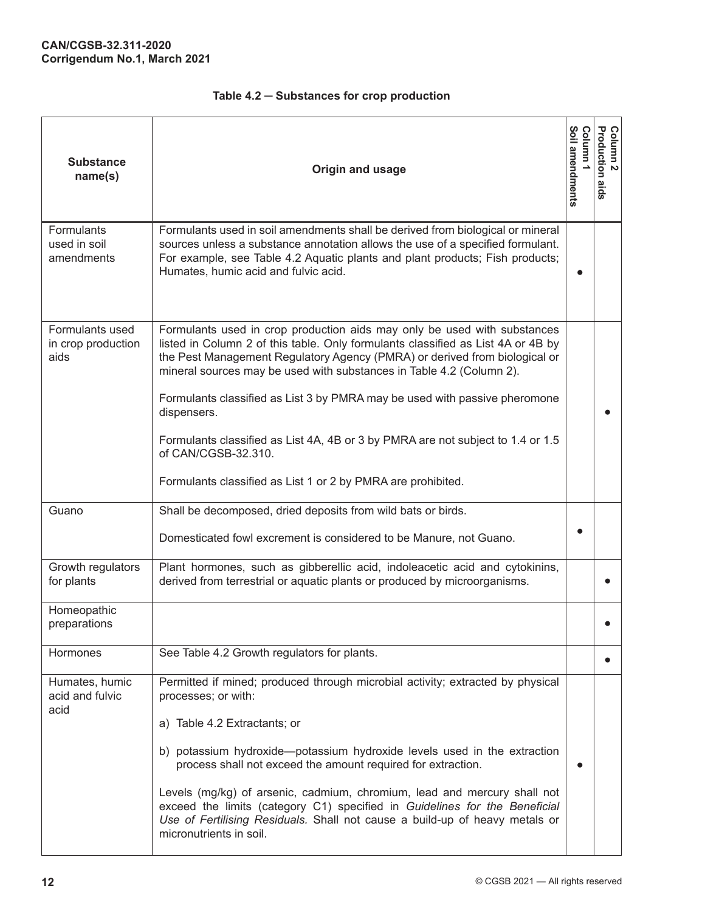| <b>Substance</b><br>name(s)                    | Origin and usage                                                                                                                                                                                                                                                                                                                                                                                                                                                                                                                                                                          | Soil amendments<br>Column | Column 2<br>Production aids |
|------------------------------------------------|-------------------------------------------------------------------------------------------------------------------------------------------------------------------------------------------------------------------------------------------------------------------------------------------------------------------------------------------------------------------------------------------------------------------------------------------------------------------------------------------------------------------------------------------------------------------------------------------|---------------------------|-----------------------------|
| Formulants<br>used in soil<br>amendments       | Formulants used in soil amendments shall be derived from biological or mineral<br>sources unless a substance annotation allows the use of a specified formulant.<br>For example, see Table 4.2 Aquatic plants and plant products; Fish products;<br>Humates, humic acid and fulvic acid.                                                                                                                                                                                                                                                                                                  | 6                         |                             |
| Formulants used<br>in crop production<br>aids  | Formulants used in crop production aids may only be used with substances<br>listed in Column 2 of this table. Only formulants classified as List 4A or 4B by<br>the Pest Management Regulatory Agency (PMRA) or derived from biological or<br>mineral sources may be used with substances in Table 4.2 (Column 2).<br>Formulants classified as List 3 by PMRA may be used with passive pheromone<br>dispensers.<br>Formulants classified as List 4A, 4B or 3 by PMRA are not subject to 1.4 or 1.5<br>of CAN/CGSB-32.310.<br>Formulants classified as List 1 or 2 by PMRA are prohibited. |                           |                             |
| Guano                                          | Shall be decomposed, dried deposits from wild bats or birds.<br>Domesticated fowl excrement is considered to be Manure, not Guano.                                                                                                                                                                                                                                                                                                                                                                                                                                                        |                           |                             |
| Growth regulators<br>for plants<br>Homeopathic | Plant hormones, such as gibberellic acid, indoleacetic acid and cytokinins,<br>derived from terrestrial or aquatic plants or produced by microorganisms.                                                                                                                                                                                                                                                                                                                                                                                                                                  |                           |                             |
| preparations<br>Hormones                       |                                                                                                                                                                                                                                                                                                                                                                                                                                                                                                                                                                                           |                           |                             |
| Humates, humic<br>acid and fulvic<br>acid      | See Table 4.2 Growth regulators for plants.<br>Permitted if mined; produced through microbial activity; extracted by physical<br>processes; or with:<br>a) Table 4.2 Extractants; or                                                                                                                                                                                                                                                                                                                                                                                                      |                           |                             |
|                                                | b) potassium hydroxide—potassium hydroxide levels used in the extraction<br>process shall not exceed the amount required for extraction.<br>Levels (mg/kg) of arsenic, cadmium, chromium, lead and mercury shall not<br>exceed the limits (category C1) specified in Guidelines for the Beneficial<br>Use of Fertilising Residuals. Shall not cause a build-up of heavy metals or<br>micronutrients in soil.                                                                                                                                                                              | $\bullet$                 |                             |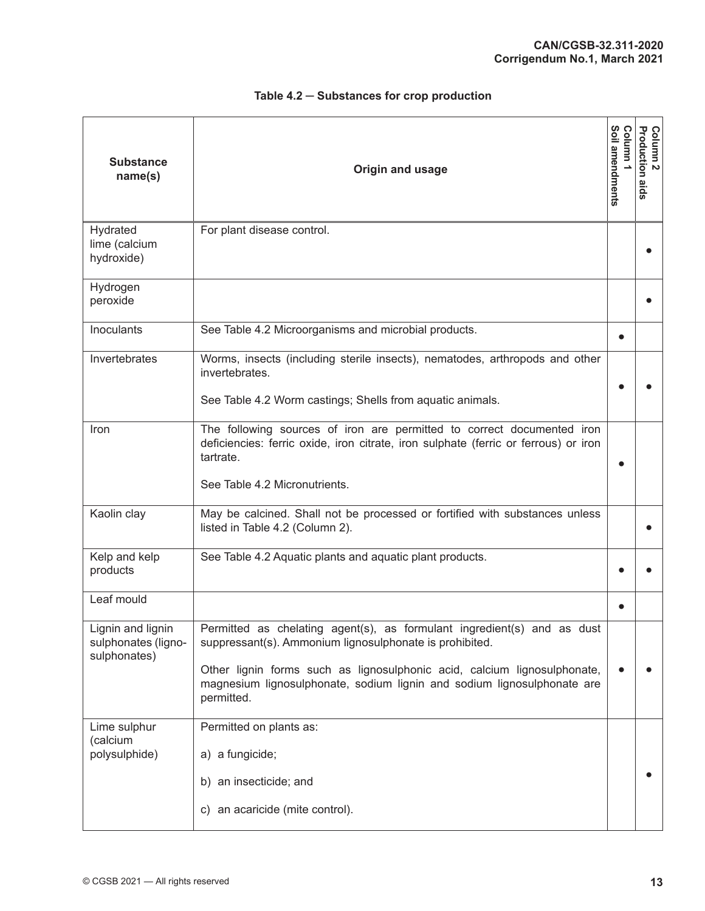| <b>Substance</b><br>name(s)                              | Origin and usage                                                                                                                                                                                                                                                                                        | Soil amendments<br>Column | <b>Column 2</b><br>Production aids |
|----------------------------------------------------------|---------------------------------------------------------------------------------------------------------------------------------------------------------------------------------------------------------------------------------------------------------------------------------------------------------|---------------------------|------------------------------------|
| Hydrated<br>lime (calcium<br>hydroxide)                  | For plant disease control.                                                                                                                                                                                                                                                                              |                           |                                    |
| Hydrogen<br>peroxide                                     |                                                                                                                                                                                                                                                                                                         |                           |                                    |
| Inoculants                                               | See Table 4.2 Microorganisms and microbial products.                                                                                                                                                                                                                                                    |                           |                                    |
| Invertebrates                                            | Worms, insects (including sterile insects), nematodes, arthropods and other<br>invertebrates.<br>See Table 4.2 Worm castings; Shells from aquatic animals.                                                                                                                                              |                           |                                    |
| Iron                                                     | The following sources of iron are permitted to correct documented iron<br>deficiencies: ferric oxide, iron citrate, iron sulphate (ferric or ferrous) or iron<br>tartrate.<br>See Table 4.2 Micronutrients.                                                                                             |                           |                                    |
| Kaolin clay                                              | May be calcined. Shall not be processed or fortified with substances unless<br>listed in Table 4.2 (Column 2).                                                                                                                                                                                          |                           |                                    |
| Kelp and kelp<br>products                                | See Table 4.2 Aquatic plants and aquatic plant products.                                                                                                                                                                                                                                                |                           |                                    |
| Leaf mould                                               |                                                                                                                                                                                                                                                                                                         |                           |                                    |
| Lignin and lignin<br>sulphonates (ligno-<br>sulphonates) | Permitted as chelating agent(s), as formulant ingredient(s) and as dust<br>suppressant(s). Ammonium lignosulphonate is prohibited.<br>Other lignin forms such as lignosulphonic acid, calcium lignosulphonate,<br>magnesium lignosulphonate, sodium lignin and sodium lignosulphonate are<br>permitted. |                           |                                    |
| Lime sulphur<br>(calcium<br>polysulphide)                | Permitted on plants as:<br>a) a fungicide;<br>b) an insecticide; and<br>c) an acaricide (mite control).                                                                                                                                                                                                 |                           |                                    |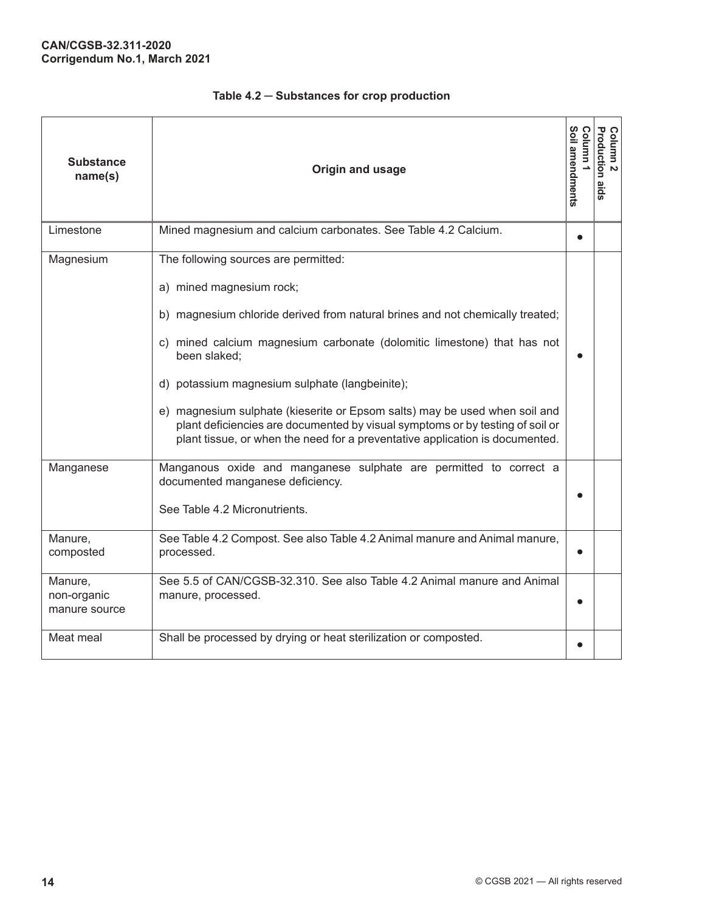| <b>Substance</b><br>name(s)                  | Origin and usage                                                                                                                                                                                                                                                                                                                                                                                                                                                                                                                              | Soil amendments<br>Column | Column 2<br>Production aids |
|----------------------------------------------|-----------------------------------------------------------------------------------------------------------------------------------------------------------------------------------------------------------------------------------------------------------------------------------------------------------------------------------------------------------------------------------------------------------------------------------------------------------------------------------------------------------------------------------------------|---------------------------|-----------------------------|
| Limestone                                    | Mined magnesium and calcium carbonates. See Table 4.2 Calcium.                                                                                                                                                                                                                                                                                                                                                                                                                                                                                | $\bullet$                 |                             |
| Magnesium                                    | The following sources are permitted:<br>a) mined magnesium rock;<br>b) magnesium chloride derived from natural brines and not chemically treated;<br>c) mined calcium magnesium carbonate (dolomitic limestone) that has not<br>been slaked;<br>d) potassium magnesium sulphate (langbeinite);<br>e) magnesium sulphate (kieserite or Epsom salts) may be used when soil and<br>plant deficiencies are documented by visual symptoms or by testing of soil or<br>plant tissue, or when the need for a preventative application is documented. |                           |                             |
| Manganese<br>Manure,<br>composted<br>Manure, | Manganous oxide and manganese sulphate are permitted to correct a<br>documented manganese deficiency.<br>See Table 4.2 Micronutrients.<br>See Table 4.2 Compost. See also Table 4.2 Animal manure and Animal manure,<br>processed.<br>See 5.5 of CAN/CGSB-32.310. See also Table 4.2 Animal manure and Animal                                                                                                                                                                                                                                 | $\bullet$                 |                             |
| non-organic<br>manure source<br>Meat meal    | manure, processed.<br>Shall be processed by drying or heat sterilization or composted.                                                                                                                                                                                                                                                                                                                                                                                                                                                        |                           |                             |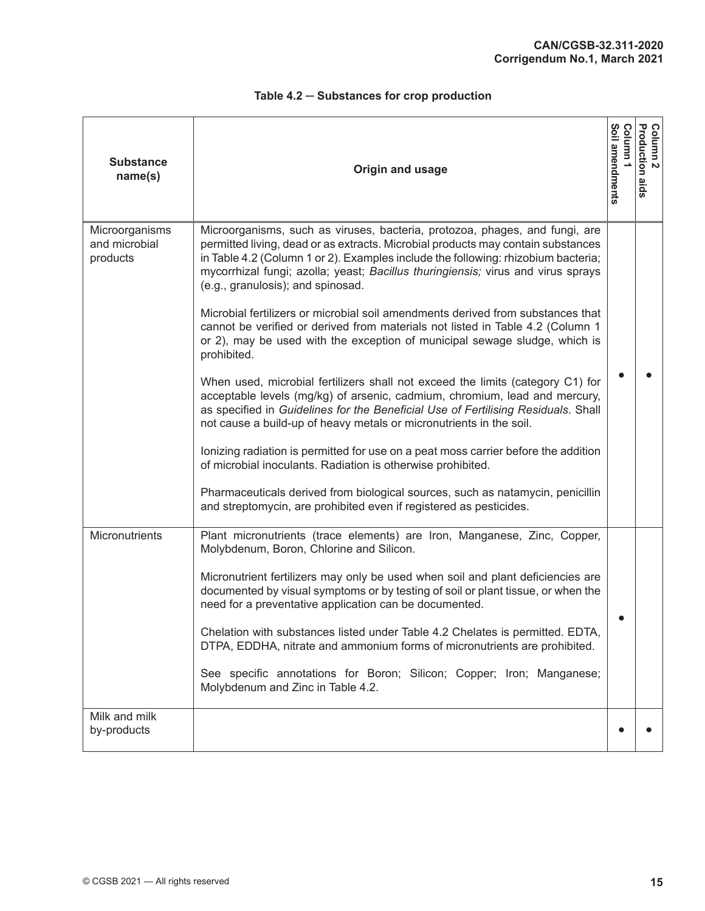| <b>Substance</b><br>name(s)                 | Origin and usage                                                                                                                                                                                                                                                                                                                                                              | Soil amendments<br>umulo: | <b>Production aids</b><br>Column<br>$\mathbf{v}$ |
|---------------------------------------------|-------------------------------------------------------------------------------------------------------------------------------------------------------------------------------------------------------------------------------------------------------------------------------------------------------------------------------------------------------------------------------|---------------------------|--------------------------------------------------|
| Microorganisms<br>and microbial<br>products | Microorganisms, such as viruses, bacteria, protozoa, phages, and fungi, are<br>permitted living, dead or as extracts. Microbial products may contain substances<br>in Table 4.2 (Column 1 or 2). Examples include the following: rhizobium bacteria;<br>mycorrhizal fungi; azolla; yeast; Bacillus thuringiensis; virus and virus sprays<br>(e.g., granulosis); and spinosad. |                           |                                                  |
|                                             | Microbial fertilizers or microbial soil amendments derived from substances that<br>cannot be verified or derived from materials not listed in Table 4.2 (Column 1<br>or 2), may be used with the exception of municipal sewage sludge, which is<br>prohibited.                                                                                                                |                           |                                                  |
|                                             | When used, microbial fertilizers shall not exceed the limits (category C1) for<br>acceptable levels (mg/kg) of arsenic, cadmium, chromium, lead and mercury,<br>as specified in Guidelines for the Beneficial Use of Fertilising Residuals. Shall<br>not cause a build-up of heavy metals or micronutrients in the soil.                                                      |                           |                                                  |
|                                             | lonizing radiation is permitted for use on a peat moss carrier before the addition<br>of microbial inoculants. Radiation is otherwise prohibited.                                                                                                                                                                                                                             |                           |                                                  |
|                                             | Pharmaceuticals derived from biological sources, such as natamycin, penicillin<br>and streptomycin, are prohibited even if registered as pesticides.                                                                                                                                                                                                                          |                           |                                                  |
| Micronutrients                              | Plant micronutrients (trace elements) are Iron, Manganese, Zinc, Copper,<br>Molybdenum, Boron, Chlorine and Silicon.<br>Micronutrient fertilizers may only be used when soil and plant deficiencies are                                                                                                                                                                       |                           |                                                  |
|                                             | documented by visual symptoms or by testing of soil or plant tissue, or when the<br>need for a preventative application can be documented.                                                                                                                                                                                                                                    |                           |                                                  |
|                                             | Chelation with substances listed under Table 4.2 Chelates is permitted. EDTA,<br>DTPA, EDDHA, nitrate and ammonium forms of micronutrients are prohibited.                                                                                                                                                                                                                    |                           |                                                  |
|                                             | See specific annotations for Boron; Silicon; Copper; Iron; Manganese;<br>Molybdenum and Zinc in Table 4.2.                                                                                                                                                                                                                                                                    |                           |                                                  |
| Milk and milk<br>by-products                |                                                                                                                                                                                                                                                                                                                                                                               |                           |                                                  |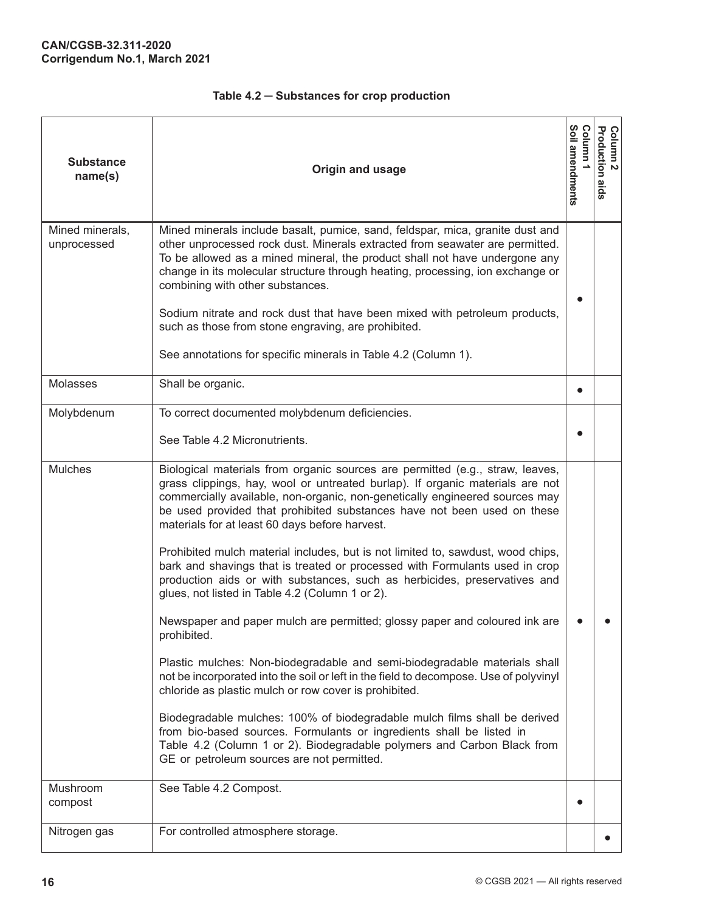| <b>Substance</b><br>name(s)    | Origin and usage                                                                                                                                                                                                                                                                                                                                                                                                                                                                                                                                                         | Soil amendments<br>Column | Column 2<br>Production aids |
|--------------------------------|--------------------------------------------------------------------------------------------------------------------------------------------------------------------------------------------------------------------------------------------------------------------------------------------------------------------------------------------------------------------------------------------------------------------------------------------------------------------------------------------------------------------------------------------------------------------------|---------------------------|-----------------------------|
| Mined minerals,<br>unprocessed | Mined minerals include basalt, pumice, sand, feldspar, mica, granite dust and<br>other unprocessed rock dust. Minerals extracted from seawater are permitted.<br>To be allowed as a mined mineral, the product shall not have undergone any<br>change in its molecular structure through heating, processing, ion exchange or<br>combining with other substances.<br>Sodium nitrate and rock dust that have been mixed with petroleum products,<br>such as those from stone engraving, are prohibited.<br>See annotations for specific minerals in Table 4.2 (Column 1). |                           |                             |
| <b>Molasses</b>                | Shall be organic.                                                                                                                                                                                                                                                                                                                                                                                                                                                                                                                                                        | $\bullet$                 |                             |
| Molybdenum                     | To correct documented molybdenum deficiencies.<br>See Table 4.2 Micronutrients.                                                                                                                                                                                                                                                                                                                                                                                                                                                                                          |                           |                             |
| <b>Mulches</b>                 | Biological materials from organic sources are permitted (e.g., straw, leaves,<br>grass clippings, hay, wool or untreated burlap). If organic materials are not<br>commercially available, non-organic, non-genetically engineered sources may<br>be used provided that prohibited substances have not been used on these<br>materials for at least 60 days before harvest.                                                                                                                                                                                               |                           |                             |
|                                | Prohibited mulch material includes, but is not limited to, sawdust, wood chips,<br>bark and shavings that is treated or processed with Formulants used in crop<br>production aids or with substances, such as herbicides, preservatives and<br>glues, not listed in Table 4.2 (Column 1 or 2).                                                                                                                                                                                                                                                                           |                           |                             |
|                                | Newspaper and paper mulch are permitted; glossy paper and coloured ink are<br>prohibited.                                                                                                                                                                                                                                                                                                                                                                                                                                                                                |                           |                             |
|                                | Plastic mulches: Non-biodegradable and semi-biodegradable materials shall<br>not be incorporated into the soil or left in the field to decompose. Use of polyvinyl<br>chloride as plastic mulch or row cover is prohibited.                                                                                                                                                                                                                                                                                                                                              |                           |                             |
|                                | Biodegradable mulches: 100% of biodegradable mulch films shall be derived<br>from bio-based sources. Formulants or ingredients shall be listed in<br>Table 4.2 (Column 1 or 2). Biodegradable polymers and Carbon Black from<br>GE or petroleum sources are not permitted.                                                                                                                                                                                                                                                                                               |                           |                             |
| Mushroom<br>compost            | See Table 4.2 Compost.                                                                                                                                                                                                                                                                                                                                                                                                                                                                                                                                                   |                           |                             |
| Nitrogen gas                   | For controlled atmosphere storage.                                                                                                                                                                                                                                                                                                                                                                                                                                                                                                                                       |                           |                             |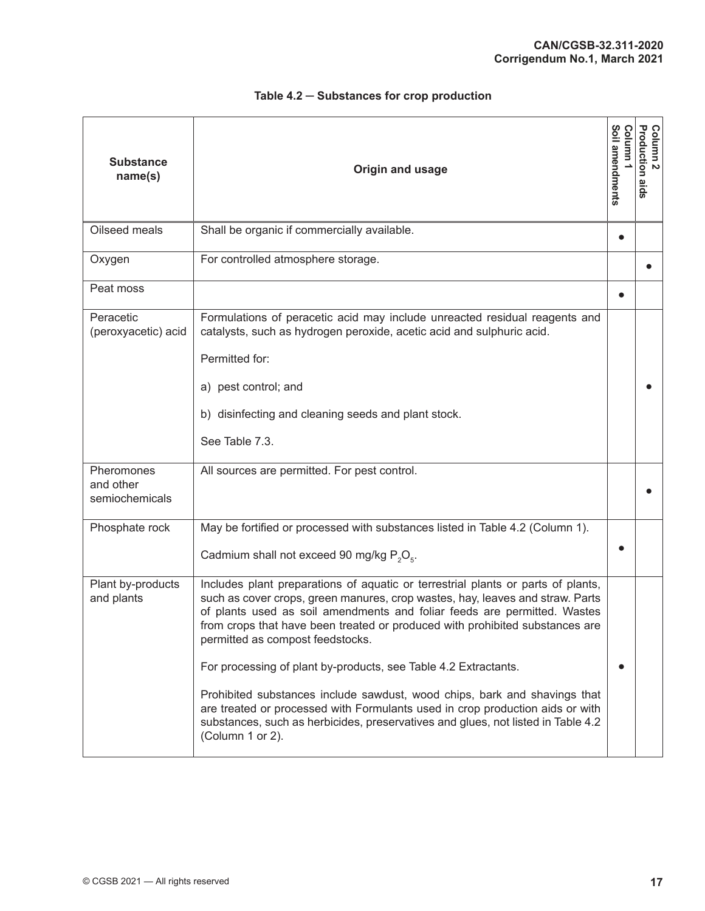| <b>Substance</b><br>name(s)               | Origin and usage                                                                                                                                                                                                                                                                                                                                                                                                                                                                                                                                                                                                                                                                                           | Soil amendments<br>Column | Column 2<br>Production aids |
|-------------------------------------------|------------------------------------------------------------------------------------------------------------------------------------------------------------------------------------------------------------------------------------------------------------------------------------------------------------------------------------------------------------------------------------------------------------------------------------------------------------------------------------------------------------------------------------------------------------------------------------------------------------------------------------------------------------------------------------------------------------|---------------------------|-----------------------------|
| Oilseed meals                             | Shall be organic if commercially available.                                                                                                                                                                                                                                                                                                                                                                                                                                                                                                                                                                                                                                                                |                           |                             |
| Oxygen                                    | For controlled atmosphere storage.                                                                                                                                                                                                                                                                                                                                                                                                                                                                                                                                                                                                                                                                         |                           |                             |
| Peat moss                                 |                                                                                                                                                                                                                                                                                                                                                                                                                                                                                                                                                                                                                                                                                                            |                           |                             |
| Peracetic<br>(peroxyacetic) acid          | Formulations of peracetic acid may include unreacted residual reagents and<br>catalysts, such as hydrogen peroxide, acetic acid and sulphuric acid.<br>Permitted for:<br>a) pest control; and<br>b) disinfecting and cleaning seeds and plant stock.<br>See Table 7.3.                                                                                                                                                                                                                                                                                                                                                                                                                                     |                           |                             |
| Pheromones<br>and other<br>semiochemicals | All sources are permitted. For pest control.                                                                                                                                                                                                                                                                                                                                                                                                                                                                                                                                                                                                                                                               |                           |                             |
| Phosphate rock                            | May be fortified or processed with substances listed in Table 4.2 (Column 1).<br>Cadmium shall not exceed 90 mg/kg P <sub>2</sub> O <sub>F</sub> .                                                                                                                                                                                                                                                                                                                                                                                                                                                                                                                                                         |                           |                             |
| Plant by-products<br>and plants           | Includes plant preparations of aquatic or terrestrial plants or parts of plants,<br>such as cover crops, green manures, crop wastes, hay, leaves and straw. Parts<br>of plants used as soil amendments and foliar feeds are permitted. Wastes<br>from crops that have been treated or produced with prohibited substances are<br>permitted as compost feedstocks.<br>For processing of plant by-products, see Table 4.2 Extractants.<br>Prohibited substances include sawdust, wood chips, bark and shavings that<br>are treated or processed with Formulants used in crop production aids or with<br>substances, such as herbicides, preservatives and glues, not listed in Table 4.2<br>(Column 1 or 2). |                           |                             |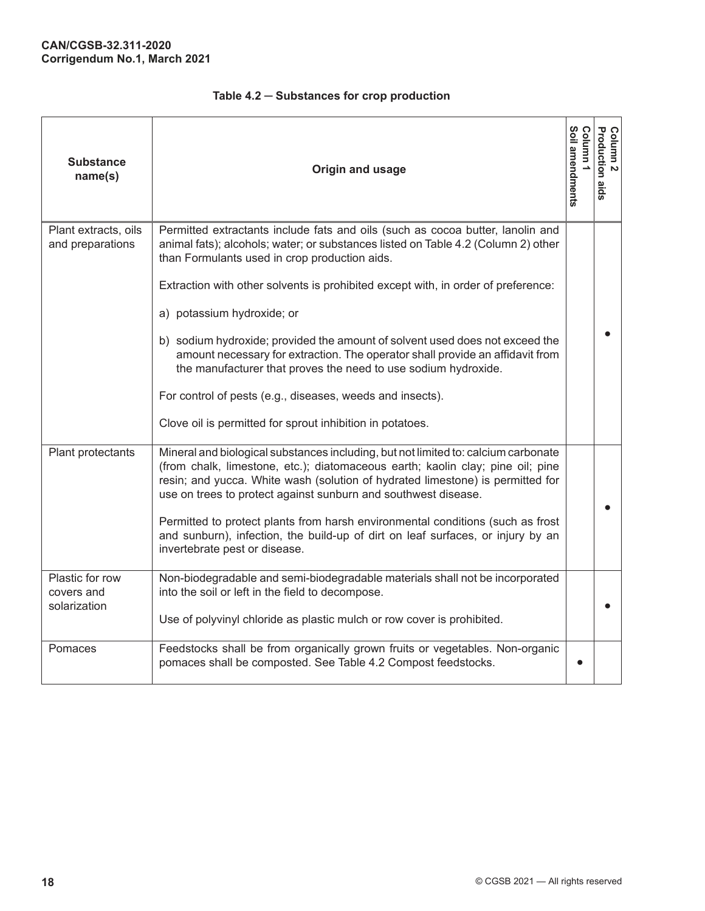| <b>Substance</b><br>name(s)                   | Origin and usage                                                                                                                                                                                                                                                                                                                                                                                                                                                                                                                                                                                                                                                                                     | ທ<br>oil amendments<br>umno; | Column 2<br>Production aids |
|-----------------------------------------------|------------------------------------------------------------------------------------------------------------------------------------------------------------------------------------------------------------------------------------------------------------------------------------------------------------------------------------------------------------------------------------------------------------------------------------------------------------------------------------------------------------------------------------------------------------------------------------------------------------------------------------------------------------------------------------------------------|------------------------------|-----------------------------|
| Plant extracts, oils<br>and preparations      | Permitted extractants include fats and oils (such as cocoa butter, lanolin and<br>animal fats); alcohols; water; or substances listed on Table 4.2 (Column 2) other<br>than Formulants used in crop production aids.<br>Extraction with other solvents is prohibited except with, in order of preference:<br>a) potassium hydroxide; or<br>b) sodium hydroxide; provided the amount of solvent used does not exceed the<br>amount necessary for extraction. The operator shall provide an affidavit from<br>the manufacturer that proves the need to use sodium hydroxide.<br>For control of pests (e.g., diseases, weeds and insects).<br>Clove oil is permitted for sprout inhibition in potatoes. |                              |                             |
| Plant protectants                             | Mineral and biological substances including, but not limited to: calcium carbonate<br>(from chalk, limestone, etc.); diatomaceous earth; kaolin clay; pine oil; pine<br>resin; and yucca. White wash (solution of hydrated limestone) is permitted for<br>use on trees to protect against sunburn and southwest disease.<br>Permitted to protect plants from harsh environmental conditions (such as frost<br>and sunburn), infection, the build-up of dirt on leaf surfaces, or injury by an<br>invertebrate pest or disease.                                                                                                                                                                       |                              |                             |
| Plastic for row<br>covers and<br>solarization | Non-biodegradable and semi-biodegradable materials shall not be incorporated<br>into the soil or left in the field to decompose.<br>Use of polyvinyl chloride as plastic mulch or row cover is prohibited.                                                                                                                                                                                                                                                                                                                                                                                                                                                                                           |                              |                             |
| Pomaces                                       | Feedstocks shall be from organically grown fruits or vegetables. Non-organic<br>pomaces shall be composted. See Table 4.2 Compost feedstocks.                                                                                                                                                                                                                                                                                                                                                                                                                                                                                                                                                        |                              |                             |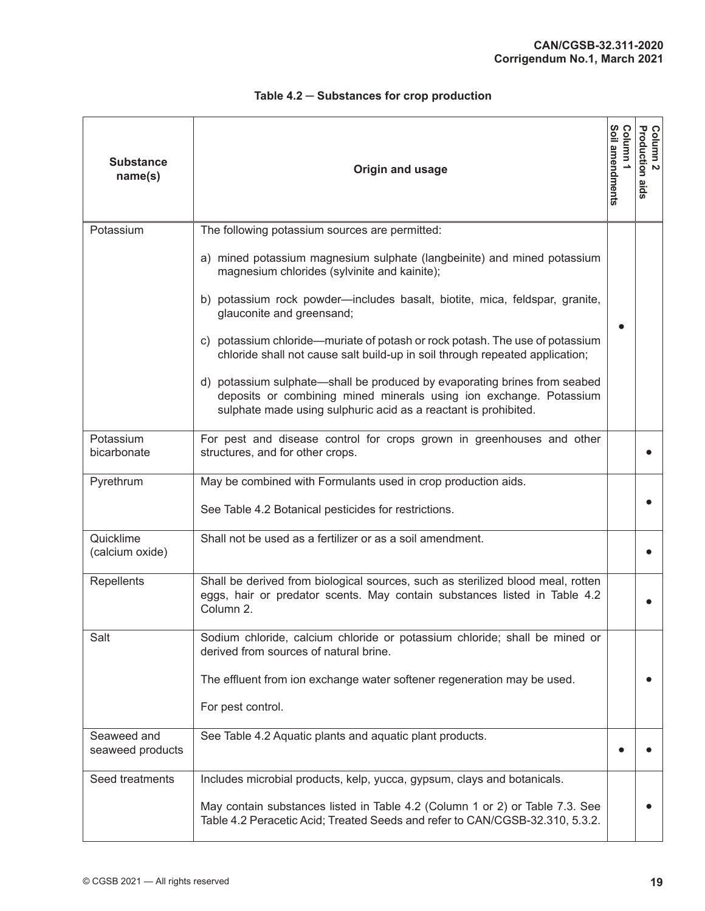| <b>Substance</b><br>name(s)     | <b>Origin and usage</b>                                                                                                                                                                                            | Soil amendments<br>umulo: | Column 2<br>Production aids |
|---------------------------------|--------------------------------------------------------------------------------------------------------------------------------------------------------------------------------------------------------------------|---------------------------|-----------------------------|
| Potassium                       | The following potassium sources are permitted:                                                                                                                                                                     |                           |                             |
|                                 | a) mined potassium magnesium sulphate (langbeinite) and mined potassium<br>magnesium chlorides (sylvinite and kainite);                                                                                            |                           |                             |
|                                 | b) potassium rock powder-includes basalt, biotite, mica, feldspar, granite,<br>glauconite and greensand;                                                                                                           |                           |                             |
|                                 | c) potassium chloride—muriate of potash or rock potash. The use of potassium<br>chloride shall not cause salt build-up in soil through repeated application;                                                       |                           |                             |
|                                 | d) potassium sulphate—shall be produced by evaporating brines from seabed<br>deposits or combining mined minerals using ion exchange. Potassium<br>sulphate made using sulphuric acid as a reactant is prohibited. |                           |                             |
| Potassium<br>bicarbonate        | For pest and disease control for crops grown in greenhouses and other<br>structures, and for other crops.                                                                                                          |                           |                             |
| Pyrethrum                       | May be combined with Formulants used in crop production aids.                                                                                                                                                      |                           |                             |
|                                 | See Table 4.2 Botanical pesticides for restrictions.                                                                                                                                                               |                           |                             |
| Quicklime<br>(calcium oxide)    | Shall not be used as a fertilizer or as a soil amendment.                                                                                                                                                          |                           |                             |
| Repellents                      | Shall be derived from biological sources, such as sterilized blood meal, rotten<br>eggs, hair or predator scents. May contain substances listed in Table 4.2<br>Column 2.                                          |                           |                             |
| Salt                            | Sodium chloride, calcium chloride or potassium chloride; shall be mined or<br>derived from sources of natural brine.                                                                                               |                           |                             |
|                                 | The effluent from ion exchange water softener regeneration may be used.                                                                                                                                            |                           |                             |
|                                 | For pest control.                                                                                                                                                                                                  |                           |                             |
| Seaweed and<br>seaweed products | See Table 4.2 Aquatic plants and aquatic plant products.                                                                                                                                                           |                           |                             |
| Seed treatments                 | Includes microbial products, kelp, yucca, gypsum, clays and botanicals.                                                                                                                                            |                           |                             |
|                                 | May contain substances listed in Table 4.2 (Column 1 or 2) or Table 7.3. See<br>Table 4.2 Peracetic Acid; Treated Seeds and refer to CAN/CGSB-32.310, 5.3.2.                                                       |                           |                             |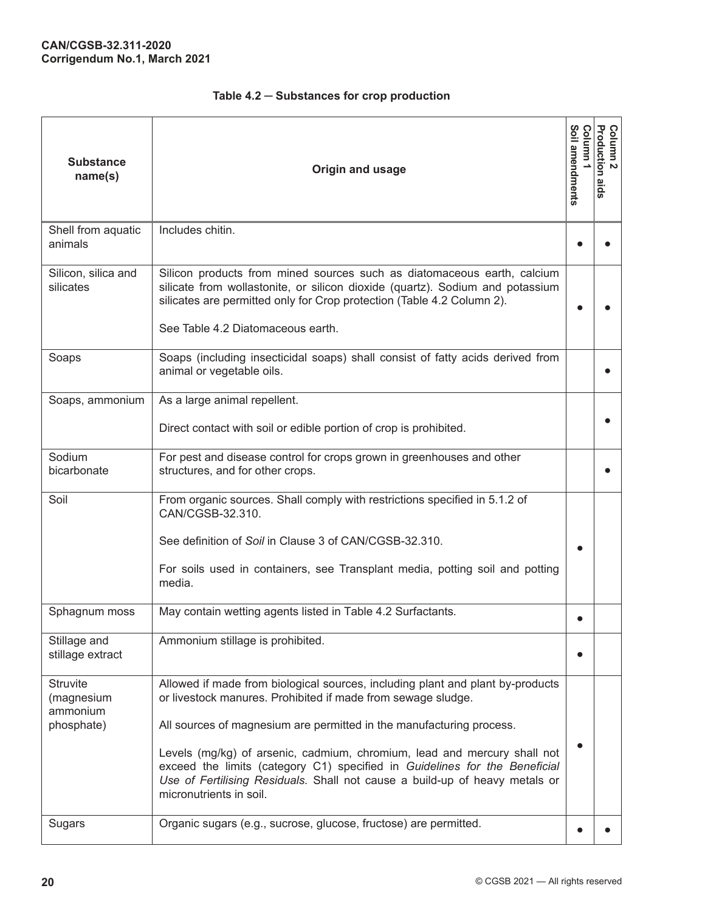| <b>Substance</b><br>name(s)                             | Origin and usage                                                                                                                                                                                                                                                                                                                                                                                                                                                                           | Soil amendments<br>Column | Column 2<br>Production aids |
|---------------------------------------------------------|--------------------------------------------------------------------------------------------------------------------------------------------------------------------------------------------------------------------------------------------------------------------------------------------------------------------------------------------------------------------------------------------------------------------------------------------------------------------------------------------|---------------------------|-----------------------------|
| Shell from aquatic<br>animals                           | Includes chitin.                                                                                                                                                                                                                                                                                                                                                                                                                                                                           |                           |                             |
| Silicon, silica and<br>silicates                        | Silicon products from mined sources such as diatomaceous earth, calcium<br>silicate from wollastonite, or silicon dioxide (quartz). Sodium and potassium<br>silicates are permitted only for Crop protection (Table 4.2 Column 2).<br>See Table 4.2 Diatomaceous earth.                                                                                                                                                                                                                    |                           |                             |
| Soaps                                                   | Soaps (including insecticidal soaps) shall consist of fatty acids derived from<br>animal or vegetable oils.                                                                                                                                                                                                                                                                                                                                                                                |                           |                             |
| Soaps, ammonium                                         | As a large animal repellent.<br>Direct contact with soil or edible portion of crop is prohibited.                                                                                                                                                                                                                                                                                                                                                                                          |                           |                             |
| Sodium<br>bicarbonate                                   | For pest and disease control for crops grown in greenhouses and other<br>structures, and for other crops.                                                                                                                                                                                                                                                                                                                                                                                  |                           |                             |
| Soil                                                    | From organic sources. Shall comply with restrictions specified in 5.1.2 of<br>CAN/CGSB-32.310.<br>See definition of Soil in Clause 3 of CAN/CGSB-32.310.<br>For soils used in containers, see Transplant media, potting soil and potting<br>media.                                                                                                                                                                                                                                         | $\bullet$                 |                             |
| Sphagnum moss                                           | May contain wetting agents listed in Table 4.2 Surfactants.                                                                                                                                                                                                                                                                                                                                                                                                                                |                           |                             |
| Stillage and<br>stillage extract                        | Ammonium stillage is prohibited.                                                                                                                                                                                                                                                                                                                                                                                                                                                           | 6                         |                             |
| <b>Struvite</b><br>(magnesium<br>ammonium<br>phosphate) | Allowed if made from biological sources, including plant and plant by-products<br>or livestock manures. Prohibited if made from sewage sludge.<br>All sources of magnesium are permitted in the manufacturing process.<br>Levels (mg/kg) of arsenic, cadmium, chromium, lead and mercury shall not<br>exceed the limits (category C1) specified in Guidelines for the Beneficial<br>Use of Fertilising Residuals. Shall not cause a build-up of heavy metals or<br>micronutrients in soil. |                           |                             |
| Sugars                                                  | Organic sugars (e.g., sucrose, glucose, fructose) are permitted.                                                                                                                                                                                                                                                                                                                                                                                                                           |                           |                             |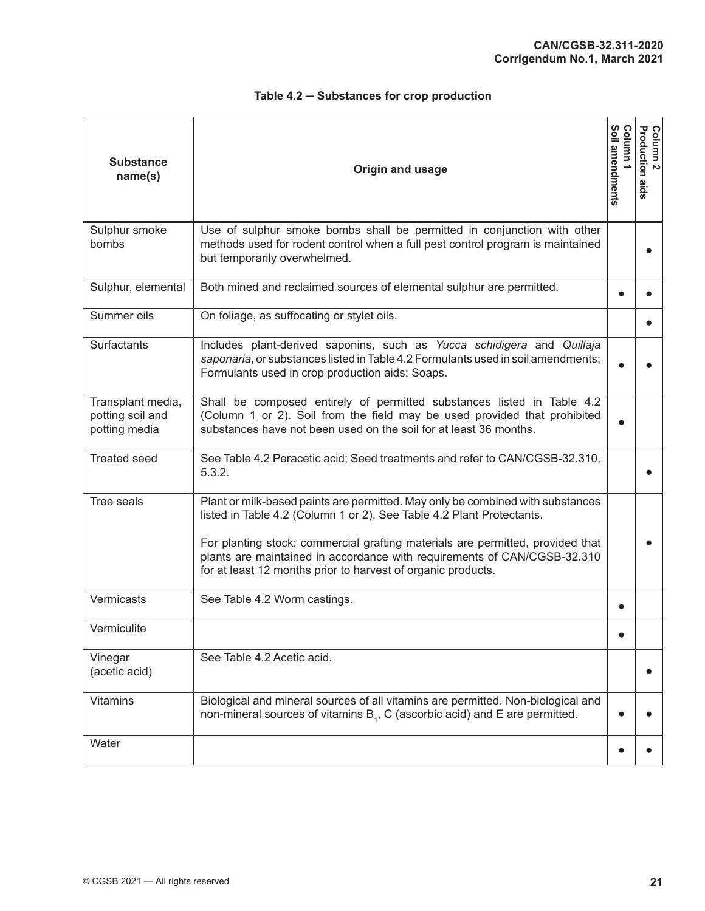| <b>Substance</b><br>name(s)                            | Origin and usage                                                                                                                                                                                                                                                                                                                                                                      | Soil amendments<br>Column | Column 2<br>Production aids |
|--------------------------------------------------------|---------------------------------------------------------------------------------------------------------------------------------------------------------------------------------------------------------------------------------------------------------------------------------------------------------------------------------------------------------------------------------------|---------------------------|-----------------------------|
| Sulphur smoke<br>bombs                                 | Use of sulphur smoke bombs shall be permitted in conjunction with other<br>methods used for rodent control when a full pest control program is maintained<br>but temporarily overwhelmed.                                                                                                                                                                                             |                           |                             |
| Sulphur, elemental                                     | Both mined and reclaimed sources of elemental sulphur are permitted.                                                                                                                                                                                                                                                                                                                  |                           |                             |
| Summer oils                                            | On foliage, as suffocating or stylet oils.                                                                                                                                                                                                                                                                                                                                            |                           |                             |
| Surfactants                                            | Includes plant-derived saponins, such as Yucca schidigera and Quillaja<br>saponaria, or substances listed in Table 4.2 Formulants used in soil amendments;<br>Formulants used in crop production aids; Soaps.                                                                                                                                                                         |                           |                             |
| Transplant media,<br>potting soil and<br>potting media | Shall be composed entirely of permitted substances listed in Table 4.2<br>(Column 1 or 2). Soil from the field may be used provided that prohibited<br>substances have not been used on the soil for at least 36 months.                                                                                                                                                              |                           |                             |
| <b>Treated seed</b>                                    | See Table 4.2 Peracetic acid; Seed treatments and refer to CAN/CGSB-32.310,<br>5.3.2.                                                                                                                                                                                                                                                                                                 |                           |                             |
| Tree seals                                             | Plant or milk-based paints are permitted. May only be combined with substances<br>listed in Table 4.2 (Column 1 or 2). See Table 4.2 Plant Protectants.<br>For planting stock: commercial grafting materials are permitted, provided that<br>plants are maintained in accordance with requirements of CAN/CGSB-32.310<br>for at least 12 months prior to harvest of organic products. |                           |                             |
| Vermicasts                                             | See Table 4.2 Worm castings.                                                                                                                                                                                                                                                                                                                                                          |                           |                             |
| Vermiculite                                            |                                                                                                                                                                                                                                                                                                                                                                                       | $\bullet$                 |                             |
| Vinegar<br>(acetic acid)                               | See Table 4.2 Acetic acid.                                                                                                                                                                                                                                                                                                                                                            |                           |                             |
| Vitamins                                               | Biological and mineral sources of all vitamins are permitted. Non-biological and<br>non-mineral sources of vitamins B <sub>1</sub> , C (ascorbic acid) and E are permitted.                                                                                                                                                                                                           |                           |                             |
| Water                                                  |                                                                                                                                                                                                                                                                                                                                                                                       |                           |                             |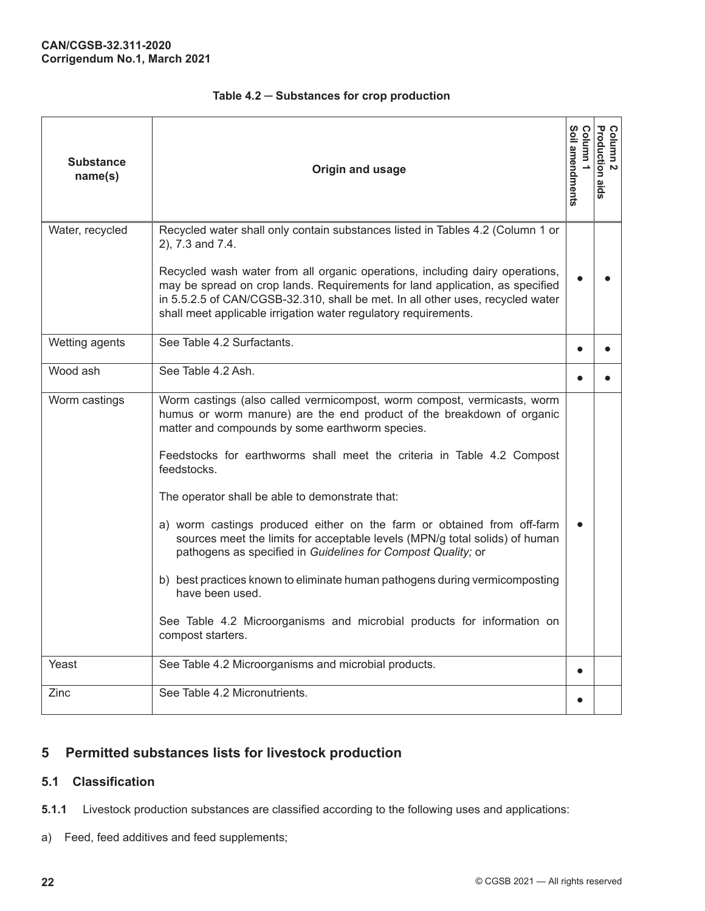<span id="page-29-0"></span>

| <b>Substance</b><br>name(s) | Origin and usage                                                                                                                                                                                                                                                                                                                                                                                                                                                                                                                                                                                                                                                                                                                                                          | Soil amendments<br>Column | Column 2<br>Production aids |
|-----------------------------|---------------------------------------------------------------------------------------------------------------------------------------------------------------------------------------------------------------------------------------------------------------------------------------------------------------------------------------------------------------------------------------------------------------------------------------------------------------------------------------------------------------------------------------------------------------------------------------------------------------------------------------------------------------------------------------------------------------------------------------------------------------------------|---------------------------|-----------------------------|
| Water, recycled             | Recycled water shall only contain substances listed in Tables 4.2 (Column 1 or<br>2), 7.3 and 7.4.<br>Recycled wash water from all organic operations, including dairy operations,<br>may be spread on crop lands. Requirements for land application, as specified<br>in 5.5.2.5 of CAN/CGSB-32.310, shall be met. In all other uses, recycled water<br>shall meet applicable irrigation water regulatory requirements.                                                                                                                                                                                                                                                                                                                                                   |                           |                             |
| Wetting agents              | See Table 4.2 Surfactants.                                                                                                                                                                                                                                                                                                                                                                                                                                                                                                                                                                                                                                                                                                                                                |                           |                             |
| Wood ash                    | See Table 4.2 Ash.                                                                                                                                                                                                                                                                                                                                                                                                                                                                                                                                                                                                                                                                                                                                                        |                           |                             |
| Worm castings               | Worm castings (also called vermicompost, worm compost, vermicasts, worm<br>humus or worm manure) are the end product of the breakdown of organic<br>matter and compounds by some earthworm species.<br>Feedstocks for earthworms shall meet the criteria in Table 4.2 Compost<br>feedstocks.<br>The operator shall be able to demonstrate that:<br>a) worm castings produced either on the farm or obtained from off-farm<br>sources meet the limits for acceptable levels (MPN/g total solids) of human<br>pathogens as specified in Guidelines for Compost Quality; or<br>b) best practices known to eliminate human pathogens during vermicomposting<br>have been used.<br>See Table 4.2 Microorganisms and microbial products for information on<br>compost starters. |                           |                             |
| Yeast                       | See Table 4.2 Microorganisms and microbial products.                                                                                                                                                                                                                                                                                                                                                                                                                                                                                                                                                                                                                                                                                                                      | $\bullet$                 |                             |
| Zinc                        | See Table 4.2 Micronutrients.                                                                                                                                                                                                                                                                                                                                                                                                                                                                                                                                                                                                                                                                                                                                             |                           |                             |

# **5 Permitted substances lists for livestock production**

## **5.1 Classification**

- **5.1.1** Livestock production substances are classified according to the following uses and applications:
- a) Feed, feed additives and feed supplements;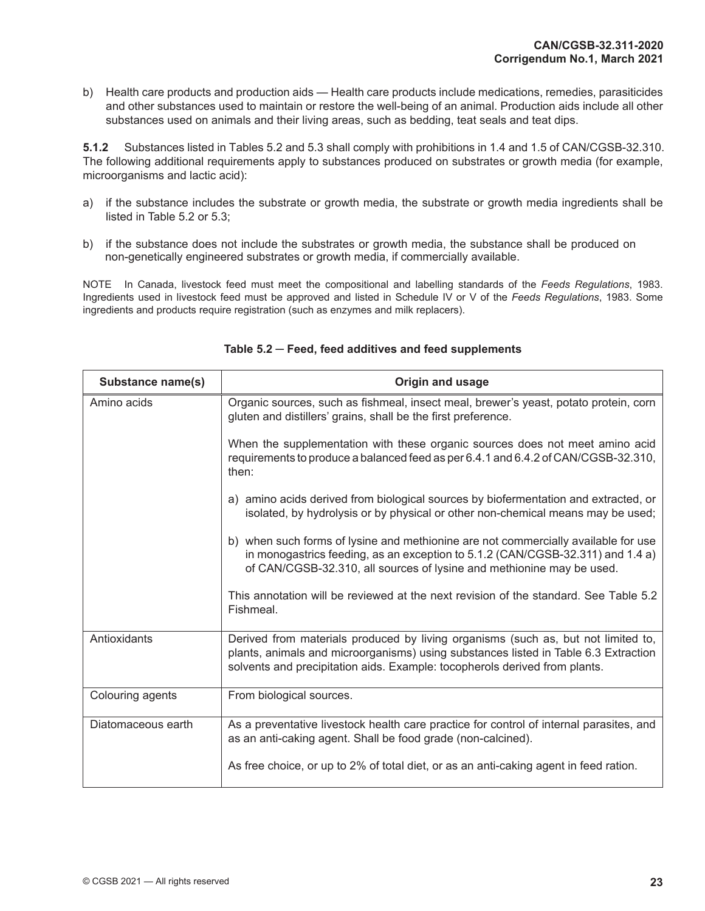b) Health care products and production aids — Health care products include medications, remedies, parasiticides and other substances used to maintain or restore the well-being of an animal. Production aids include all other substances used on animals and their living areas, such as bedding, teat seals and teat dips.

**5.1.2** Substances listed in Tables 5.2 and 5.3 shall comply with prohibitions in 1.4 and 1.5 of CAN/CGSB-32.310. The following additional requirements apply to substances produced on substrates or growth media (for example, microorganisms and lactic acid):

- a) if the substance includes the substrate or growth media, the substrate or growth media ingredients shall be listed in Table 5.2 or 5.3;
- b) if the substance does not include the substrates or growth media, the substance shall be produced on non-genetically engineered substrates or growth media, if commercially available.

NOTE In Canada, livestock feed must meet the compositional and labelling standards of the *Feeds Regulations*, 1983. Ingredients used in livestock feed must be approved and listed in Schedule IV or V of the *Feeds Regulations*, 1983. Some ingredients and products require registration (such as enzymes and milk replacers).

| Substance name(s)  | <b>Origin and usage</b>                                                                                                                                                                                                                                |
|--------------------|--------------------------------------------------------------------------------------------------------------------------------------------------------------------------------------------------------------------------------------------------------|
| Amino acids        | Organic sources, such as fishmeal, insect meal, brewer's yeast, potato protein, corn<br>gluten and distillers' grains, shall be the first preference.                                                                                                  |
|                    | When the supplementation with these organic sources does not meet amino acid<br>requirements to produce a balanced feed as per 6.4.1 and 6.4.2 of CAN/CGSB-32.310,<br>then:                                                                            |
|                    | a) amino acids derived from biological sources by biofermentation and extracted, or<br>isolated, by hydrolysis or by physical or other non-chemical means may be used;                                                                                 |
|                    | b) when such forms of lysine and methionine are not commercially available for use<br>in monogastrics feeding, as an exception to 5.1.2 (CAN/CGSB-32.311) and 1.4 a)<br>of CAN/CGSB-32.310, all sources of lysine and methionine may be used.          |
|                    | This annotation will be reviewed at the next revision of the standard. See Table 5.2<br>Fishmeal.                                                                                                                                                      |
| Antioxidants       | Derived from materials produced by living organisms (such as, but not limited to,<br>plants, animals and microorganisms) using substances listed in Table 6.3 Extraction<br>solvents and precipitation aids. Example: tocopherols derived from plants. |
| Colouring agents   | From biological sources.                                                                                                                                                                                                                               |
| Diatomaceous earth | As a preventative livestock health care practice for control of internal parasites, and<br>as an anti-caking agent. Shall be food grade (non-calcined).                                                                                                |
|                    | As free choice, or up to 2% of total diet, or as an anti-caking agent in feed ration.                                                                                                                                                                  |

#### **Table 5.2 ─ Feed, feed additives and feed supplements**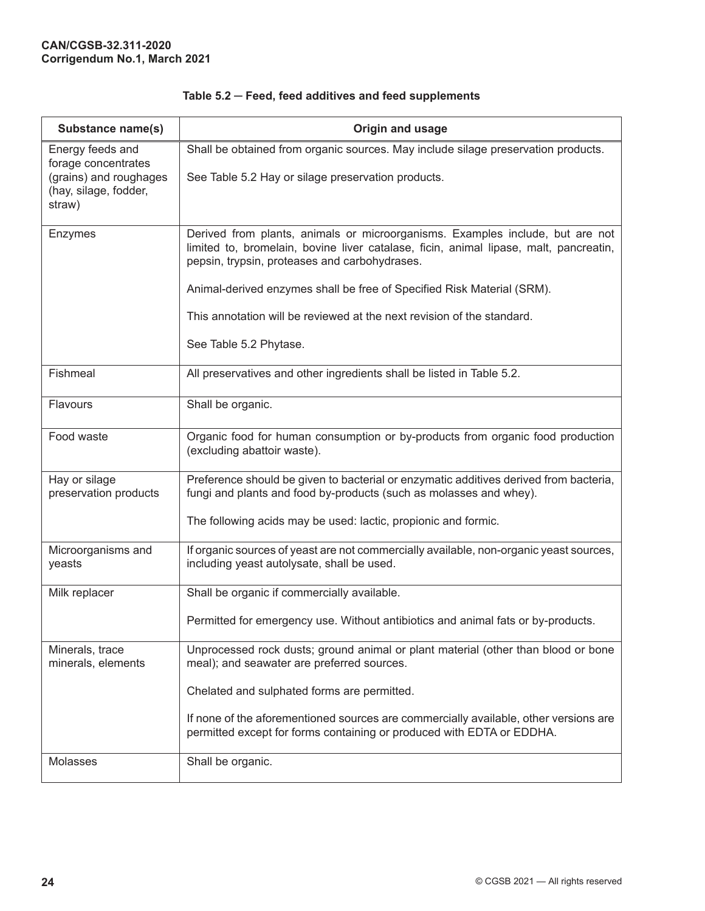| Substance name(s)                                                                                    | Origin and usage                                                                                                                                                                                                                                                                                                                                                                                      |
|------------------------------------------------------------------------------------------------------|-------------------------------------------------------------------------------------------------------------------------------------------------------------------------------------------------------------------------------------------------------------------------------------------------------------------------------------------------------------------------------------------------------|
| Energy feeds and<br>forage concentrates<br>(grains) and roughages<br>(hay, silage, fodder,<br>straw) | Shall be obtained from organic sources. May include silage preservation products.<br>See Table 5.2 Hay or silage preservation products.                                                                                                                                                                                                                                                               |
| Enzymes                                                                                              | Derived from plants, animals or microorganisms. Examples include, but are not<br>limited to, bromelain, bovine liver catalase, ficin, animal lipase, malt, pancreatin,<br>pepsin, trypsin, proteases and carbohydrases.<br>Animal-derived enzymes shall be free of Specified Risk Material (SRM).<br>This annotation will be reviewed at the next revision of the standard.<br>See Table 5.2 Phytase. |
| Fishmeal                                                                                             | All preservatives and other ingredients shall be listed in Table 5.2.                                                                                                                                                                                                                                                                                                                                 |
| Flavours                                                                                             | Shall be organic.                                                                                                                                                                                                                                                                                                                                                                                     |
| Food waste                                                                                           | Organic food for human consumption or by-products from organic food production<br>(excluding abattoir waste).                                                                                                                                                                                                                                                                                         |
| Hay or silage<br>preservation products                                                               | Preference should be given to bacterial or enzymatic additives derived from bacteria,<br>fungi and plants and food by-products (such as molasses and whey).                                                                                                                                                                                                                                           |
|                                                                                                      | The following acids may be used: lactic, propionic and formic.                                                                                                                                                                                                                                                                                                                                        |
| Microorganisms and<br>yeasts                                                                         | If organic sources of yeast are not commercially available, non-organic yeast sources,<br>including yeast autolysate, shall be used.                                                                                                                                                                                                                                                                  |
| Milk replacer                                                                                        | Shall be organic if commercially available.                                                                                                                                                                                                                                                                                                                                                           |
|                                                                                                      | Permitted for emergency use. Without antibiotics and animal fats or by-products.                                                                                                                                                                                                                                                                                                                      |
| Minerals, trace<br>minerals, elements                                                                | Unprocessed rock dusts; ground animal or plant material (other than blood or bone<br>meal); and seawater are preferred sources.                                                                                                                                                                                                                                                                       |
|                                                                                                      | Chelated and sulphated forms are permitted.                                                                                                                                                                                                                                                                                                                                                           |
|                                                                                                      | If none of the aforementioned sources are commercially available, other versions are<br>permitted except for forms containing or produced with EDTA or EDDHA.                                                                                                                                                                                                                                         |
| Molasses                                                                                             | Shall be organic.                                                                                                                                                                                                                                                                                                                                                                                     |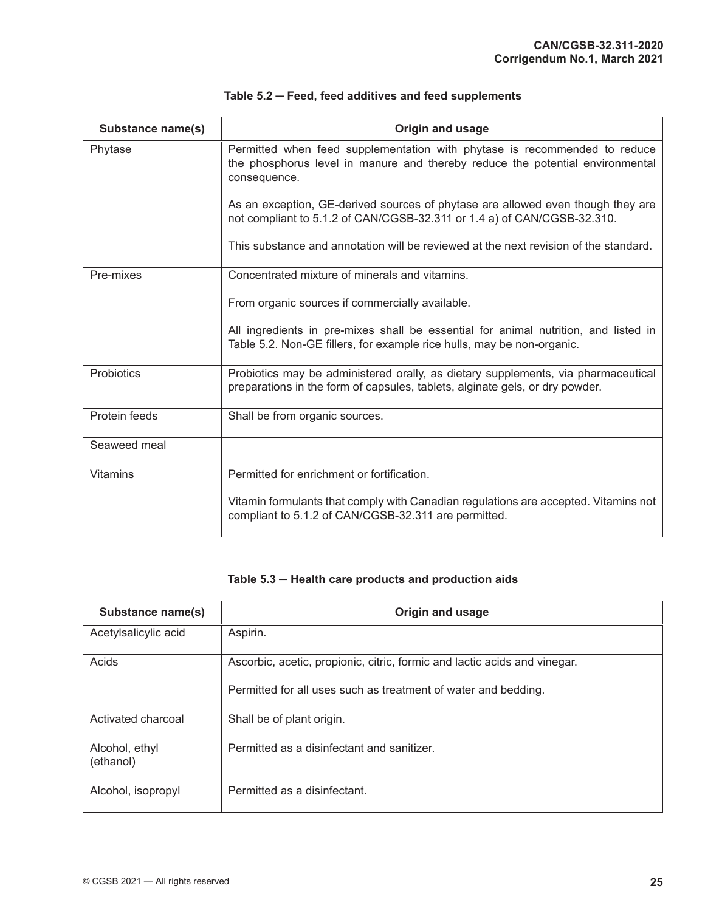| <b>Substance name(s)</b> | Origin and usage                                                                                                                                                           |
|--------------------------|----------------------------------------------------------------------------------------------------------------------------------------------------------------------------|
| Phytase                  | Permitted when feed supplementation with phytase is recommended to reduce<br>the phosphorus level in manure and thereby reduce the potential environmental<br>consequence. |
|                          | As an exception, GE-derived sources of phytase are allowed even though they are<br>not compliant to 5.1.2 of CAN/CGSB-32.311 or 1.4 a) of CAN/CGSB-32.310.                 |
|                          | This substance and annotation will be reviewed at the next revision of the standard.                                                                                       |
| Pre-mixes                | Concentrated mixture of minerals and vitamins.                                                                                                                             |
|                          | From organic sources if commercially available.                                                                                                                            |
|                          | All ingredients in pre-mixes shall be essential for animal nutrition, and listed in<br>Table 5.2. Non-GE fillers, for example rice hulls, may be non-organic.              |
| Probiotics               | Probiotics may be administered orally, as dietary supplements, via pharmaceutical<br>preparations in the form of capsules, tablets, alginate gels, or dry powder.          |
| Protein feeds            | Shall be from organic sources.                                                                                                                                             |
| Seaweed meal             |                                                                                                                                                                            |
| <b>Vitamins</b>          | Permitted for enrichment or fortification.                                                                                                                                 |
|                          | Vitamin formulants that comply with Canadian regulations are accepted. Vitamins not<br>compliant to 5.1.2 of CAN/CGSB-32.311 are permitted.                                |

# **Table 5.3 ─ Health care products and production aids**

| Substance name(s)           | Origin and usage                                                                                                                            |
|-----------------------------|---------------------------------------------------------------------------------------------------------------------------------------------|
| Acetylsalicylic acid        | Aspirin.                                                                                                                                    |
| Acids                       | Ascorbic, acetic, propionic, citric, formic and lactic acids and vinegar.<br>Permitted for all uses such as treatment of water and bedding. |
|                             |                                                                                                                                             |
| Activated charcoal          | Shall be of plant origin.                                                                                                                   |
| Alcohol, ethyl<br>(ethanol) | Permitted as a disinfectant and sanitizer.                                                                                                  |
| Alcohol, isopropyl          | Permitted as a disinfectant.                                                                                                                |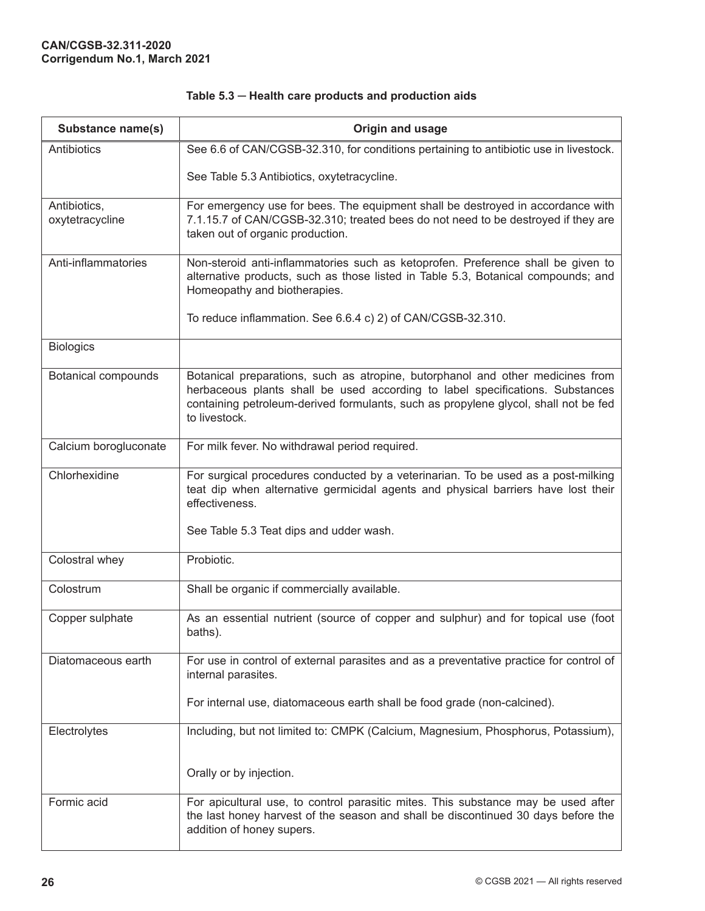| Table 5.3 - Health care products and production aids |  |  |  |  |  |
|------------------------------------------------------|--|--|--|--|--|
|------------------------------------------------------|--|--|--|--|--|

| Substance name(s)               | Origin and usage                                                                                                                                                                                                                                                        |
|---------------------------------|-------------------------------------------------------------------------------------------------------------------------------------------------------------------------------------------------------------------------------------------------------------------------|
| Antibiotics                     | See 6.6 of CAN/CGSB-32.310, for conditions pertaining to antibiotic use in livestock.                                                                                                                                                                                   |
|                                 | See Table 5.3 Antibiotics, oxytetracycline.                                                                                                                                                                                                                             |
| Antibiotics,<br>oxytetracycline | For emergency use for bees. The equipment shall be destroyed in accordance with<br>7.1.15.7 of CAN/CGSB-32.310; treated bees do not need to be destroyed if they are<br>taken out of organic production.                                                                |
| Anti-inflammatories             | Non-steroid anti-inflammatories such as ketoprofen. Preference shall be given to<br>alternative products, such as those listed in Table 5.3, Botanical compounds; and<br>Homeopathy and biotherapies.                                                                   |
|                                 | To reduce inflammation. See 6.6.4 c) 2) of CAN/CGSB-32.310.                                                                                                                                                                                                             |
| <b>Biologics</b>                |                                                                                                                                                                                                                                                                         |
| <b>Botanical compounds</b>      | Botanical preparations, such as atropine, butorphanol and other medicines from<br>herbaceous plants shall be used according to label specifications. Substances<br>containing petroleum-derived formulants, such as propylene glycol, shall not be fed<br>to livestock. |
| Calcium borogluconate           | For milk fever. No withdrawal period required.                                                                                                                                                                                                                          |
| Chlorhexidine                   | For surgical procedures conducted by a veterinarian. To be used as a post-milking<br>teat dip when alternative germicidal agents and physical barriers have lost their<br>effectiveness.                                                                                |
|                                 | See Table 5.3 Teat dips and udder wash.                                                                                                                                                                                                                                 |
| Colostral whey                  | Probiotic.                                                                                                                                                                                                                                                              |
| Colostrum                       | Shall be organic if commercially available.                                                                                                                                                                                                                             |
| Copper sulphate                 | As an essential nutrient (source of copper and sulphur) and for topical use (foot<br>baths).                                                                                                                                                                            |
| Diatomaceous earth              | For use in control of external parasites and as a preventative practice for control of<br>internal parasites.                                                                                                                                                           |
|                                 | For internal use, diatomaceous earth shall be food grade (non-calcined).                                                                                                                                                                                                |
| Electrolytes                    | Including, but not limited to: CMPK (Calcium, Magnesium, Phosphorus, Potassium),                                                                                                                                                                                        |
|                                 | Orally or by injection.                                                                                                                                                                                                                                                 |
| Formic acid                     | For apicultural use, to control parasitic mites. This substance may be used after<br>the last honey harvest of the season and shall be discontinued 30 days before the<br>addition of honey supers.                                                                     |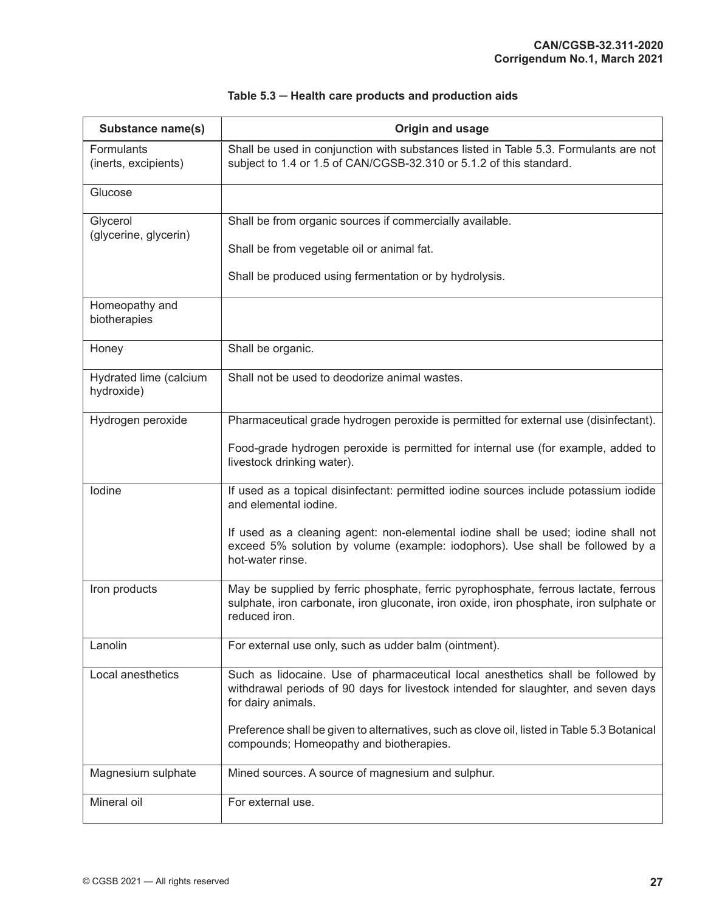| Substance name(s)                    | Origin and usage                                                                                                                                                                               |
|--------------------------------------|------------------------------------------------------------------------------------------------------------------------------------------------------------------------------------------------|
| Formulants<br>(inerts, excipients)   | Shall be used in conjunction with substances listed in Table 5.3. Formulants are not<br>subject to 1.4 or 1.5 of CAN/CGSB-32.310 or 5.1.2 of this standard.                                    |
| Glucose                              |                                                                                                                                                                                                |
| Glycerol<br>(glycerine, glycerin)    | Shall be from organic sources if commercially available.                                                                                                                                       |
|                                      | Shall be from vegetable oil or animal fat.                                                                                                                                                     |
|                                      | Shall be produced using fermentation or by hydrolysis.                                                                                                                                         |
| Homeopathy and<br>biotherapies       |                                                                                                                                                                                                |
| Honey                                | Shall be organic.                                                                                                                                                                              |
| Hydrated lime (calcium<br>hydroxide) | Shall not be used to deodorize animal wastes.                                                                                                                                                  |
| Hydrogen peroxide                    | Pharmaceutical grade hydrogen peroxide is permitted for external use (disinfectant).                                                                                                           |
|                                      | Food-grade hydrogen peroxide is permitted for internal use (for example, added to<br>livestock drinking water).                                                                                |
| lodine                               | If used as a topical disinfectant: permitted iodine sources include potassium iodide<br>and elemental iodine.                                                                                  |
|                                      | If used as a cleaning agent: non-elemental iodine shall be used; iodine shall not<br>exceed 5% solution by volume (example: iodophors). Use shall be followed by a<br>hot-water rinse.         |
| Iron products                        | May be supplied by ferric phosphate, ferric pyrophosphate, ferrous lactate, ferrous<br>sulphate, iron carbonate, iron gluconate, iron oxide, iron phosphate, iron sulphate or<br>reduced iron. |
| Lanolin                              | For external use only, such as udder balm (ointment).                                                                                                                                          |
| Local anesthetics                    | Such as lidocaine. Use of pharmaceutical local anesthetics shall be followed by<br>withdrawal periods of 90 days for livestock intended for slaughter, and seven days<br>for dairy animals.    |
|                                      | Preference shall be given to alternatives, such as clove oil, listed in Table 5.3 Botanical<br>compounds; Homeopathy and biotherapies.                                                         |
| Magnesium sulphate                   | Mined sources. A source of magnesium and sulphur.                                                                                                                                              |
| Mineral oil                          | For external use.                                                                                                                                                                              |

# **Table 5.3 ─ Health care products and production aids**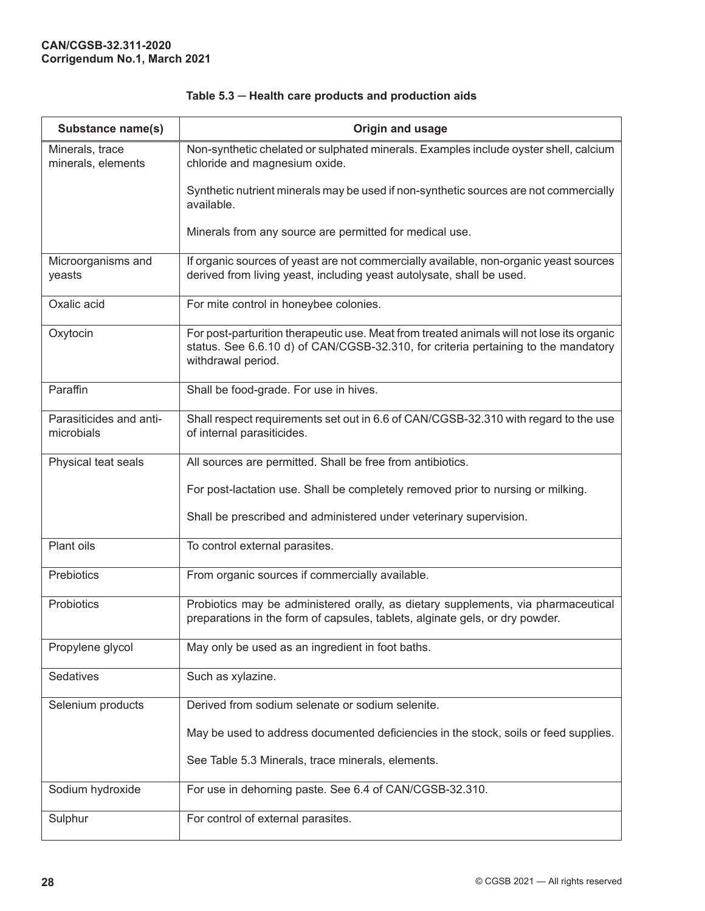| Substance name(s)                     | Origin and usage                                                                                                                                                                                      |
|---------------------------------------|-------------------------------------------------------------------------------------------------------------------------------------------------------------------------------------------------------|
| Minerals, trace<br>minerals, elements | Non-synthetic chelated or sulphated minerals. Examples include oyster shell, calcium<br>chloride and magnesium oxide.                                                                                 |
|                                       | Synthetic nutrient minerals may be used if non-synthetic sources are not commercially<br>available.                                                                                                   |
|                                       | Minerals from any source are permitted for medical use.                                                                                                                                               |
| Microorganisms and<br>yeasts          | If organic sources of yeast are not commercially available, non-organic yeast sources<br>derived from living yeast, including yeast autolysate, shall be used.                                        |
| Oxalic acid                           | For mite control in honeybee colonies.                                                                                                                                                                |
| Oxytocin                              | For post-parturition therapeutic use. Meat from treated animals will not lose its organic<br>status. See 6.6.10 d) of CAN/CGSB-32.310, for criteria pertaining to the mandatory<br>withdrawal period. |
| Paraffin                              | Shall be food-grade. For use in hives.                                                                                                                                                                |
| Parasiticides and anti-<br>microbials | Shall respect requirements set out in 6.6 of CAN/CGSB-32.310 with regard to the use<br>of internal parasiticides.                                                                                     |
| Physical teat seals                   | All sources are permitted. Shall be free from antibiotics.                                                                                                                                            |
|                                       | For post-lactation use. Shall be completely removed prior to nursing or milking.                                                                                                                      |
|                                       | Shall be prescribed and administered under veterinary supervision.                                                                                                                                    |
| Plant oils                            | To control external parasites.                                                                                                                                                                        |
| Prebiotics                            | From organic sources if commercially available.                                                                                                                                                       |
| Probiotics                            | Probiotics may be administered orally, as dietary supplements, via pharmaceutical<br>preparations in the form of capsules, tablets, alginate gels, or dry powder.                                     |
| Propylene glycol                      | May only be used as an ingredient in foot baths.                                                                                                                                                      |
| Sedatives                             | Such as xylazine.                                                                                                                                                                                     |
| Selenium products                     | Derived from sodium selenate or sodium selenite.                                                                                                                                                      |
|                                       | May be used to address documented deficiencies in the stock, soils or feed supplies.                                                                                                                  |
|                                       | See Table 5.3 Minerals, trace minerals, elements.                                                                                                                                                     |
| Sodium hydroxide                      | For use in dehorning paste. See 6.4 of CAN/CGSB-32.310.                                                                                                                                               |
| Sulphur                               | For control of external parasites.                                                                                                                                                                    |

# **Table 5.3 ─ Health care products and production aids**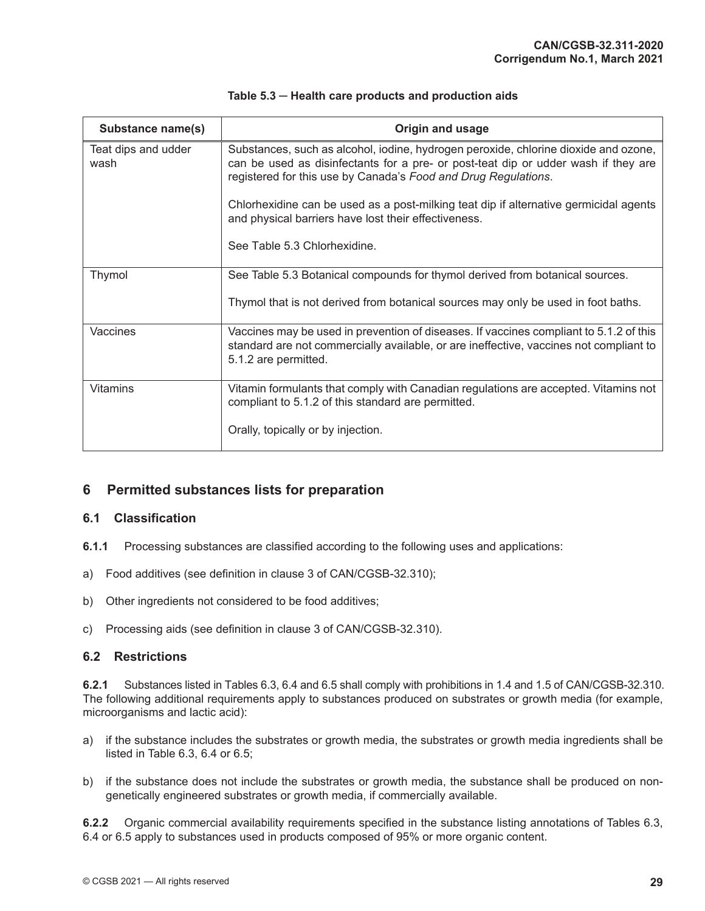<span id="page-36-0"></span>

| Substance name(s)           | Origin and usage                                                                                                                                                                                                                            |
|-----------------------------|---------------------------------------------------------------------------------------------------------------------------------------------------------------------------------------------------------------------------------------------|
| Teat dips and udder<br>wash | Substances, such as alcohol, iodine, hydrogen peroxide, chlorine dioxide and ozone,<br>can be used as disinfectants for a pre- or post-teat dip or udder wash if they are<br>registered for this use by Canada's Food and Drug Regulations. |
|                             | Chlorhexidine can be used as a post-milking teat dip if alternative germicidal agents<br>and physical barriers have lost their effectiveness.                                                                                               |
|                             | See Table 5.3 Chlorhexidine.                                                                                                                                                                                                                |
| <b>Thymol</b>               | See Table 5.3 Botanical compounds for thymol derived from botanical sources.                                                                                                                                                                |
|                             | Thymol that is not derived from botanical sources may only be used in foot baths.                                                                                                                                                           |
| Vaccines                    | Vaccines may be used in prevention of diseases. If vaccines compliant to 5.1.2 of this<br>standard are not commercially available, or are ineffective, vaccines not compliant to<br>5.1.2 are permitted.                                    |
| <b>Vitamins</b>             | Vitamin formulants that comply with Canadian regulations are accepted. Vitamins not<br>compliant to 5.1.2 of this standard are permitted.                                                                                                   |
|                             | Orally, topically or by injection.                                                                                                                                                                                                          |

|  |  | Table 5.3 - Health care products and production aids |
|--|--|------------------------------------------------------|
|--|--|------------------------------------------------------|

# **6 Permitted substances lists for preparation**

#### **6.1 Classification**

- **6.1.1** Processing substances are classified according to the following uses and applications:
- a) Food additives (see definition in clause 3 of CAN/CGSB-32.310);
- b) Other ingredients not considered to be food additives;
- c) Processing aids (see definition in clause 3 of CAN/CGSB-32.310).

#### **6.2 Restrictions**

**6.2.1** Substances listed in Tables 6.3, 6.4 and 6.5 shall comply with prohibitions in 1.4 and 1.5 of CAN/CGSB-32.310. The following additional requirements apply to substances produced on substrates or growth media (for example, microorganisms and lactic acid):

- a) if the substance includes the substrates or growth media, the substrates or growth media ingredients shall be listed in Table 6.3, 6.4 or 6.5;
- b) if the substance does not include the substrates or growth media, the substance shall be produced on nongenetically engineered substrates or growth media, if commercially available.

**6.2.2** Organic commercial availability requirements specified in the substance listing annotations of Tables 6.3, 6.4 or 6.5 apply to substances used in products composed of 95% or more organic content.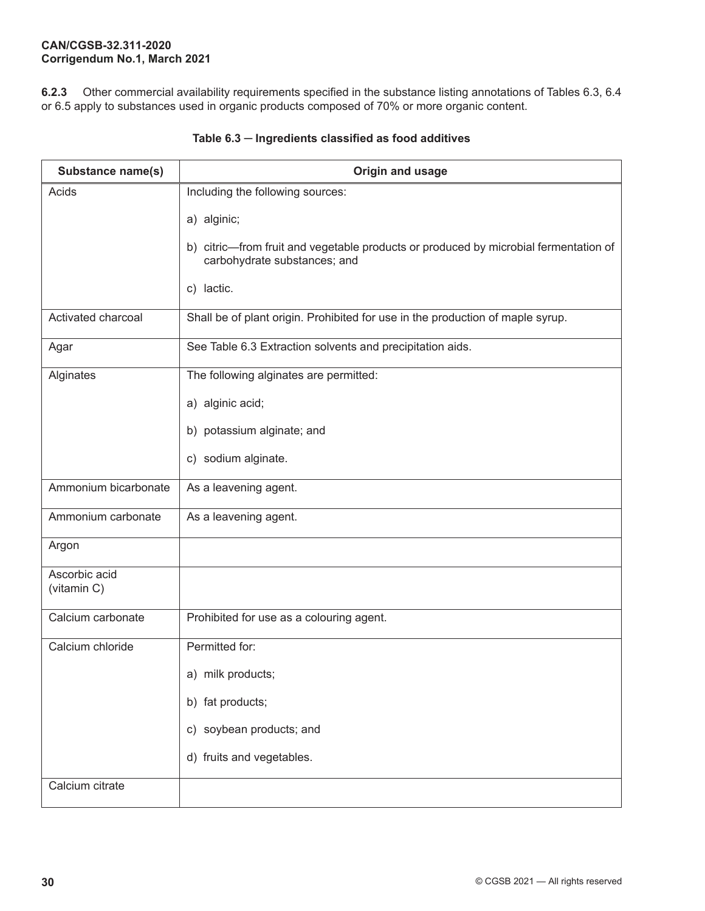**6.2.3** Other commercial availability requirements specified in the substance listing annotations of Tables 6.3, 6.4 or 6.5 apply to substances used in organic products composed of 70% or more organic content.

| Substance name(s)            | Origin and usage                                                                                                     |
|------------------------------|----------------------------------------------------------------------------------------------------------------------|
| Acids                        | Including the following sources:                                                                                     |
|                              | a) alginic;                                                                                                          |
|                              | b) citric—from fruit and vegetable products or produced by microbial fermentation of<br>carbohydrate substances; and |
|                              | c) lactic.                                                                                                           |
| Activated charcoal           | Shall be of plant origin. Prohibited for use in the production of maple syrup.                                       |
| Agar                         | See Table 6.3 Extraction solvents and precipitation aids.                                                            |
| Alginates                    | The following alginates are permitted:                                                                               |
|                              | a) alginic acid;                                                                                                     |
|                              | b) potassium alginate; and                                                                                           |
|                              | c) sodium alginate.                                                                                                  |
| Ammonium bicarbonate         | As a leavening agent.                                                                                                |
| Ammonium carbonate           | As a leavening agent.                                                                                                |
| Argon                        |                                                                                                                      |
| Ascorbic acid<br>(vitamin C) |                                                                                                                      |
| Calcium carbonate            | Prohibited for use as a colouring agent.                                                                             |
| Calcium chloride             | Permitted for:                                                                                                       |
|                              | a) milk products;                                                                                                    |
|                              | b) fat products;                                                                                                     |
|                              | c) soybean products; and                                                                                             |
|                              | d) fruits and vegetables.                                                                                            |
| Calcium citrate              |                                                                                                                      |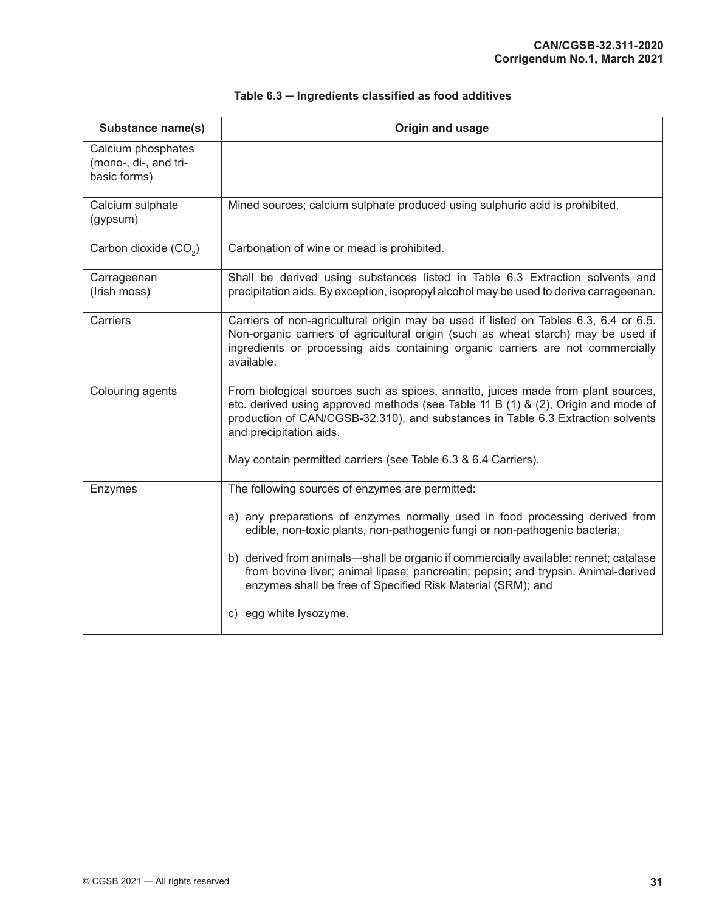| Substance name(s)                                           | Origin and usage                                                                                                                                                                                                                                                                         |
|-------------------------------------------------------------|------------------------------------------------------------------------------------------------------------------------------------------------------------------------------------------------------------------------------------------------------------------------------------------|
| Calcium phosphates<br>(mono-, di-, and tri-<br>basic forms) |                                                                                                                                                                                                                                                                                          |
| Calcium sulphate<br>(gypsum)                                | Mined sources; calcium sulphate produced using sulphuric acid is prohibited.                                                                                                                                                                                                             |
| Carbon dioxide (CO <sub>2</sub> )                           | Carbonation of wine or mead is prohibited.                                                                                                                                                                                                                                               |
| Carrageenan<br>(Irish moss)                                 | Shall be derived using substances listed in Table 6.3 Extraction solvents and<br>precipitation aids. By exception, isopropyl alcohol may be used to derive carrageenan.                                                                                                                  |
| Carriers                                                    | Carriers of non-agricultural origin may be used if listed on Tables 6.3, 6.4 or 6.5.<br>Non-organic carriers of agricultural origin (such as wheat starch) may be used if<br>ingredients or processing aids containing organic carriers are not commercially<br>available.               |
| Colouring agents                                            | From biological sources such as spices, annatto, juices made from plant sources,<br>etc. derived using approved methods (see Table 11 B $(1)$ & $(2)$ , Origin and mode of<br>production of CAN/CGSB-32.310), and substances in Table 6.3 Extraction solvents<br>and precipitation aids. |
|                                                             | May contain permitted carriers (see Table 6.3 & 6.4 Carriers).                                                                                                                                                                                                                           |
| Enzymes                                                     | The following sources of enzymes are permitted:                                                                                                                                                                                                                                          |
|                                                             | a) any preparations of enzymes normally used in food processing derived from<br>edible, non-toxic plants, non-pathogenic fungi or non-pathogenic bacteria;                                                                                                                               |
|                                                             | b) derived from animals—shall be organic if commercially available: rennet; catalase<br>from bovine liver; animal lipase; pancreatin; pepsin; and trypsin. Animal-derived<br>enzymes shall be free of Specified Risk Material (SRM); and                                                 |
|                                                             | c) egg white lysozyme.                                                                                                                                                                                                                                                                   |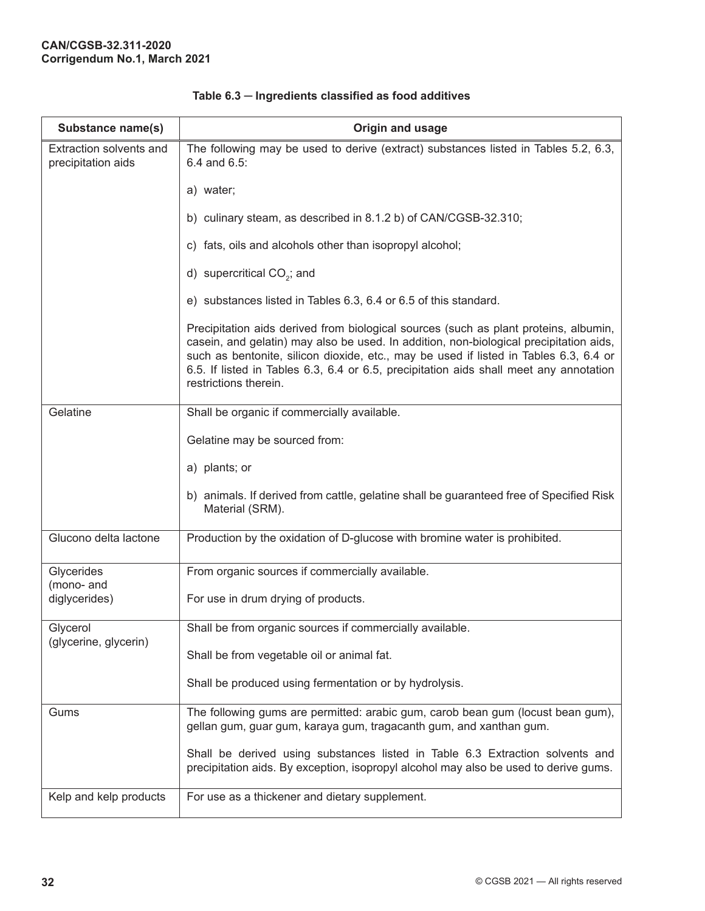| Substance name(s)                             | Origin and usage                                                                                                                                                                                                                                                                                                                                                                           |
|-----------------------------------------------|--------------------------------------------------------------------------------------------------------------------------------------------------------------------------------------------------------------------------------------------------------------------------------------------------------------------------------------------------------------------------------------------|
| Extraction solvents and<br>precipitation aids | The following may be used to derive (extract) substances listed in Tables 5.2, 6.3,<br>6.4 and 6.5:                                                                                                                                                                                                                                                                                        |
|                                               | a) water;                                                                                                                                                                                                                                                                                                                                                                                  |
|                                               | b) culinary steam, as described in 8.1.2 b) of CAN/CGSB-32.310;                                                                                                                                                                                                                                                                                                                            |
|                                               | c) fats, oils and alcohols other than isopropyl alcohol;                                                                                                                                                                                                                                                                                                                                   |
|                                               | d) supercritical CO <sub>2</sub> ; and                                                                                                                                                                                                                                                                                                                                                     |
|                                               | e) substances listed in Tables 6.3, 6.4 or 6.5 of this standard.                                                                                                                                                                                                                                                                                                                           |
|                                               | Precipitation aids derived from biological sources (such as plant proteins, albumin,<br>casein, and gelatin) may also be used. In addition, non-biological precipitation aids,<br>such as bentonite, silicon dioxide, etc., may be used if listed in Tables 6.3, 6.4 or<br>6.5. If listed in Tables 6.3, 6.4 or 6.5, precipitation aids shall meet any annotation<br>restrictions therein. |
| Gelatine                                      | Shall be organic if commercially available.                                                                                                                                                                                                                                                                                                                                                |
|                                               | Gelatine may be sourced from:                                                                                                                                                                                                                                                                                                                                                              |
|                                               | a) plants; or                                                                                                                                                                                                                                                                                                                                                                              |
|                                               | b) animals. If derived from cattle, gelatine shall be guaranteed free of Specified Risk<br>Material (SRM).                                                                                                                                                                                                                                                                                 |
| Glucono delta lactone                         | Production by the oxidation of D-glucose with bromine water is prohibited.                                                                                                                                                                                                                                                                                                                 |
| Glycerides<br>(mono- and                      | From organic sources if commercially available.                                                                                                                                                                                                                                                                                                                                            |
| diglycerides)                                 | For use in drum drying of products.                                                                                                                                                                                                                                                                                                                                                        |
| Glycerol<br>(glycerine, glycerin)             | Shall be from organic sources if commercially available.                                                                                                                                                                                                                                                                                                                                   |
|                                               | Shall be from vegetable oil or animal fat.                                                                                                                                                                                                                                                                                                                                                 |
|                                               | Shall be produced using fermentation or by hydrolysis.                                                                                                                                                                                                                                                                                                                                     |
| Gums                                          | The following gums are permitted: arabic gum, carob bean gum (locust bean gum),<br>gellan gum, guar gum, karaya gum, tragacanth gum, and xanthan gum.                                                                                                                                                                                                                                      |
|                                               | Shall be derived using substances listed in Table 6.3 Extraction solvents and<br>precipitation aids. By exception, isopropyl alcohol may also be used to derive gums.                                                                                                                                                                                                                      |
| Kelp and kelp products                        | For use as a thickener and dietary supplement.                                                                                                                                                                                                                                                                                                                                             |

**Table 6.3 ─ Ingredients classified as food additives**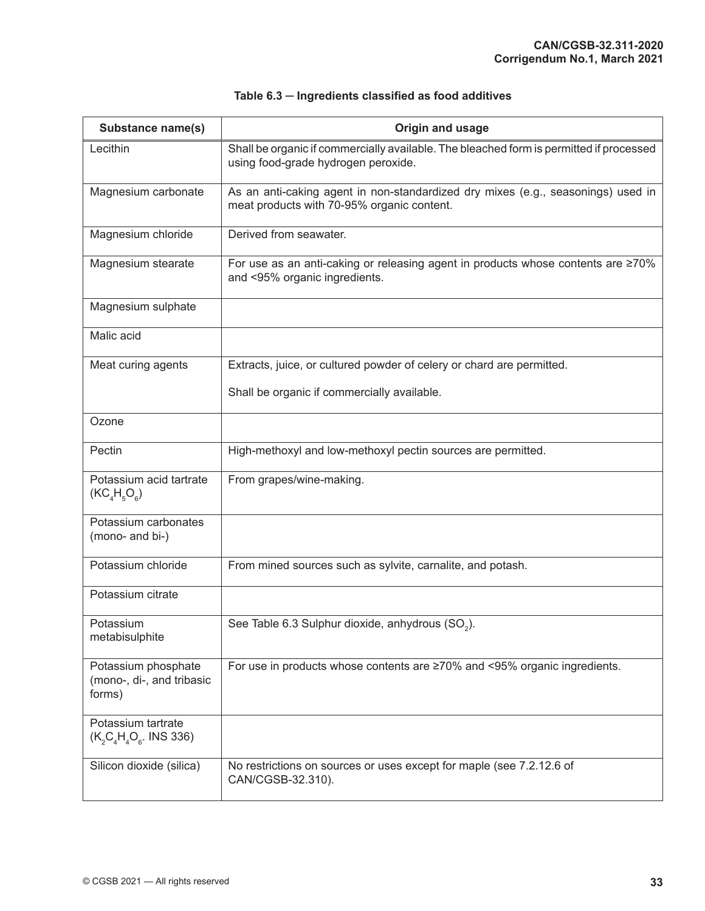| <b>Substance name(s)</b>                                   | Origin and usage                                                                                                               |
|------------------------------------------------------------|--------------------------------------------------------------------------------------------------------------------------------|
| Lecithin                                                   | Shall be organic if commercially available. The bleached form is permitted if processed<br>using food-grade hydrogen peroxide. |
| Magnesium carbonate                                        | As an anti-caking agent in non-standardized dry mixes (e.g., seasonings) used in<br>meat products with 70-95% organic content. |
| Magnesium chloride                                         | Derived from seawater.                                                                                                         |
| Magnesium stearate                                         | For use as an anti-caking or releasing agent in products whose contents are ≥70%<br>and <95% organic ingredients.              |
| Magnesium sulphate                                         |                                                                                                                                |
| Malic acid                                                 |                                                                                                                                |
| Meat curing agents                                         | Extracts, juice, or cultured powder of celery or chard are permitted.                                                          |
|                                                            | Shall be organic if commercially available.                                                                                    |
| Ozone                                                      |                                                                                                                                |
| Pectin                                                     | High-methoxyl and low-methoxyl pectin sources are permitted.                                                                   |
| Potassium acid tartrate<br>$(KC4H5O6)$                     | From grapes/wine-making.                                                                                                       |
| Potassium carbonates<br>(mono- and bi-)                    |                                                                                                                                |
| Potassium chloride                                         | From mined sources such as sylvite, carnalite, and potash.                                                                     |
| Potassium citrate                                          |                                                                                                                                |
| Potassium<br>metabisulphite                                | See Table 6.3 Sulphur dioxide, anhydrous (SO <sub>2</sub> ).                                                                   |
| Potassium phosphate<br>(mono-, di-, and tribasic<br>forms) | For use in products whose contents are ≥70% and <95% organic ingredients.                                                      |
| Potassium tartrate<br>$(K, C_A H_4 O_6.$ INS 336)          |                                                                                                                                |
| Silicon dioxide (silica)                                   | No restrictions on sources or uses except for maple (see 7.2.12.6 of<br>CAN/CGSB-32.310).                                      |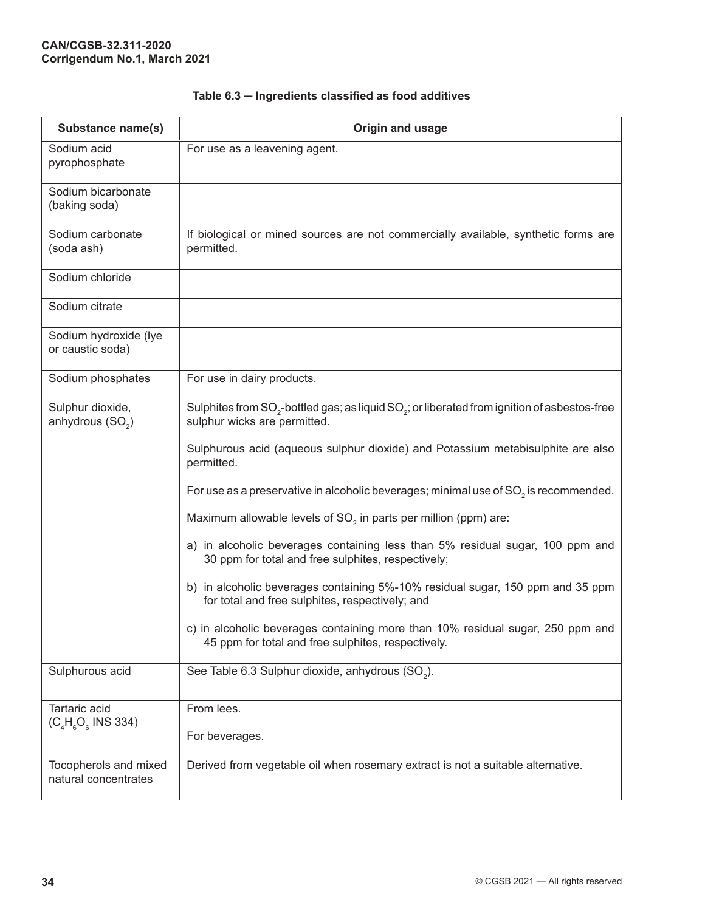| Substance name(s)                                | Origin and usage                                                                                                                     |
|--------------------------------------------------|--------------------------------------------------------------------------------------------------------------------------------------|
| Sodium acid<br>pyrophosphate                     | For use as a leavening agent.                                                                                                        |
| Sodium bicarbonate<br>(baking soda)              |                                                                                                                                      |
| Sodium carbonate<br>(soda ash)                   | If biological or mined sources are not commercially available, synthetic forms are<br>permitted.                                     |
| Sodium chloride                                  |                                                                                                                                      |
| Sodium citrate                                   |                                                                                                                                      |
| Sodium hydroxide (lye<br>or caustic soda)        |                                                                                                                                      |
| Sodium phosphates                                | For use in dairy products.                                                                                                           |
| Sulphur dioxide,<br>anhydrous (SO <sub>2</sub> ) | Sulphites from $SO_2$ -bottled gas; as liquid $SO_2$ ; or liberated from ignition of asbestos-free<br>sulphur wicks are permitted.   |
|                                                  | Sulphurous acid (aqueous sulphur dioxide) and Potassium metabisulphite are also<br>permitted.                                        |
|                                                  | For use as a preservative in alcoholic beverages; minimal use of SO <sub>2</sub> is recommended.                                     |
|                                                  | Maximum allowable levels of SO <sub>2</sub> in parts per million (ppm) are:                                                          |
|                                                  | a) in alcoholic beverages containing less than 5% residual sugar, 100 ppm and<br>30 ppm for total and free sulphites, respectively;  |
|                                                  | b) in alcoholic beverages containing 5%-10% residual sugar, 150 ppm and 35 ppm<br>for total and free sulphites, respectively; and    |
|                                                  | c) in alcoholic beverages containing more than 10% residual sugar, 250 ppm and<br>45 ppm for total and free sulphites, respectively. |
| Sulphurous acid                                  | See Table 6.3 Sulphur dioxide, anhydrous (SO <sub>2</sub> ).                                                                         |
| Tartaric acid<br>$(C_4H_6O_6$ INS 334)           | From lees.                                                                                                                           |
|                                                  | For beverages.                                                                                                                       |
| Tocopherols and mixed<br>natural concentrates    | Derived from vegetable oil when rosemary extract is not a suitable alternative.                                                      |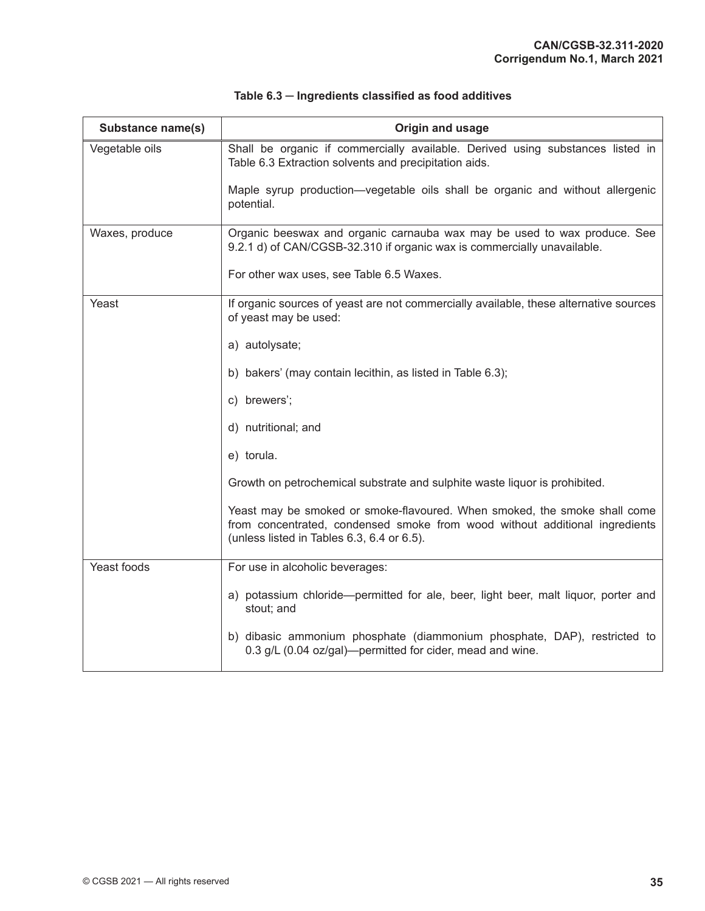| Substance name(s) | Origin and usage                                                                                                                                                                                       |
|-------------------|--------------------------------------------------------------------------------------------------------------------------------------------------------------------------------------------------------|
| Vegetable oils    | Shall be organic if commercially available. Derived using substances listed in<br>Table 6.3 Extraction solvents and precipitation aids.                                                                |
|                   | Maple syrup production—vegetable oils shall be organic and without allergenic<br>potential.                                                                                                            |
| Waxes, produce    | Organic beeswax and organic carnauba wax may be used to wax produce. See<br>9.2.1 d) of CAN/CGSB-32.310 if organic wax is commercially unavailable.                                                    |
|                   | For other wax uses, see Table 6.5 Waxes.                                                                                                                                                               |
| Yeast             | If organic sources of yeast are not commercially available, these alternative sources<br>of yeast may be used:                                                                                         |
|                   | a) autolysate;                                                                                                                                                                                         |
|                   | b) bakers' (may contain lecithin, as listed in Table 6.3);                                                                                                                                             |
|                   | c) brewers';                                                                                                                                                                                           |
|                   | d) nutritional; and                                                                                                                                                                                    |
|                   | e) torula.                                                                                                                                                                                             |
|                   | Growth on petrochemical substrate and sulphite waste liquor is prohibited.                                                                                                                             |
|                   | Yeast may be smoked or smoke-flavoured. When smoked, the smoke shall come<br>from concentrated, condensed smoke from wood without additional ingredients<br>(unless listed in Tables 6.3, 6.4 or 6.5). |
| Yeast foods       | For use in alcoholic beverages:                                                                                                                                                                        |
|                   | a) potassium chloride—permitted for ale, beer, light beer, malt liquor, porter and<br>stout; and                                                                                                       |
|                   | b) dibasic ammonium phosphate (diammonium phosphate, DAP), restricted to<br>0.3 g/L (0.04 oz/gal)—permitted for cider, mead and wine.                                                                  |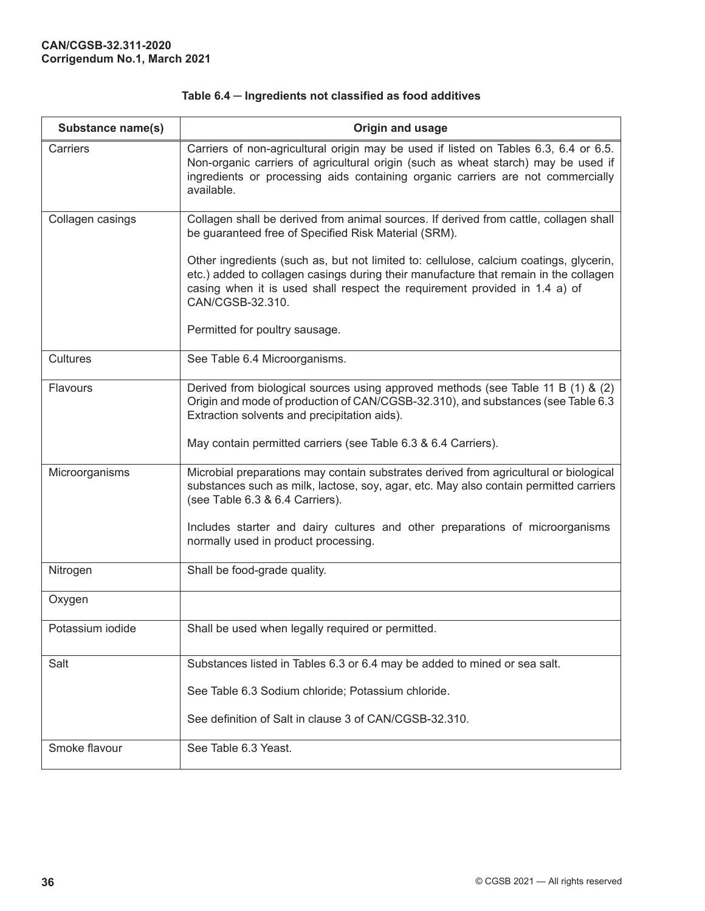| Substance name(s) | Origin and usage                                                                                                                                                                                                                                                                 |
|-------------------|----------------------------------------------------------------------------------------------------------------------------------------------------------------------------------------------------------------------------------------------------------------------------------|
| Carriers          | Carriers of non-agricultural origin may be used if listed on Tables 6.3, 6.4 or 6.5.<br>Non-organic carriers of agricultural origin (such as wheat starch) may be used if<br>ingredients or processing aids containing organic carriers are not commercially<br>available.       |
| Collagen casings  | Collagen shall be derived from animal sources. If derived from cattle, collagen shall<br>be guaranteed free of Specified Risk Material (SRM).                                                                                                                                    |
|                   | Other ingredients (such as, but not limited to: cellulose, calcium coatings, glycerin,<br>etc.) added to collagen casings during their manufacture that remain in the collagen<br>casing when it is used shall respect the requirement provided in 1.4 a) of<br>CAN/CGSB-32.310. |
|                   | Permitted for poultry sausage.                                                                                                                                                                                                                                                   |
| Cultures          | See Table 6.4 Microorganisms.                                                                                                                                                                                                                                                    |
| Flavours          | Derived from biological sources using approved methods (see Table 11 B (1) & (2)<br>Origin and mode of production of CAN/CGSB-32.310), and substances (see Table 6.3<br>Extraction solvents and precipitation aids).                                                             |
|                   | May contain permitted carriers (see Table 6.3 & 6.4 Carriers).                                                                                                                                                                                                                   |
| Microorganisms    | Microbial preparations may contain substrates derived from agricultural or biological<br>substances such as milk, lactose, soy, agar, etc. May also contain permitted carriers<br>(see Table 6.3 & 6.4 Carriers).                                                                |
|                   | Includes starter and dairy cultures and other preparations of microorganisms<br>normally used in product processing.                                                                                                                                                             |
| Nitrogen          | Shall be food-grade quality.                                                                                                                                                                                                                                                     |
| Oxygen            |                                                                                                                                                                                                                                                                                  |
| Potassium iodide  | Shall be used when legally required or permitted.                                                                                                                                                                                                                                |
| Salt              | Substances listed in Tables 6.3 or 6.4 may be added to mined or sea salt.                                                                                                                                                                                                        |
|                   | See Table 6.3 Sodium chloride; Potassium chloride.                                                                                                                                                                                                                               |
|                   | See definition of Salt in clause 3 of CAN/CGSB-32.310.                                                                                                                                                                                                                           |
| Smoke flavour     | See Table 6.3 Yeast.                                                                                                                                                                                                                                                             |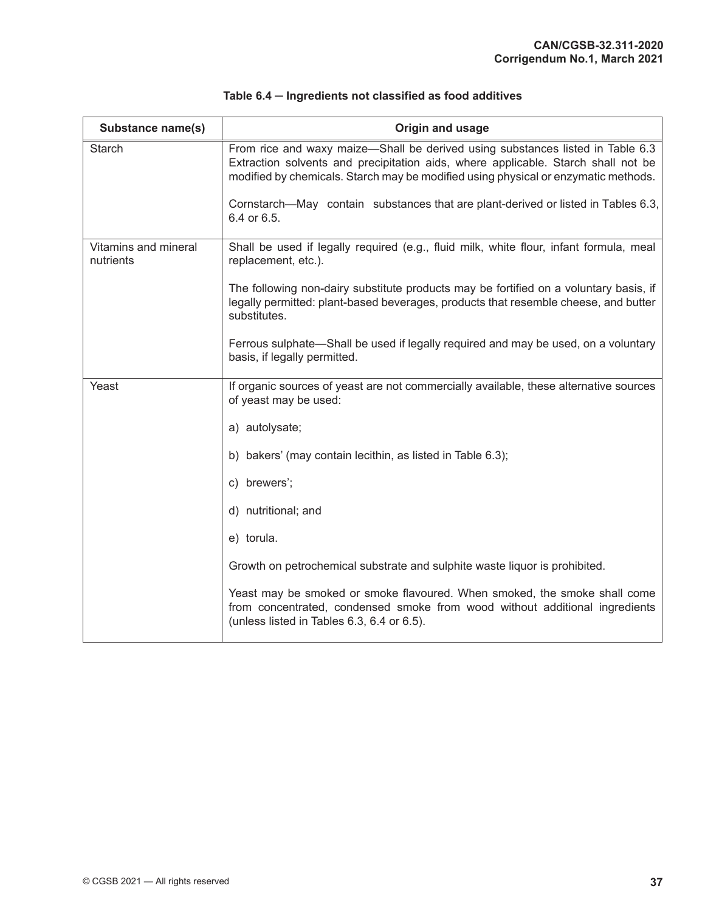| Substance name(s)                 | Origin and usage                                                                                                                                                                                                                                          |
|-----------------------------------|-----------------------------------------------------------------------------------------------------------------------------------------------------------------------------------------------------------------------------------------------------------|
| <b>Starch</b>                     | From rice and waxy maize-Shall be derived using substances listed in Table 6.3<br>Extraction solvents and precipitation aids, where applicable. Starch shall not be<br>modified by chemicals. Starch may be modified using physical or enzymatic methods. |
|                                   | Cornstarch—May contain substances that are plant-derived or listed in Tables 6.3,<br>6.4 or 6.5.                                                                                                                                                          |
| Vitamins and mineral<br>nutrients | Shall be used if legally required (e.g., fluid milk, white flour, infant formula, meal<br>replacement, etc.).                                                                                                                                             |
|                                   | The following non-dairy substitute products may be fortified on a voluntary basis, if<br>legally permitted: plant-based beverages, products that resemble cheese, and butter<br>substitutes.                                                              |
|                                   | Ferrous sulphate—Shall be used if legally required and may be used, on a voluntary<br>basis, if legally permitted.                                                                                                                                        |
| Yeast                             | If organic sources of yeast are not commercially available, these alternative sources<br>of yeast may be used:                                                                                                                                            |
|                                   | a) autolysate;                                                                                                                                                                                                                                            |
|                                   | b) bakers' (may contain lecithin, as listed in Table 6.3);                                                                                                                                                                                                |
|                                   | c) brewers';                                                                                                                                                                                                                                              |
|                                   | d) nutritional; and                                                                                                                                                                                                                                       |
|                                   | e) torula.                                                                                                                                                                                                                                                |
|                                   | Growth on petrochemical substrate and sulphite waste liquor is prohibited.                                                                                                                                                                                |
|                                   | Yeast may be smoked or smoke flavoured. When smoked, the smoke shall come<br>from concentrated, condensed smoke from wood without additional ingredients<br>(unless listed in Tables 6.3, 6.4 or 6.5).                                                    |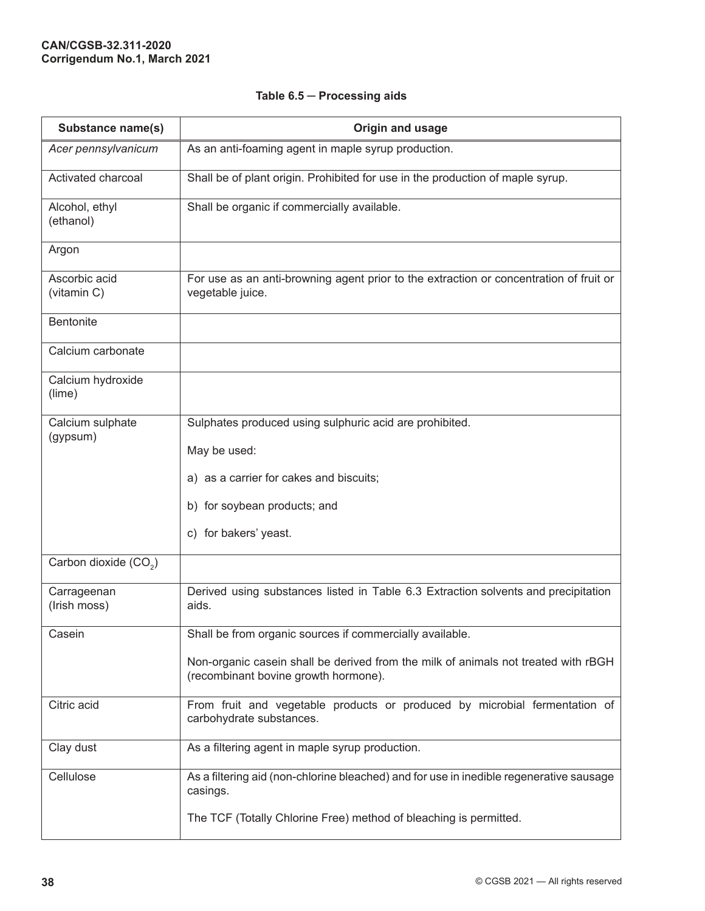| Substance name(s)                 | Origin and usage                                                                                                           |
|-----------------------------------|----------------------------------------------------------------------------------------------------------------------------|
| Acer pennsylvanicum               | As an anti-foaming agent in maple syrup production.                                                                        |
| Activated charcoal                | Shall be of plant origin. Prohibited for use in the production of maple syrup.                                             |
| Alcohol, ethyl<br>(ethanol)       | Shall be organic if commercially available.                                                                                |
| Argon                             |                                                                                                                            |
| Ascorbic acid<br>(vitamin C)      | For use as an anti-browning agent prior to the extraction or concentration of fruit or<br>vegetable juice.                 |
| <b>Bentonite</b>                  |                                                                                                                            |
| Calcium carbonate                 |                                                                                                                            |
| Calcium hydroxide<br>(lime)       |                                                                                                                            |
| Calcium sulphate<br>(gypsum)      | Sulphates produced using sulphuric acid are prohibited.                                                                    |
|                                   | May be used:                                                                                                               |
|                                   | a) as a carrier for cakes and biscuits;                                                                                    |
|                                   | b) for soybean products; and                                                                                               |
|                                   | c) for bakers' yeast.                                                                                                      |
| Carbon dioxide (CO <sub>2</sub> ) |                                                                                                                            |
| Carrageenan<br>(Irish moss)       | Derived using substances listed in Table 6.3 Extraction solvents and precipitation<br>aids.                                |
| Casein                            | Shall be from organic sources if commercially available.                                                                   |
|                                   | Non-organic casein shall be derived from the milk of animals not treated with rBGH<br>(recombinant bovine growth hormone). |
| Citric acid                       | From fruit and vegetable products or produced by microbial fermentation of<br>carbohydrate substances.                     |
| Clay dust                         | As a filtering agent in maple syrup production.                                                                            |
| Cellulose                         | As a filtering aid (non-chlorine bleached) and for use in inedible regenerative sausage<br>casings.                        |
|                                   | The TCF (Totally Chlorine Free) method of bleaching is permitted.                                                          |

# **Table 6.5 ─ Processing aids**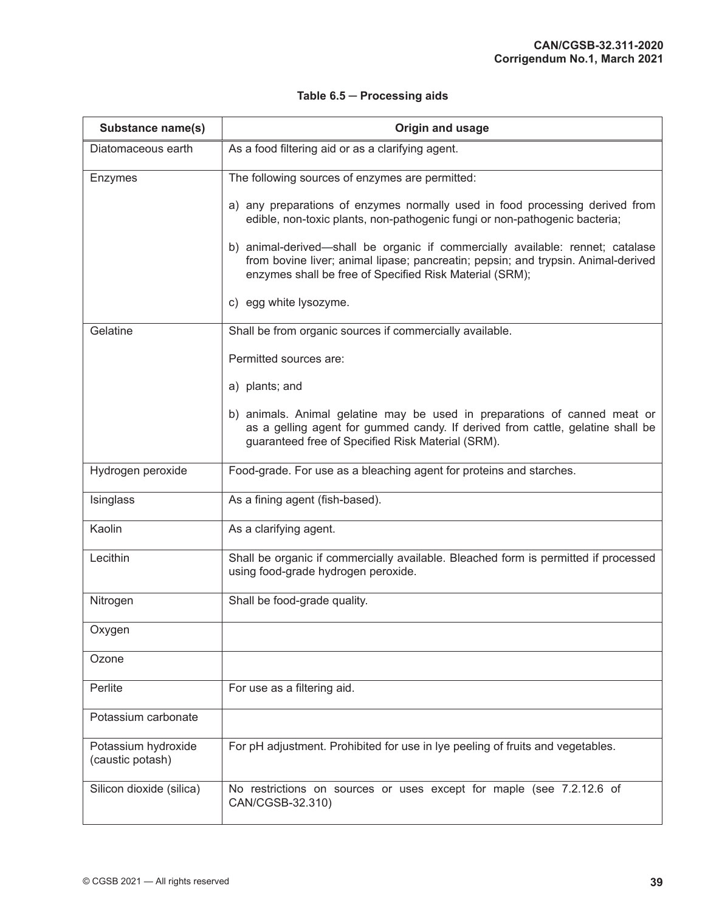| Substance name(s)                       | Origin and usage                                                                                                                                                                                                               |
|-----------------------------------------|--------------------------------------------------------------------------------------------------------------------------------------------------------------------------------------------------------------------------------|
| Diatomaceous earth                      | As a food filtering aid or as a clarifying agent.                                                                                                                                                                              |
| Enzymes                                 | The following sources of enzymes are permitted:                                                                                                                                                                                |
|                                         | a) any preparations of enzymes normally used in food processing derived from<br>edible, non-toxic plants, non-pathogenic fungi or non-pathogenic bacteria;                                                                     |
|                                         | b) animal-derived—shall be organic if commercially available: rennet; catalase<br>from bovine liver; animal lipase; pancreatin; pepsin; and trypsin. Animal-derived<br>enzymes shall be free of Specified Risk Material (SRM); |
|                                         | c) egg white lysozyme.                                                                                                                                                                                                         |
| Gelatine                                | Shall be from organic sources if commercially available.                                                                                                                                                                       |
|                                         | Permitted sources are:                                                                                                                                                                                                         |
|                                         | a) plants; and                                                                                                                                                                                                                 |
|                                         | b) animals. Animal gelatine may be used in preparations of canned meat or<br>as a gelling agent for gummed candy. If derived from cattle, gelatine shall be<br>guaranteed free of Specified Risk Material (SRM).               |
| Hydrogen peroxide                       | Food-grade. For use as a bleaching agent for proteins and starches.                                                                                                                                                            |
| Isinglass                               | As a fining agent (fish-based).                                                                                                                                                                                                |
| Kaolin                                  | As a clarifying agent.                                                                                                                                                                                                         |
| Lecithin                                | Shall be organic if commercially available. Bleached form is permitted if processed<br>using food-grade hydrogen peroxide.                                                                                                     |
| Nitrogen                                | Shall be food-grade quality.                                                                                                                                                                                                   |
| Oxygen                                  |                                                                                                                                                                                                                                |
| Ozone                                   |                                                                                                                                                                                                                                |
| Perlite                                 | For use as a filtering aid.                                                                                                                                                                                                    |
| Potassium carbonate                     |                                                                                                                                                                                                                                |
| Potassium hydroxide<br>(caustic potash) | For pH adjustment. Prohibited for use in Iye peeling of fruits and vegetables.                                                                                                                                                 |
| Silicon dioxide (silica)                | No restrictions on sources or uses except for maple (see 7.2.12.6 of<br>CAN/CGSB-32.310)                                                                                                                                       |

# **Table 6.5 ─ Processing aids**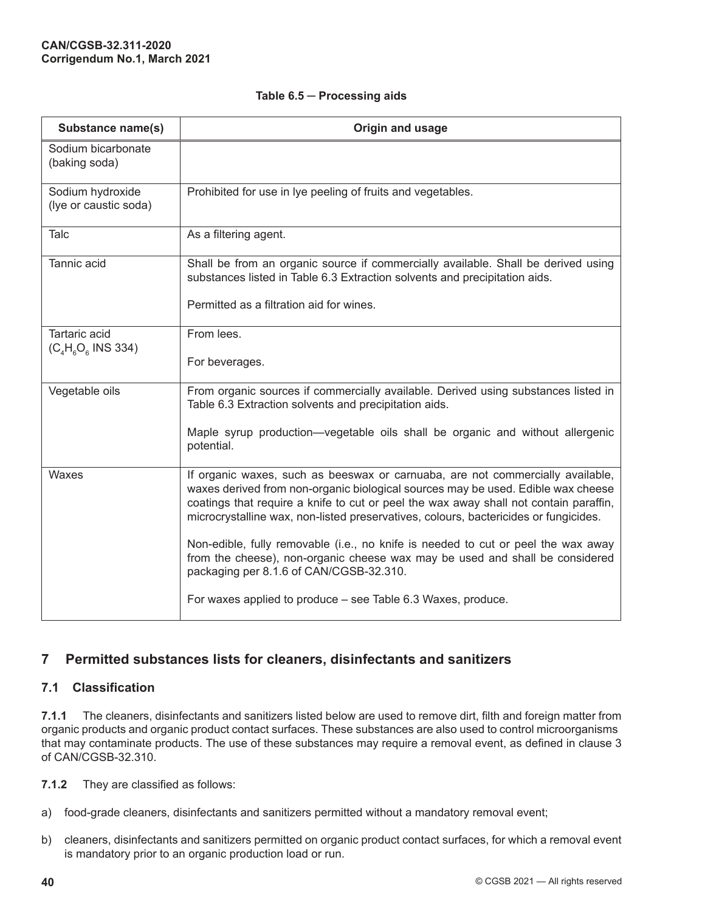<span id="page-47-0"></span>

| Substance name(s)                             | Origin and usage                                                                                                                                                                                                                                                                                                                                    |
|-----------------------------------------------|-----------------------------------------------------------------------------------------------------------------------------------------------------------------------------------------------------------------------------------------------------------------------------------------------------------------------------------------------------|
| Sodium bicarbonate<br>(baking soda)           |                                                                                                                                                                                                                                                                                                                                                     |
| Sodium hydroxide<br>(lye or caustic soda)     | Prohibited for use in Iye peeling of fruits and vegetables.                                                                                                                                                                                                                                                                                         |
| Talc                                          | As a filtering agent.                                                                                                                                                                                                                                                                                                                               |
| Tannic acid                                   | Shall be from an organic source if commercially available. Shall be derived using<br>substances listed in Table 6.3 Extraction solvents and precipitation aids.                                                                                                                                                                                     |
|                                               | Permitted as a filtration aid for wines.                                                                                                                                                                                                                                                                                                            |
| <b>Tartaric acid</b><br>$(C_4H_6O_6$ INS 334) | From lees.                                                                                                                                                                                                                                                                                                                                          |
|                                               | For beverages.                                                                                                                                                                                                                                                                                                                                      |
| Vegetable oils                                | From organic sources if commercially available. Derived using substances listed in<br>Table 6.3 Extraction solvents and precipitation aids.                                                                                                                                                                                                         |
|                                               | Maple syrup production—vegetable oils shall be organic and without allergenic<br>potential.                                                                                                                                                                                                                                                         |
| Waxes                                         | If organic waxes, such as beeswax or carnuaba, are not commercially available,<br>waxes derived from non-organic biological sources may be used. Edible wax cheese<br>coatings that require a knife to cut or peel the wax away shall not contain paraffin,<br>microcrystalline wax, non-listed preservatives, colours, bactericides or fungicides. |
|                                               | Non-edible, fully removable (i.e., no knife is needed to cut or peel the wax away<br>from the cheese), non-organic cheese wax may be used and shall be considered<br>packaging per 8.1.6 of CAN/CGSB-32.310.                                                                                                                                        |
|                                               | For waxes applied to produce – see Table 6.3 Waxes, produce.                                                                                                                                                                                                                                                                                        |

# **7 Permitted substances lists for cleaners, disinfectants and sanitizers**

## **7.1 Classification**

**7.1.1** The cleaners, disinfectants and sanitizers listed below are used to remove dirt, filth and foreign matter from organic products and organic product contact surfaces. These substances are also used to control microorganisms that may contaminate products. The use of these substances may require a removal event, as defined in clause 3 of CAN/CGSB-32.310.

- **7.1.2** They are classified as follows:
- a) food-grade cleaners, disinfectants and sanitizers permitted without a mandatory removal event;
- b) cleaners, disinfectants and sanitizers permitted on organic product contact surfaces, for which a removal event is mandatory prior to an organic production load or run.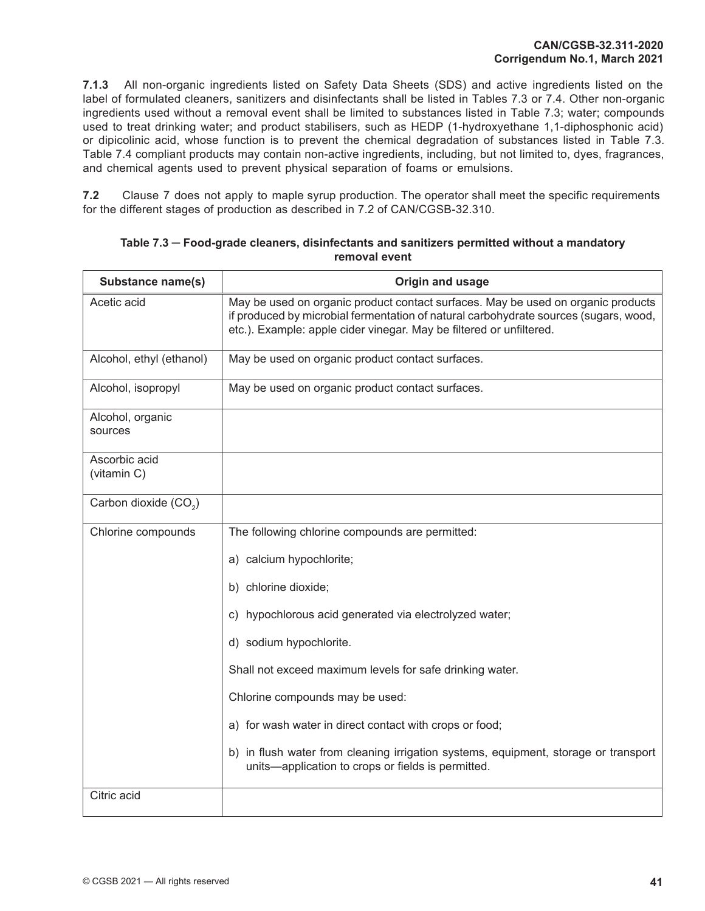**7.1.3** All non-organic ingredients listed on Safety Data Sheets (SDS) and active ingredients listed on the label of formulated cleaners, sanitizers and disinfectants shall be listed in Tables 7.3 or 7.4. Other non-organic ingredients used without a removal event shall be limited to substances listed in Table 7.3; water; compounds used to treat drinking water; and product stabilisers, such as HEDP (1-hydroxyethane 1,1-diphosphonic acid) or dipicolinic acid, whose function is to prevent the chemical degradation of substances listed in Table 7.3. Table 7.4 compliant products may contain non-active ingredients, including, but not limited to, dyes, fragrances, and chemical agents used to prevent physical separation of foams or emulsions.

**7.2** Clause 7 does not apply to maple syrup production. The operator shall meet the specific requirements for the different stages of production as described in 7.2 of CAN/CGSB-32.310.

| Substance name(s)                 | Origin and usage                                                                                                                                                                                                                                |
|-----------------------------------|-------------------------------------------------------------------------------------------------------------------------------------------------------------------------------------------------------------------------------------------------|
| Acetic acid                       | May be used on organic product contact surfaces. May be used on organic products<br>if produced by microbial fermentation of natural carbohydrate sources (sugars, wood,<br>etc.). Example: apple cider vinegar. May be filtered or unfiltered. |
| Alcohol, ethyl (ethanol)          | May be used on organic product contact surfaces.                                                                                                                                                                                                |
| Alcohol, isopropyl                | May be used on organic product contact surfaces.                                                                                                                                                                                                |
| Alcohol, organic<br>sources       |                                                                                                                                                                                                                                                 |
| Ascorbic acid<br>(vitamin C)      |                                                                                                                                                                                                                                                 |
| Carbon dioxide (CO <sub>2</sub> ) |                                                                                                                                                                                                                                                 |
| Chlorine compounds                | The following chlorine compounds are permitted:                                                                                                                                                                                                 |
|                                   | a) calcium hypochlorite;                                                                                                                                                                                                                        |
|                                   | b) chlorine dioxide;                                                                                                                                                                                                                            |
|                                   | c) hypochlorous acid generated via electrolyzed water;                                                                                                                                                                                          |
|                                   | d) sodium hypochlorite.                                                                                                                                                                                                                         |
|                                   | Shall not exceed maximum levels for safe drinking water.                                                                                                                                                                                        |
|                                   | Chlorine compounds may be used:                                                                                                                                                                                                                 |
|                                   | a) for wash water in direct contact with crops or food;                                                                                                                                                                                         |
|                                   | b) in flush water from cleaning irrigation systems, equipment, storage or transport<br>units-application to crops or fields is permitted.                                                                                                       |
| Citric acid                       |                                                                                                                                                                                                                                                 |

| Table 7.3 -- Food-grade cleaners, disinfectants and sanitizers permitted without a mandatory |               |  |
|----------------------------------------------------------------------------------------------|---------------|--|
|                                                                                              | removal event |  |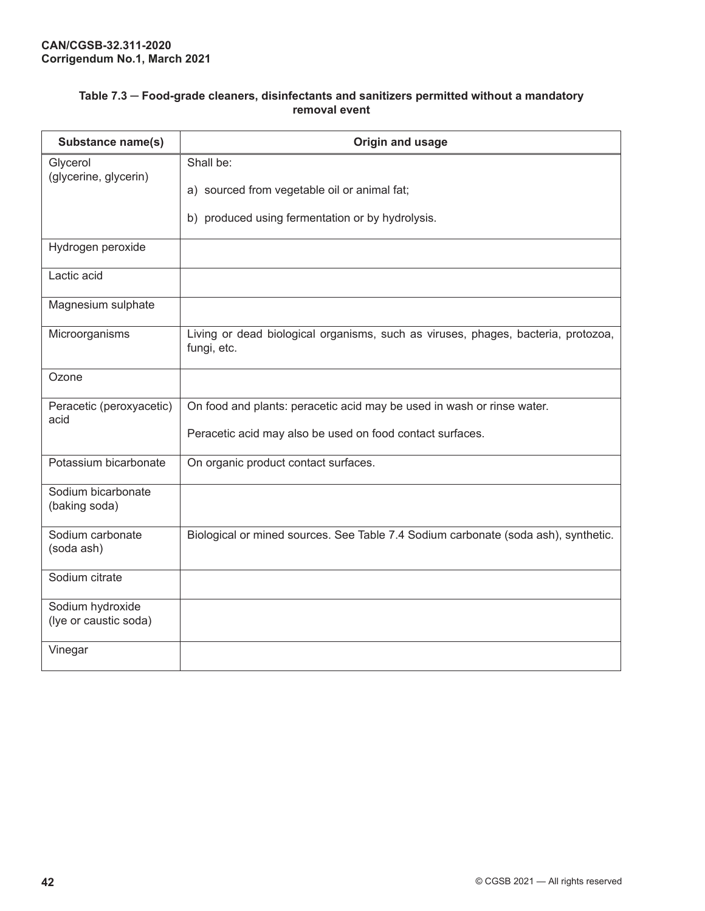| Table 7.3 – Food-grade cleaners, disinfectants and sanitizers permitted without a mandatory |               |  |
|---------------------------------------------------------------------------------------------|---------------|--|
|                                                                                             | removal event |  |

| <b>Substance name(s)</b>                  | Origin and usage                                                                                 |
|-------------------------------------------|--------------------------------------------------------------------------------------------------|
| Glycerol<br>(glycerine, glycerin)         | Shall be:                                                                                        |
|                                           | a) sourced from vegetable oil or animal fat;                                                     |
|                                           | b) produced using fermentation or by hydrolysis.                                                 |
| Hydrogen peroxide                         |                                                                                                  |
| Lactic acid                               |                                                                                                  |
| Magnesium sulphate                        |                                                                                                  |
| Microorganisms                            | Living or dead biological organisms, such as viruses, phages, bacteria, protozoa,<br>fungi, etc. |
| Ozone                                     |                                                                                                  |
| Peracetic (peroxyacetic)<br>acid          | On food and plants: peracetic acid may be used in wash or rinse water.                           |
|                                           | Peracetic acid may also be used on food contact surfaces.                                        |
| Potassium bicarbonate                     | On organic product contact surfaces.                                                             |
| Sodium bicarbonate<br>(baking soda)       |                                                                                                  |
| Sodium carbonate<br>(soda ash)            | Biological or mined sources. See Table 7.4 Sodium carbonate (soda ash), synthetic.               |
| Sodium citrate                            |                                                                                                  |
| Sodium hydroxide<br>(lye or caustic soda) |                                                                                                  |
| Vinegar                                   |                                                                                                  |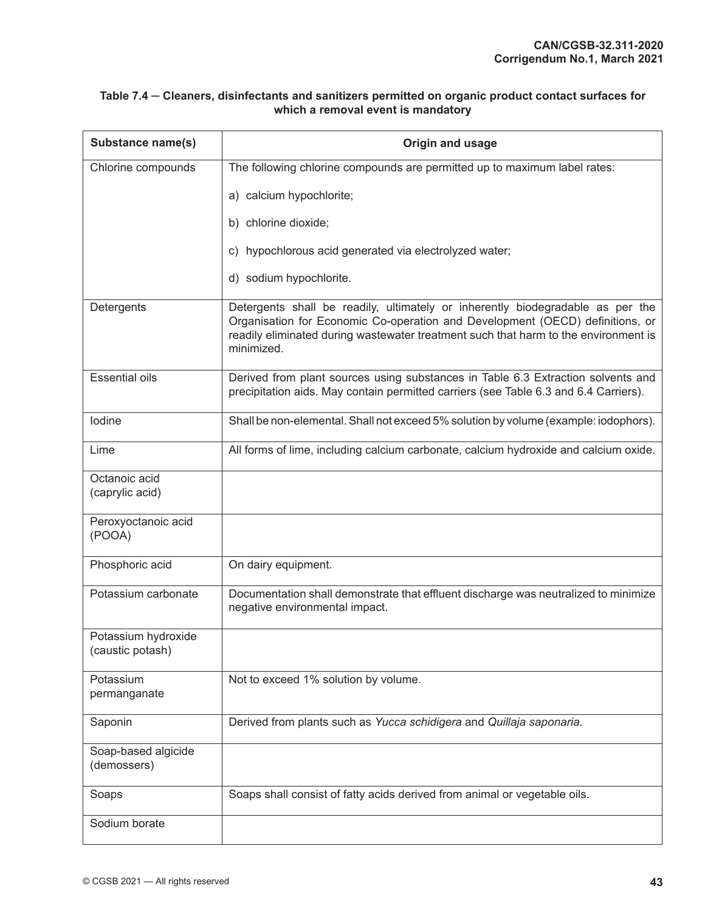#### **Table 7.4 ─ Cleaners, disinfectants and sanitizers permitted on organic product contact surfaces for which a removal event is mandatory**

| Substance name(s)                       | Origin and usage                                                                                                                                                                                                                                                     |
|-----------------------------------------|----------------------------------------------------------------------------------------------------------------------------------------------------------------------------------------------------------------------------------------------------------------------|
| Chlorine compounds                      | The following chlorine compounds are permitted up to maximum label rates:                                                                                                                                                                                            |
|                                         | a) calcium hypochlorite;                                                                                                                                                                                                                                             |
|                                         | b) chlorine dioxide;                                                                                                                                                                                                                                                 |
|                                         | c) hypochlorous acid generated via electrolyzed water;                                                                                                                                                                                                               |
|                                         | d) sodium hypochlorite.                                                                                                                                                                                                                                              |
| Detergents                              | Detergents shall be readily, ultimately or inherently biodegradable as per the<br>Organisation for Economic Co-operation and Development (OECD) definitions, or<br>readily eliminated during wastewater treatment such that harm to the environment is<br>minimized. |
| <b>Essential oils</b>                   | Derived from plant sources using substances in Table 6.3 Extraction solvents and<br>precipitation aids. May contain permitted carriers (see Table 6.3 and 6.4 Carriers).                                                                                             |
| lodine                                  | Shall be non-elemental. Shall not exceed 5% solution by volume (example: iodophors).                                                                                                                                                                                 |
| Lime                                    | All forms of lime, including calcium carbonate, calcium hydroxide and calcium oxide.                                                                                                                                                                                 |
| Octanoic acid<br>(caprylic acid)        |                                                                                                                                                                                                                                                                      |
| Peroxyoctanoic acid<br>(POOA)           |                                                                                                                                                                                                                                                                      |
| Phosphoric acid                         | On dairy equipment.                                                                                                                                                                                                                                                  |
| Potassium carbonate                     | Documentation shall demonstrate that effluent discharge was neutralized to minimize<br>negative environmental impact.                                                                                                                                                |
| Potassium hydroxide<br>(caustic potash) |                                                                                                                                                                                                                                                                      |
| Potassium<br>permanganate               | Not to exceed 1% solution by volume.                                                                                                                                                                                                                                 |
| Saponin                                 | Derived from plants such as Yucca schidigera and Quillaja saponaria.                                                                                                                                                                                                 |
| Soap-based algicide<br>(demossers)      |                                                                                                                                                                                                                                                                      |
| Soaps                                   | Soaps shall consist of fatty acids derived from animal or vegetable oils.                                                                                                                                                                                            |
| Sodium borate                           |                                                                                                                                                                                                                                                                      |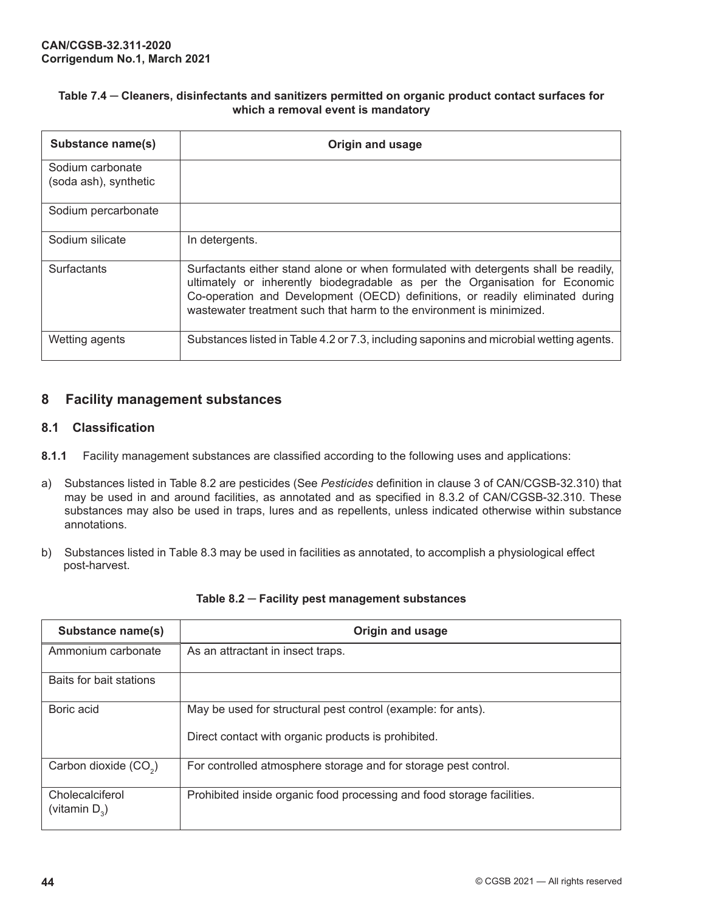#### <span id="page-51-0"></span>**Table 7.4 ─ Cleaners, disinfectants and sanitizers permitted on organic product contact surfaces for which a removal event is mandatory**

| Substance name(s)                         | <b>Origin and usage</b>                                                                                                                                                                                                                                                                                                     |
|-------------------------------------------|-----------------------------------------------------------------------------------------------------------------------------------------------------------------------------------------------------------------------------------------------------------------------------------------------------------------------------|
| Sodium carbonate<br>(soda ash), synthetic |                                                                                                                                                                                                                                                                                                                             |
| Sodium percarbonate                       |                                                                                                                                                                                                                                                                                                                             |
| Sodium silicate                           | In detergents.                                                                                                                                                                                                                                                                                                              |
| <b>Surfactants</b>                        | Surfactants either stand alone or when formulated with detergents shall be readily,<br>ultimately or inherently biodegradable as per the Organisation for Economic<br>Co-operation and Development (OECD) definitions, or readily eliminated during<br>wastewater treatment such that harm to the environment is minimized. |
| Wetting agents                            | Substances listed in Table 4.2 or 7.3, including saponins and microbial wetting agents.                                                                                                                                                                                                                                     |

# **8 Facility management substances**

#### **8.1 Classification**

- **8.1.1** Facility management substances are classified according to the following uses and applications:
- a) Substances listed in Table 8.2 are pesticides (See *Pesticides* definition in clause 3 of CAN/CGSB-32.310) that may be used in and around facilities, as annotated and as specified in 8.3.2 of CAN/CGSB-32.310. These substances may also be used in traps, lures and as repellents, unless indicated otherwise within substance annotations.
- b) Substances listed in Table 8.3 may be used in facilities as annotated, to accomplish a physiological effect post-harvest.

| Substance name(s)                   | Origin and usage                                                       |
|-------------------------------------|------------------------------------------------------------------------|
| Ammonium carbonate                  | As an attractant in insect traps.                                      |
| Baits for bait stations             |                                                                        |
| Boric acid                          | May be used for structural pest control (example: for ants).           |
|                                     | Direct contact with organic products is prohibited.                    |
| Carbon dioxide (CO <sub>2</sub> )   | For controlled atmosphere storage and for storage pest control.        |
| Cholecalciferol<br>(vitamin $D_3$ ) | Prohibited inside organic food processing and food storage facilities. |

#### **Table 8.2 ─ Facility pest management substances**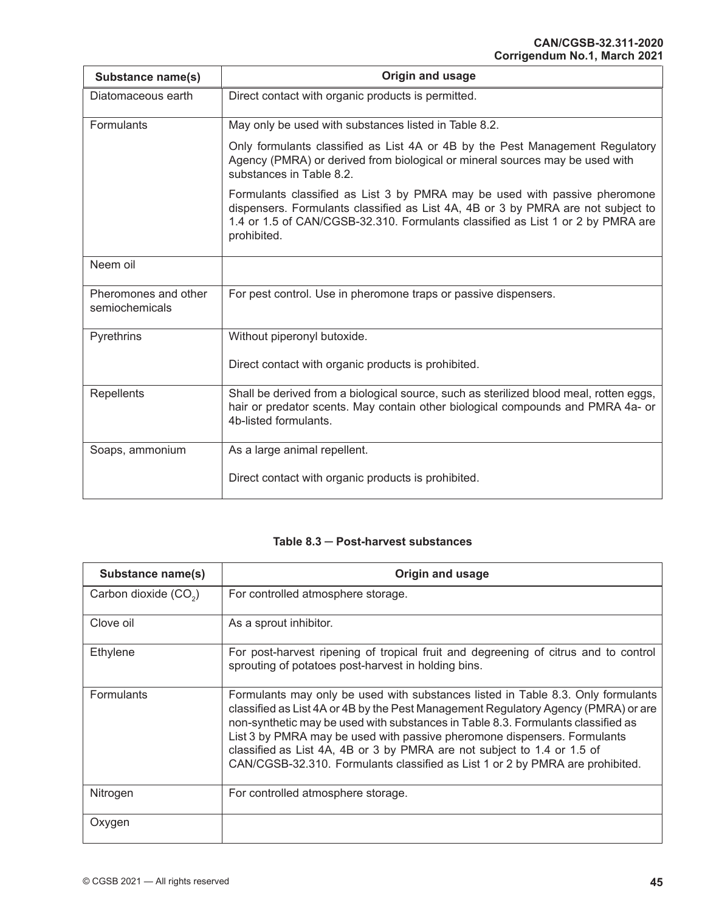| Substance name(s)                      | Origin and usage                                                                                                                                                                                                                                                 |
|----------------------------------------|------------------------------------------------------------------------------------------------------------------------------------------------------------------------------------------------------------------------------------------------------------------|
| Diatomaceous earth                     | Direct contact with organic products is permitted.                                                                                                                                                                                                               |
| <b>Formulants</b>                      | May only be used with substances listed in Table 8.2.                                                                                                                                                                                                            |
|                                        | Only formulants classified as List 4A or 4B by the Pest Management Regulatory<br>Agency (PMRA) or derived from biological or mineral sources may be used with<br>substances in Table 8.2.                                                                        |
|                                        | Formulants classified as List 3 by PMRA may be used with passive pheromone<br>dispensers. Formulants classified as List 4A, 4B or 3 by PMRA are not subject to<br>1.4 or 1.5 of CAN/CGSB-32.310. Formulants classified as List 1 or 2 by PMRA are<br>prohibited. |
| Neem oil                               |                                                                                                                                                                                                                                                                  |
| Pheromones and other<br>semiochemicals | For pest control. Use in pheromone traps or passive dispensers.                                                                                                                                                                                                  |
| Pyrethrins                             | Without piperonyl butoxide.                                                                                                                                                                                                                                      |
|                                        | Direct contact with organic products is prohibited.                                                                                                                                                                                                              |
| <b>Repellents</b>                      | Shall be derived from a biological source, such as sterilized blood meal, rotten eggs,<br>hair or predator scents. May contain other biological compounds and PMRA 4a- or<br>4b-listed formulants.                                                               |
| Soaps, ammonium                        | As a large animal repellent.                                                                                                                                                                                                                                     |
|                                        | Direct contact with organic products is prohibited.                                                                                                                                                                                                              |

#### **Table 8.3 ─ Post-harvest substances**

| Substance name(s)                 | Origin and usage                                                                                                                                                                                                                                                                                                                                                                                                                                                                                   |
|-----------------------------------|----------------------------------------------------------------------------------------------------------------------------------------------------------------------------------------------------------------------------------------------------------------------------------------------------------------------------------------------------------------------------------------------------------------------------------------------------------------------------------------------------|
| Carbon dioxide (CO <sub>2</sub> ) | For controlled atmosphere storage.                                                                                                                                                                                                                                                                                                                                                                                                                                                                 |
| Clove oil                         | As a sprout inhibitor.                                                                                                                                                                                                                                                                                                                                                                                                                                                                             |
| Ethylene                          | For post-harvest ripening of tropical fruit and degreening of citrus and to control<br>sprouting of potatoes post-harvest in holding bins.                                                                                                                                                                                                                                                                                                                                                         |
| <b>Formulants</b>                 | Formulants may only be used with substances listed in Table 8.3. Only formulants<br>classified as List 4A or 4B by the Pest Management Regulatory Agency (PMRA) or are<br>non-synthetic may be used with substances in Table 8.3. Formulants classified as<br>List 3 by PMRA may be used with passive pheromone dispensers. Formulants<br>classified as List 4A, 4B or 3 by PMRA are not subject to 1.4 or 1.5 of<br>CAN/CGSB-32.310. Formulants classified as List 1 or 2 by PMRA are prohibited. |
| Nitrogen                          | For controlled atmosphere storage.                                                                                                                                                                                                                                                                                                                                                                                                                                                                 |
| Oxygen                            |                                                                                                                                                                                                                                                                                                                                                                                                                                                                                                    |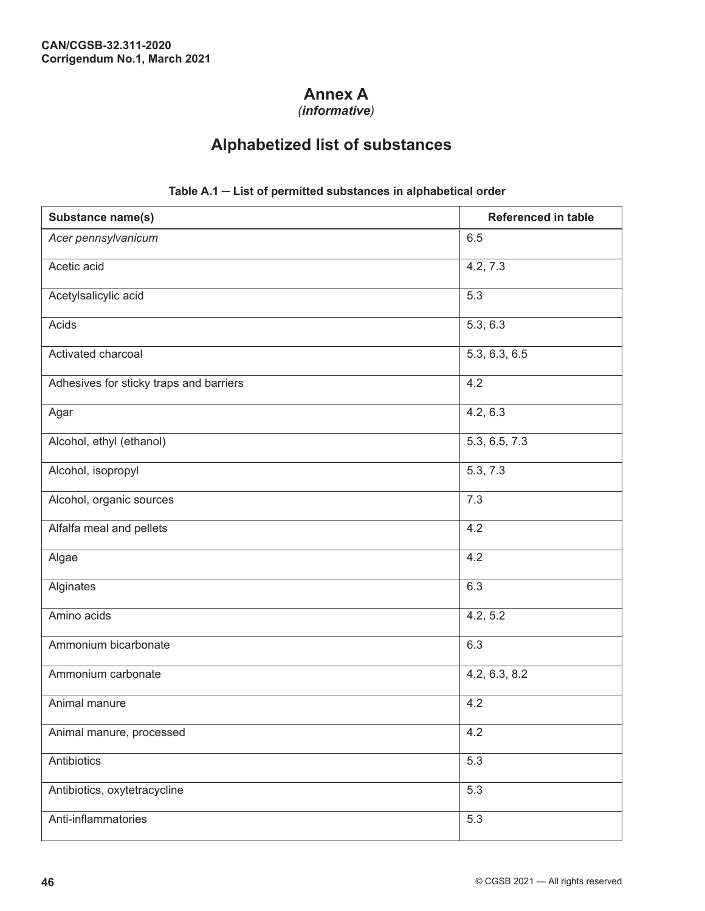# **Annex A**

*(informative)*

# **Alphabetized list of substances**

<span id="page-53-0"></span>

| <b>Substance name(s)</b>                | Referenced in table |
|-----------------------------------------|---------------------|
| Acer pennsylvanicum                     | 6.5                 |
| Acetic acid                             | 4.2, 7.3            |
| Acetylsalicylic acid                    | 5.3                 |
| Acids                                   | 5.3, 6.3            |
| Activated charcoal                      | 5.3, 6.3, 6.5       |
| Adhesives for sticky traps and barriers | 4.2                 |
| Agar                                    | 4.2, 6.3            |
| Alcohol, ethyl (ethanol)                | 5.3, 6.5, 7.3       |
| Alcohol, isopropyl                      | 5.3, 7.3            |
| Alcohol, organic sources                | 7.3                 |
| Alfalfa meal and pellets                | 4.2                 |
| Algae                                   | 4.2                 |
| Alginates                               | 6.3                 |
| Amino acids                             | 4.2, 5.2            |
| Ammonium bicarbonate                    | 6.3                 |
| Ammonium carbonate                      | 4.2, 6.3, 8.2       |
| Animal manure                           | 4.2                 |
| Animal manure, processed                | 4.2                 |
| Antibiotics                             | 5.3                 |
| Antibiotics, oxytetracycline            | 5.3                 |
| Anti-inflammatories                     | 5.3                 |

#### **Table A.1 ─ List of permitted substances in alphabetical order**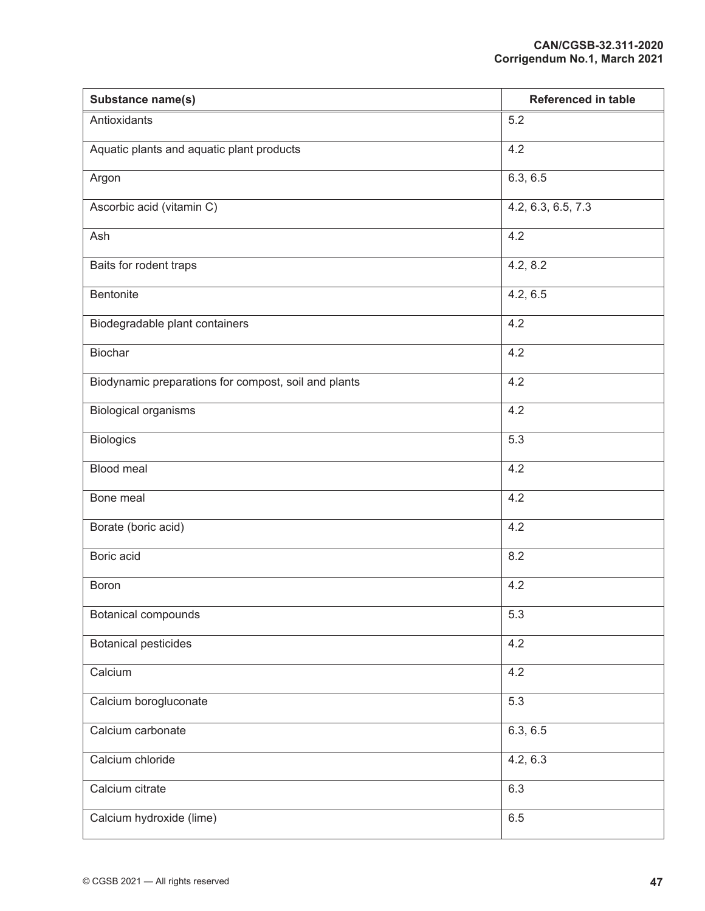| Substance name(s)                                    | <b>Referenced in table</b> |
|------------------------------------------------------|----------------------------|
| Antioxidants                                         | 5.2                        |
| Aquatic plants and aquatic plant products            | 4.2                        |
| Argon                                                | 6.3, 6.5                   |
| Ascorbic acid (vitamin C)                            | 4.2, 6.3, 6.5, 7.3         |
| Ash                                                  | 4.2                        |
| Baits for rodent traps                               | 4.2, 8.2                   |
| Bentonite                                            | 4.2, 6.5                   |
| Biodegradable plant containers                       | 4.2                        |
| Biochar                                              | 4.2                        |
| Biodynamic preparations for compost, soil and plants | 4.2                        |
| <b>Biological organisms</b>                          | 4.2                        |
| <b>Biologics</b>                                     | 5.3                        |
| Blood meal                                           | 4.2                        |
| Bone meal                                            | 4.2                        |
| Borate (boric acid)                                  | 4.2                        |
| Boric acid                                           | 8.2                        |
| Boron                                                | 4.2                        |
| <b>Botanical compounds</b>                           | 5.3                        |
| <b>Botanical pesticides</b>                          | 4.2                        |
| Calcium                                              | 4.2                        |
| Calcium borogluconate                                | 5.3                        |
| Calcium carbonate                                    | 6.3, 6.5                   |
| Calcium chloride                                     | 4.2, 6.3                   |
| Calcium citrate                                      | 6.3                        |
| Calcium hydroxide (lime)                             | 6.5                        |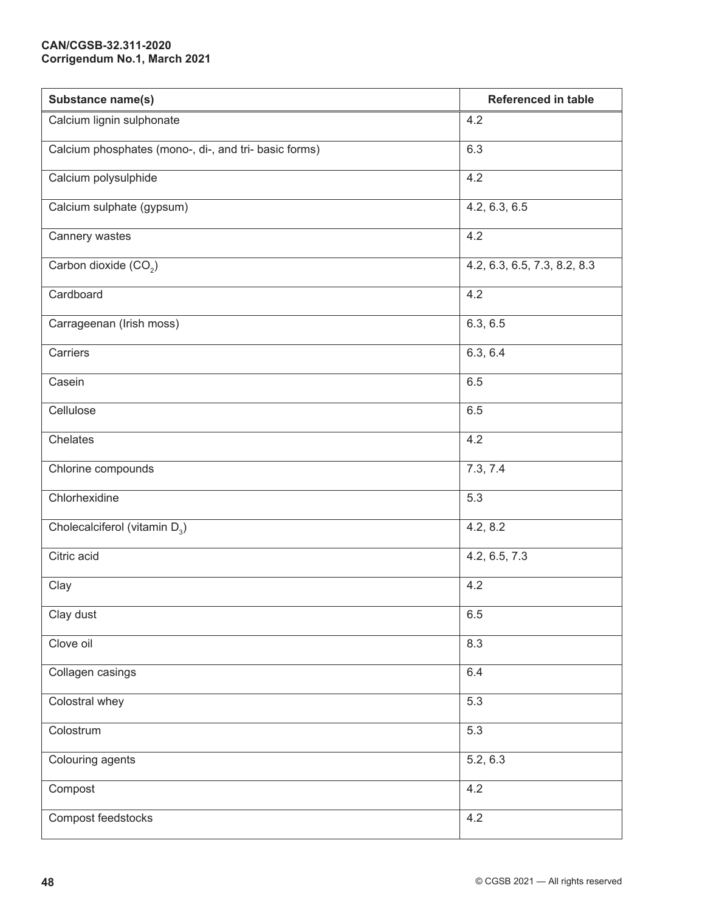| Substance name(s)                                     | <b>Referenced in table</b>   |
|-------------------------------------------------------|------------------------------|
| Calcium lignin sulphonate                             | 4.2                          |
| Calcium phosphates (mono-, di-, and tri- basic forms) | 6.3                          |
| Calcium polysulphide                                  | 4.2                          |
| Calcium sulphate (gypsum)                             | 4.2, 6.3, 6.5                |
| Cannery wastes                                        | 4.2                          |
| Carbon dioxide (CO <sub>2</sub> )                     | 4.2, 6.3, 6.5, 7.3, 8.2, 8.3 |
| Cardboard                                             | 4.2                          |
| Carrageenan (Irish moss)                              | 6.3, 6.5                     |
| Carriers                                              | 6.3, 6.4                     |
| Casein                                                | 6.5                          |
| Cellulose                                             | 6.5                          |
| Chelates                                              | 4.2                          |
| Chlorine compounds                                    | 7.3, 7.4                     |
| Chlorhexidine                                         | 5.3                          |
| Cholecalciferol (vitamin $D_3$ )                      | 4.2, 8.2                     |
| Citric acid                                           | 4.2, 6.5, 7.3                |
| Clay                                                  | 4.2                          |
| Clay dust                                             | 6.5                          |
| Clove oil                                             | 8.3                          |
| Collagen casings                                      | 6.4                          |
| Colostral whey                                        | 5.3                          |
| Colostrum                                             | 5.3                          |
| Colouring agents                                      | 5.2, 6.3                     |
| Compost                                               | 4.2                          |
| Compost feedstocks                                    | 4.2                          |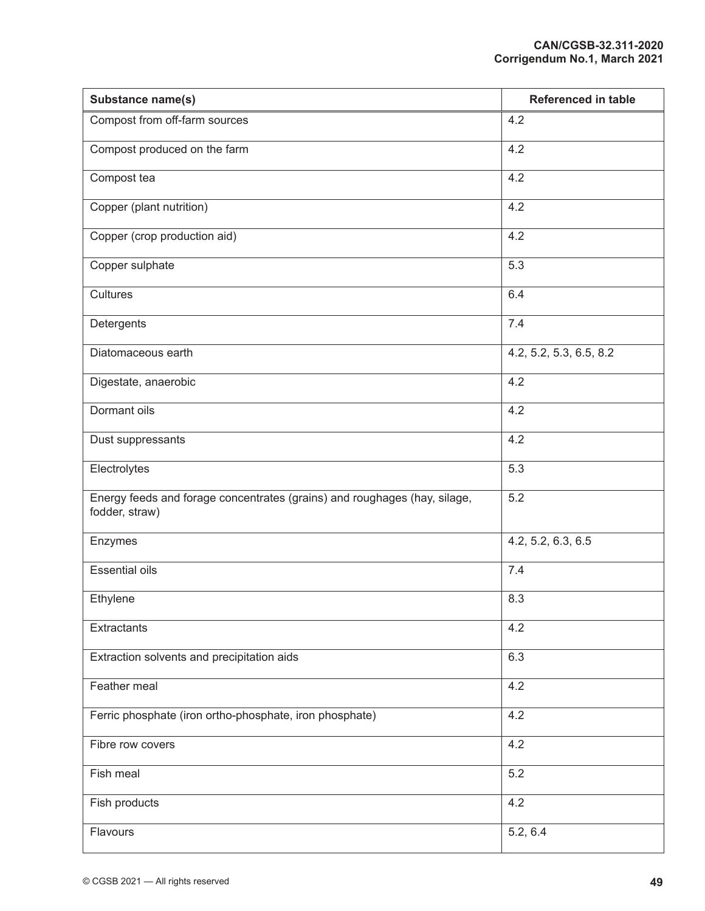| Substance name(s)                                                                           | <b>Referenced in table</b> |
|---------------------------------------------------------------------------------------------|----------------------------|
| Compost from off-farm sources                                                               | 4.2                        |
| Compost produced on the farm                                                                | 4.2                        |
| Compost tea                                                                                 | 4.2                        |
| Copper (plant nutrition)                                                                    | 4.2                        |
| Copper (crop production aid)                                                                | 4.2                        |
| Copper sulphate                                                                             | 5.3                        |
| Cultures                                                                                    | 6.4                        |
| Detergents                                                                                  | 7.4                        |
| Diatomaceous earth                                                                          | 4.2, 5.2, 5.3, 6.5, 8.2    |
| Digestate, anaerobic                                                                        | 4.2                        |
| Dormant oils                                                                                | 4.2                        |
| Dust suppressants                                                                           | 4.2                        |
| Electrolytes                                                                                | 5.3                        |
| Energy feeds and forage concentrates (grains) and roughages (hay, silage,<br>fodder, straw) | 5.2                        |
| Enzymes                                                                                     | 4.2, 5.2, 6.3, 6.5         |
| <b>Essential oils</b>                                                                       | 7.4                        |
| Ethylene                                                                                    | 8.3                        |
| Extractants                                                                                 | 4.2                        |
| Extraction solvents and precipitation aids                                                  | 6.3                        |
| Feather meal                                                                                | 4.2                        |
| Ferric phosphate (iron ortho-phosphate, iron phosphate)                                     | 4.2                        |
| Fibre row covers                                                                            | 4.2                        |
| Fish meal                                                                                   | 5.2                        |
| Fish products                                                                               | 4.2                        |
| Flavours                                                                                    | 5.2, 6.4                   |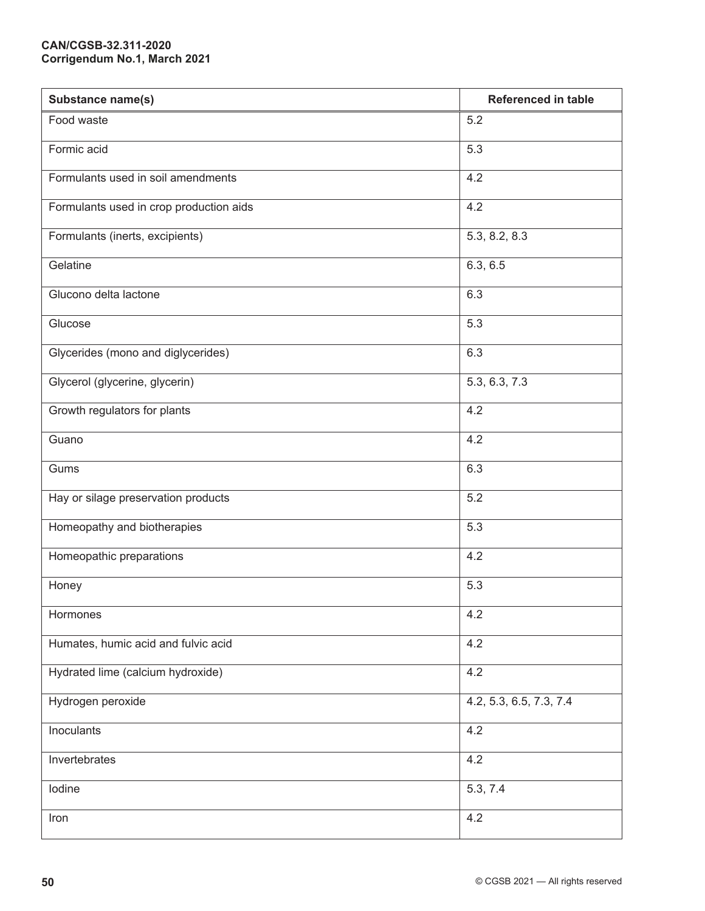| Substance name(s)                       | <b>Referenced in table</b> |
|-----------------------------------------|----------------------------|
| Food waste                              | 5.2                        |
| Formic acid                             | 5.3                        |
| Formulants used in soil amendments      | 4.2                        |
| Formulants used in crop production aids | 4.2                        |
| Formulants (inerts, excipients)         | 5.3, 8.2, 8.3              |
| Gelatine                                | 6.3, 6.5                   |
| Glucono delta lactone                   | 6.3                        |
| Glucose                                 | 5.3                        |
| Glycerides (mono and diglycerides)      | 6.3                        |
| Glycerol (glycerine, glycerin)          | 5.3, 6.3, 7.3              |
| Growth regulators for plants            | 4.2                        |
| Guano                                   | 4.2                        |
| Gums                                    | 6.3                        |
| Hay or silage preservation products     | 5.2                        |
| Homeopathy and biotherapies             | 5.3                        |
| Homeopathic preparations                | 4.2                        |
| Honey                                   | 5.3                        |
| Hormones                                | 4.2                        |
| Humates, humic acid and fulvic acid     | 4.2                        |
| Hydrated lime (calcium hydroxide)       | 4.2                        |
| Hydrogen peroxide                       | 4.2, 5.3, 6.5, 7.3, 7.4    |
| Inoculants                              | 4.2                        |
| Invertebrates                           | 4.2                        |
| Iodine                                  | 5.3, 7.4                   |
| Iron                                    | 4.2                        |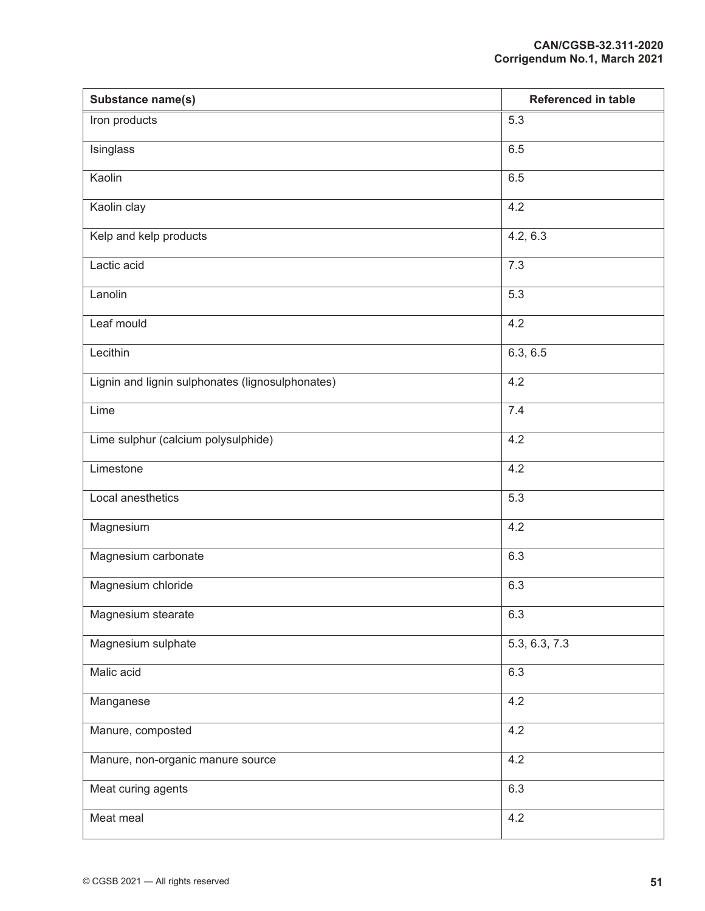| Substance name(s)                                | <b>Referenced in table</b> |
|--------------------------------------------------|----------------------------|
| Iron products                                    | 5.3                        |
| Isinglass                                        | 6.5                        |
| Kaolin                                           | 6.5                        |
| Kaolin clay                                      | 4.2                        |
| Kelp and kelp products                           | 4.2, 6.3                   |
| Lactic acid                                      | 7.3                        |
| Lanolin                                          | 5.3                        |
| Leaf mould                                       | 4.2                        |
| Lecithin                                         | 6.3, 6.5                   |
| Lignin and lignin sulphonates (lignosulphonates) | 4.2                        |
| Lime                                             | 7.4                        |
| Lime sulphur (calcium polysulphide)              | 4.2                        |
| Limestone                                        | 4.2                        |
| Local anesthetics                                | 5.3                        |
| Magnesium                                        | 4.2                        |
| Magnesium carbonate                              | 6.3                        |
| Magnesium chloride                               | 6.3                        |
| Magnesium stearate                               | 6.3                        |
| Magnesium sulphate                               | 5.3, 6.3, 7.3              |
| Malic acid                                       | 6.3                        |
| Manganese                                        | 4.2                        |
| Manure, composted                                | 4.2                        |
| Manure, non-organic manure source                | 4.2                        |
| Meat curing agents                               | 6.3                        |
| Meat meal                                        | 4.2                        |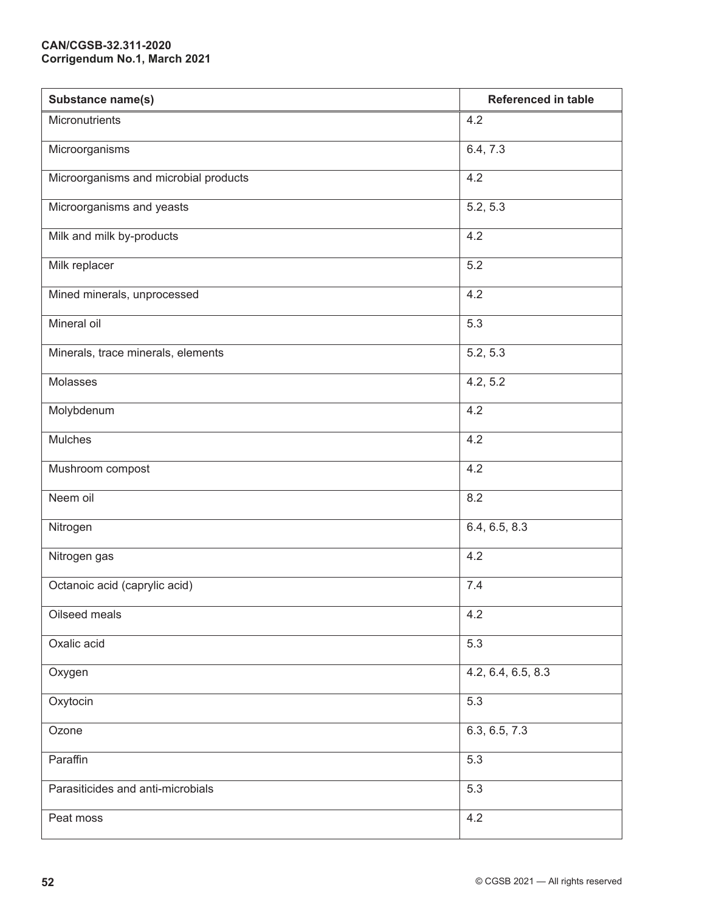| Substance name(s)                     | <b>Referenced in table</b> |
|---------------------------------------|----------------------------|
| Micronutrients                        | 4.2                        |
| Microorganisms                        | 6.4, 7.3                   |
| Microorganisms and microbial products | 4.2                        |
| Microorganisms and yeasts             | 5.2, 5.3                   |
| Milk and milk by-products             | 4.2                        |
| Milk replacer                         | 5.2                        |
| Mined minerals, unprocessed           | 4.2                        |
| Mineral oil                           | 5.3                        |
| Minerals, trace minerals, elements    | 5.2, 5.3                   |
| Molasses                              | 4.2, 5.2                   |
| Molybdenum                            | 4.2                        |
| Mulches                               | 4.2                        |
| Mushroom compost                      | 4.2                        |
| Neem oil                              | 8.2                        |
| Nitrogen                              | 6.4, 6.5, 8.3              |
| Nitrogen gas                          | 4.2                        |
| Octanoic acid (caprylic acid)         | 7.4                        |
| Oilseed meals                         | 4.2                        |
| Oxalic acid                           | 5.3                        |
| Oxygen                                | 4.2, 6.4, 6.5, 8.3         |
| Oxytocin                              | 5.3                        |
| Ozone                                 | 6.3, 6.5, 7.3              |
| Paraffin                              | 5.3                        |
| Parasiticides and anti-microbials     | 5.3                        |
| Peat moss                             | 4.2                        |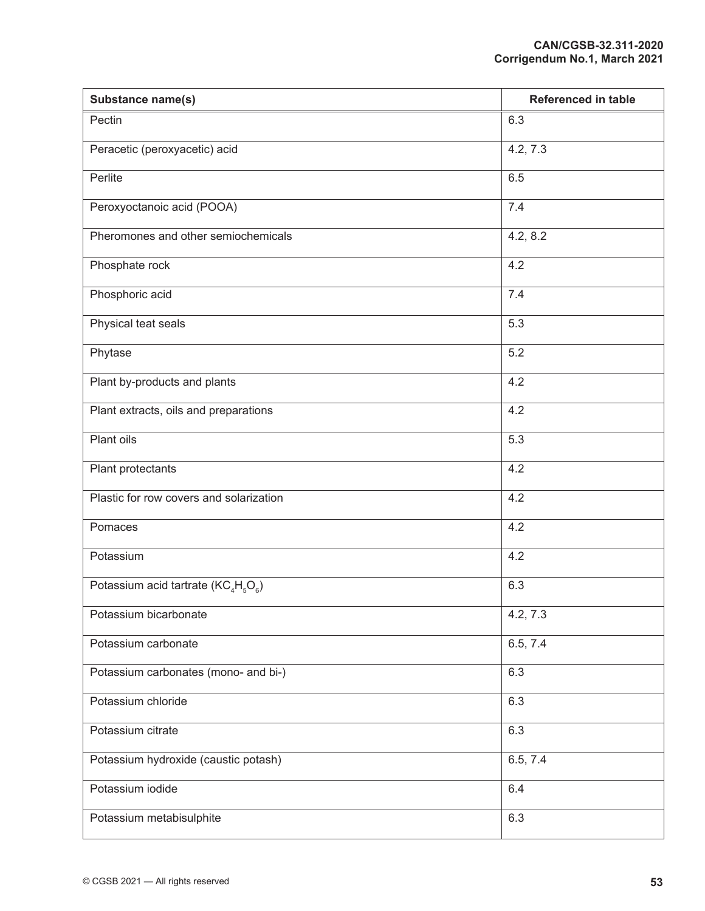| Substance name(s)                       | <b>Referenced in table</b> |
|-----------------------------------------|----------------------------|
| Pectin                                  | 6.3                        |
| Peracetic (peroxyacetic) acid           | 4.2, 7.3                   |
| Perlite                                 | 6.5                        |
| Peroxyoctanoic acid (POOA)              | 7.4                        |
| Pheromones and other semiochemicals     | 4.2, 8.2                   |
| Phosphate rock                          | 4.2                        |
| Phosphoric acid                         | 7.4                        |
| Physical teat seals                     | 5.3                        |
| Phytase                                 | 5.2                        |
| Plant by-products and plants            | 4.2                        |
| Plant extracts, oils and preparations   | 4.2                        |
| Plant oils                              | 5.3                        |
| Plant protectants                       | 4.2                        |
| Plastic for row covers and solarization | 4.2                        |
| Pomaces                                 | 4.2                        |
| Potassium                               | 4.2                        |
| Potassium acid tartrate $(KC4H5O6)$     | 6.3                        |
| Potassium bicarbonate                   | 4.2, 7.3                   |
| Potassium carbonate                     | 6.5, 7.4                   |
| Potassium carbonates (mono- and bi-)    | 6.3                        |
| Potassium chloride                      | 6.3                        |
| Potassium citrate                       | 6.3                        |
| Potassium hydroxide (caustic potash)    | 6.5, 7.4                   |
| Potassium iodide                        | 6.4                        |
| Potassium metabisulphite                | 6.3                        |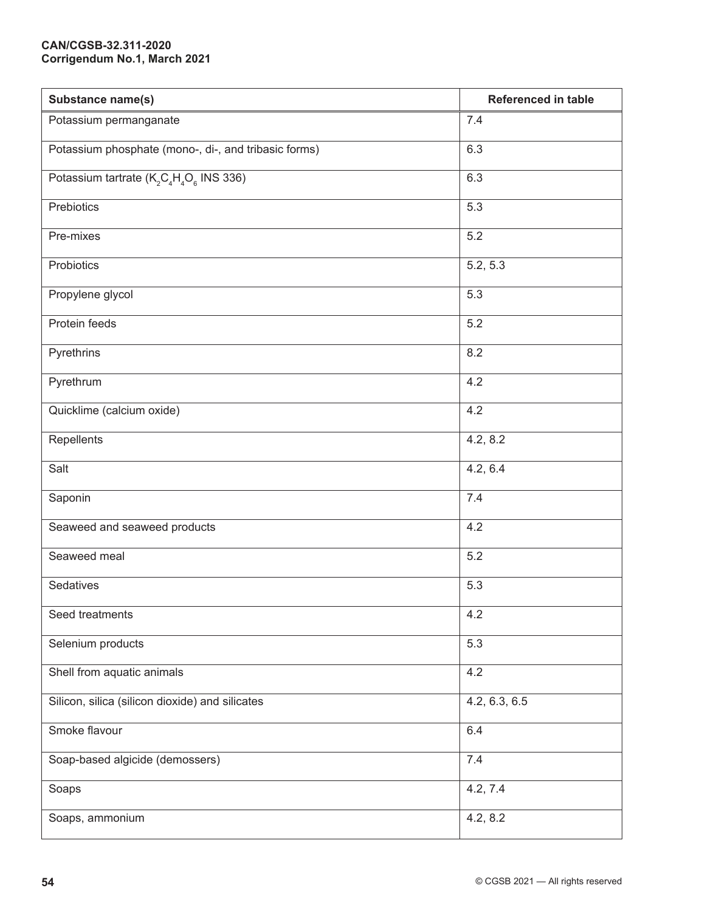| Substance name(s)                                                                        | <b>Referenced in table</b> |
|------------------------------------------------------------------------------------------|----------------------------|
| Potassium permanganate                                                                   | 7.4                        |
| Potassium phosphate (mono-, di-, and tribasic forms)                                     | 6.3                        |
| Potassium tartrate (K <sub>2</sub> C <sub>4</sub> H <sub>4</sub> O <sub>6</sub> INS 336) | 6.3                        |
| Prebiotics                                                                               | 5.3                        |
| Pre-mixes                                                                                | 5.2                        |
| Probiotics                                                                               | 5.2, 5.3                   |
| Propylene glycol                                                                         | 5.3                        |
| Protein feeds                                                                            | 5.2                        |
| Pyrethrins                                                                               | 8.2                        |
| Pyrethrum                                                                                | 4.2                        |
| Quicklime (calcium oxide)                                                                | 4.2                        |
| Repellents                                                                               | 4.2, 8.2                   |
| Salt                                                                                     | 4.2, 6.4                   |
| Saponin                                                                                  | 7.4                        |
| Seaweed and seaweed products                                                             | 4.2                        |
| Seaweed meal                                                                             | 5.2                        |
| Sedatives                                                                                | 5.3                        |
| Seed treatments                                                                          | 4.2                        |
| Selenium products                                                                        | 5.3                        |
| Shell from aquatic animals                                                               | 4.2                        |
| Silicon, silica (silicon dioxide) and silicates                                          | 4.2, 6.3, 6.5              |
| Smoke flavour                                                                            | 6.4                        |
| Soap-based algicide (demossers)                                                          | 7.4                        |
| Soaps                                                                                    | 4.2, 7.4                   |
| Soaps, ammonium                                                                          | 4.2, 8.2                   |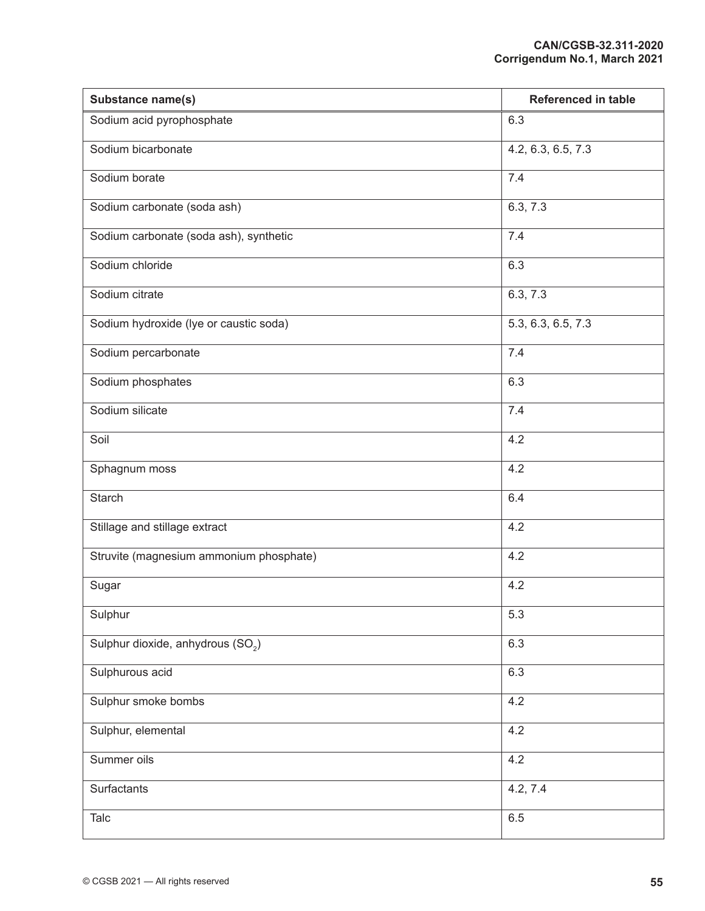| Substance name(s)                             | <b>Referenced in table</b> |
|-----------------------------------------------|----------------------------|
| Sodium acid pyrophosphate                     | 6.3                        |
| Sodium bicarbonate                            | 4.2, 6.3, 6.5, 7.3         |
| Sodium borate                                 | 7.4                        |
| Sodium carbonate (soda ash)                   | 6.3, 7.3                   |
| Sodium carbonate (soda ash), synthetic        | 7.4                        |
| Sodium chloride                               | 6.3                        |
| Sodium citrate                                | 6.3, 7.3                   |
| Sodium hydroxide (lye or caustic soda)        | 5.3, 6.3, 6.5, 7.3         |
| Sodium percarbonate                           | 7.4                        |
| Sodium phosphates                             | 6.3                        |
| Sodium silicate                               | 7.4                        |
| Soil                                          | 4.2                        |
| Sphagnum moss                                 | 4.2                        |
| <b>Starch</b>                                 | 6.4                        |
| Stillage and stillage extract                 | 4.2                        |
| Struvite (magnesium ammonium phosphate)       | 4.2                        |
| Sugar                                         | 4.2                        |
| Sulphur                                       | 5.3                        |
| Sulphur dioxide, anhydrous (SO <sub>2</sub> ) | 6.3                        |
| Sulphurous acid                               | 6.3                        |
| Sulphur smoke bombs                           | 4.2                        |
| Sulphur, elemental                            | 4.2                        |
| Summer oils                                   | 4.2                        |
| Surfactants                                   | 4.2, 7.4                   |
| Talc                                          | 6.5                        |